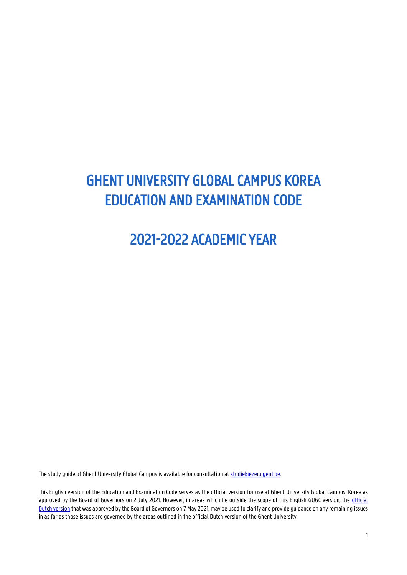# GHENT UNIVERSITY GLOBAL CAMPUS KOREA EDUCATION AND EXAMINATION CODE

# 2021-2022 ACADEMIC YEAR

The study guide of Ghent University Global Campus is available for consultation at **studiekiezer.ugent.be.** 

This English version of the Education and Examination Code serves as the official version for use at Ghent University Global Campus, Korea as approved by the Board of Governors on 2 July 2021. However, in areas which lie outside the scope of this English GUGC version, the [official](https://www.ugent.be/student/nl/studeren/regelgeving/oer20212022.pdf/at_download/file)  [Dutch version](https://www.ugent.be/student/nl/studeren/regelgeving/oer20212022.pdf/at_download/file) that was approved by the Board of Governors on 7 May 2021, may be used to clarify and provide guidance on any remaining issues in as far as those issues are governed by the areas outlined in the official Dutch version of the Ghent University.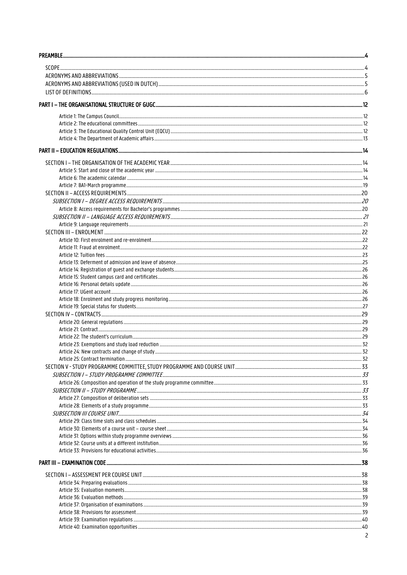| Article 1: The Campus Council <u>Communication and the second section</u> and the communication of the Campus Council Council and the <b>12</b> |     |
|-------------------------------------------------------------------------------------------------------------------------------------------------|-----|
|                                                                                                                                                 |     |
|                                                                                                                                                 |     |
|                                                                                                                                                 |     |
|                                                                                                                                                 |     |
|                                                                                                                                                 |     |
|                                                                                                                                                 |     |
|                                                                                                                                                 |     |
|                                                                                                                                                 |     |
|                                                                                                                                                 |     |
|                                                                                                                                                 |     |
|                                                                                                                                                 |     |
|                                                                                                                                                 |     |
|                                                                                                                                                 |     |
|                                                                                                                                                 |     |
|                                                                                                                                                 |     |
|                                                                                                                                                 |     |
|                                                                                                                                                 |     |
|                                                                                                                                                 |     |
|                                                                                                                                                 |     |
|                                                                                                                                                 |     |
|                                                                                                                                                 |     |
|                                                                                                                                                 |     |
|                                                                                                                                                 |     |
|                                                                                                                                                 |     |
|                                                                                                                                                 |     |
|                                                                                                                                                 |     |
|                                                                                                                                                 |     |
|                                                                                                                                                 |     |
|                                                                                                                                                 |     |
|                                                                                                                                                 | .32 |
|                                                                                                                                                 |     |
|                                                                                                                                                 |     |
|                                                                                                                                                 |     |
|                                                                                                                                                 |     |
|                                                                                                                                                 |     |
|                                                                                                                                                 |     |
|                                                                                                                                                 |     |
|                                                                                                                                                 |     |
| Article 29: Class time slots and class schedules <b>manufactures</b> and class schedules <b>manufactures</b> 34                                 |     |
|                                                                                                                                                 |     |
|                                                                                                                                                 |     |
|                                                                                                                                                 |     |
|                                                                                                                                                 |     |
|                                                                                                                                                 |     |
|                                                                                                                                                 |     |
|                                                                                                                                                 |     |
|                                                                                                                                                 |     |
|                                                                                                                                                 |     |
|                                                                                                                                                 |     |
|                                                                                                                                                 |     |
|                                                                                                                                                 |     |
|                                                                                                                                                 |     |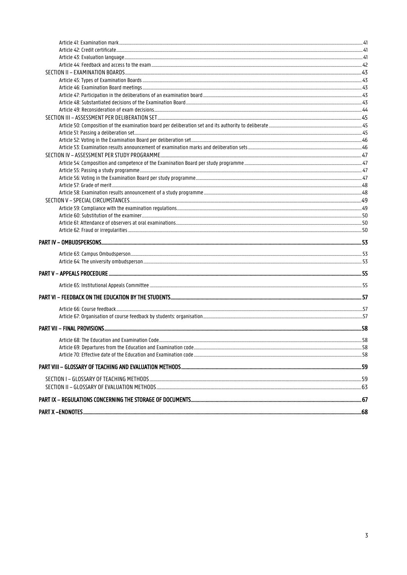| Article 70: Effective date of the Education and Examination code <b>Same and Examination</b> code and the service of the Education and Examination code <b>SAMILIAN CONSTRANTION</b> |  |
|--------------------------------------------------------------------------------------------------------------------------------------------------------------------------------------|--|
|                                                                                                                                                                                      |  |
|                                                                                                                                                                                      |  |
| SECTION II - GLOSSARY OF EVALUATION METHODS                                                                                                                                          |  |
|                                                                                                                                                                                      |  |
|                                                                                                                                                                                      |  |
|                                                                                                                                                                                      |  |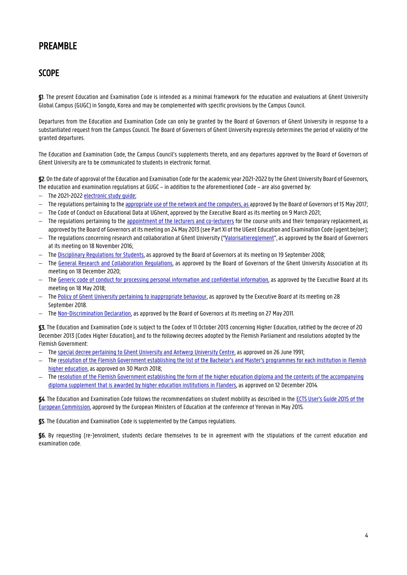## <span id="page-3-0"></span>PREAMBLE

## <span id="page-3-1"></span>**SCOPE**

§1. The present Education and Examination Code is intended as a minimal framework for the education and evaluations at Ghent University Global Campus (GUGC) in Songdo, Korea and may be complemented with specific provisions by the Campus Council.

Departures from the Education and Examination Code can only be granted by the Board of Governors of Ghent University in response to a substantiated request from the Campus Council. The Board of Governors of Ghent University expressly determines the period of validity of the granted departures.

The Education and Examination Code, the Campus Council's supplements thereto, and any departures approved by the Board of Governors of Ghent University are to be communicated to students in electronic format.

§2. On the date of approval of the Education and Examination Code for the academic year 2021-2022 by the Ghent University Board of Governors, the education and examination regulations at GUGC – in addition to the aforementioned Code – are also governed by:

- The 2021-2022 electronic study quide;
- The regulations pertaining to th[e appropriate use of the network and the computers,](http://helpdesk.ugent.be/account/en/regels.php) as approved by the Board of Governors of 15 May 2017;
- $-$  The Code of Conduct on Educational Data at UGhent, approved by the Executive Board as its meeting on 9 March 2021;
- $-$  The regulations pertaining to the [appointment of the lecturers and co-lecturers](https://www.ugent.be/nl/univgent/reglementen/onderwijs/reglementen/lesgevers.htm) for the course units and their temporary replacement, as approved by the Board of Governors at its meeting on 24 May 2013 (see Part XI of the UGent Education and Examination Code (ugent.be/oer);
- The regulations concerning research and collaboration at Ghent University ("[Valorisatiereglement](https://codex.ugent.be/?regid=REG000101)", as approved by the Board of Governors at its meeting on 18 November 2016;
- $-$  The [Disciplinary Regulations for Students,](https://codex.ugent.be/?regid=REG000152) as approved by the Board of Governors at its meeting on 19 September 2008;
- The [General Research and Collaboration Regulations,](https://codex.ugent.be/?regid=REG000057) as approved by the Board of Governors of the Ghent University Association at its meeting on 18 December 2020;
- $-$  The [Generic code of conduct for processing personal information](https://codex.ugent.be/?regid=REG000155&lang=en) and confidential information, as approved by the Executive Board at its meeting on 18 May 2018;
- The [Policy of Ghent University pertaining to inappropriate behaviour,](https://codex.ugent.be/?regid=REG000110&lang=en) as approved by the Executive Board at its meeting on 28 September 2018.
- The [Non-Discrimination Declaration,](https://codex.ugent.be/?regid=REG000222) as approved by the Board of Governors at its meeting on 27 May 2011.

§3. The Education and Examination Code is subject to the Codex of 11 October 2013 concerning Higher Education, ratified by the decree of 20 December 2013 (Codex Higher Education), and to the following decrees adopted by the Flemish Parliament and resolutions adopted by the Flemish Government:

- The [special decree pertaining to Ghent University and Antwerp University Centre,](https://data-onderwijs.vlaanderen.be/edulex/document.aspx?docid=12847) as approved on 26 June 1991;
- $-$  The [resolution of the Flemish Government establishing the list of the Bachelor's and Master's programmes for each institution in](http://data-onderwijs.vlaanderen.be/edulex/document.aspx?docid=15050) Flemish [higher education,](http://data-onderwijs.vlaanderen.be/edulex/document.aspx?docid=15050) as approved on 30 March 2018;
- $-$  The resolution of the Flemish Government establishing the form of the higher education diploma and the contents of the accompanying [diploma supplement that is awarded by higher education institutions in Flanders,](http://data-onderwijs.vlaanderen.be/edulex/document.aspx?docid=14770) as approved on 12 December 2014.

§4. The Education and Examination Code follows the recommendations on student mobility as described in th[e ECTS User's Guide 2015 of the](https://op.europa.eu/en/publication-detail/-/publication/da7467e6-8450-11e5-b8b7-01aa75ed71a1)  [European Commission,](https://op.europa.eu/en/publication-detail/-/publication/da7467e6-8450-11e5-b8b7-01aa75ed71a1) approved by the European Ministers of Education at the conference of Yerevan in May 2015.

§5. The Education and Examination Code is supplemented by the Campus regulations.

§6. By requesting (re-)enrolment, students declare themselves to be in agreement with the stipulations of the current education and examination code.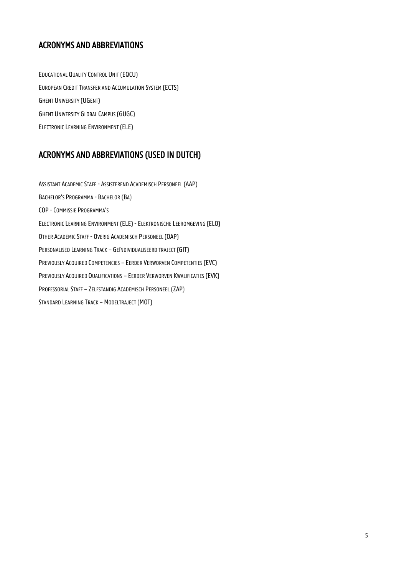## <span id="page-4-0"></span>ACRONYMS AND ABBREVIATIONS

EDUCATIONAL QUALITY CONTROL UNIT (EQCU) EUROPEAN CREDIT TRANSFER AND ACCUMULATION SYSTEM (ECTS) GHENT UNIVERSITY (UGENT) GHENT UNIVERSITY GLOBAL CAMPUS (GUGC) ELECTRONIC LEARNING ENVIRONMENT (ELE)

## <span id="page-4-1"></span>ACRONYMS AND ABBREVIATIONS (USED IN DUTCH)

ASSISTANT ACADEMIC STAFF - ASSISTEREND ACADEMISCH PERSONEEL (AAP) BACHELOR'S PROGRAMMA - BACHELOR (BA) COP -COMMISSIE PROGRAMMA'S ELECTRONIC LEARNING ENVIRONMENT (ELE) - ELEKTRONISCHE LEEROMGEVING (ELO) OTHER ACADEMIC STAFF - OVERIG ACADEMISCH PERSONEEL (OAP) PERSONALISED LEARNING TRACK – GEÏNDIVIDUALISEERD TRAJECT (GIT) PREVIOUSLY ACQUIRED COMPETENCIES – EERDER VERWORVEN COMPETENTIES (EVC) PREVIOUSLY ACQUIRED QUALIFICATIONS – EERDER VERWORVEN KWALIFICATIES (EVK) PROFESSORIAL STAFF – ZELFSTANDIG ACADEMISCH PERSONEEL (ZAP) STANDARD LEARNING TRACK – MODELTRAJECT (MOT)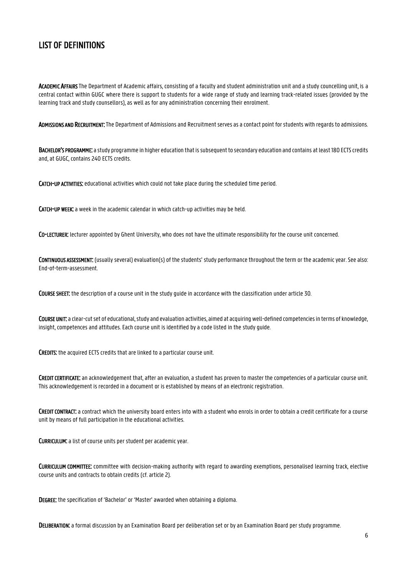## <span id="page-5-0"></span>LIST OF DEFINITIONS

ACADEMIC AFFAIRS The Department of Academic affairs, consisting of a faculty and student administration unit and a study councelling unit, is a central contact within GUGC where there is support to students for a wide range of study and learning track-related issues (provided by the learning track and study counsellors), as well as for any administration concerning their enrolment.

ADMISSIONS AND RECRUITMENT: The Department of Admissions and Recruitment serves as a contact point for students with regards to admissions.

BACHELOR'S PROGRAMME: a study programme in higher education that is subsequent to secondary education and contains at least 180 ECTS credits and, at GUGC, contains 240 ECTS credits.

CATCH-UP ACTIVITIES: educational activities which could not take place during the scheduled time period.

CATCH-UP WEEK: a week in the academic calendar in which catch-up activities may be held.

CO-LECTURER: lecturer appointed by Ghent University, who does not have the ultimate responsibility for the course unit concerned.

CONTINUOUS ASSESSMENT: (usually several) evaluation(s) of the students' study performance throughout the term or the academic year.See also: End-of-term-assessment.

COURSE SHEET: the description of a course unit in the study guide in accordance with the classification under article 30.

COURSE UNIT: a clear-cut set of educational, study and evaluation activities, aimed at acquiring well-defined competencies in terms of knowledge, insight, competences and attitudes. Each course unit is identified by a code listed in the study guide.

CREDITS: the acquired ECTS credits that are linked to a particular course unit.

CREDIT CERTIFICATE: an acknowledgement that, after an evaluation, a student has proven to master the competencies of a particular course unit. This acknowledgement is recorded in a document or is established by means of an electronic registration.

CREDIT CONTRACT: a contract which the university board enters into with a student who enrols in order to obtain a credit certificate for a course unit by means of full participation in the educational activities.

CURRICULUM: a list of course units per student per academic year.

CURRICULUM COMMITTEE: committee with decision-making authority with regard to awarding exemptions, personalised learning track, elective course units and contracts to obtain credits (cf. article 2).

DEGREE: the specification of 'Bachelor' or 'Master' awarded when obtaining a diploma.

DELIBERATION: a formal discussion by an Examination Board per deliberation set or by an Examination Board per study programme.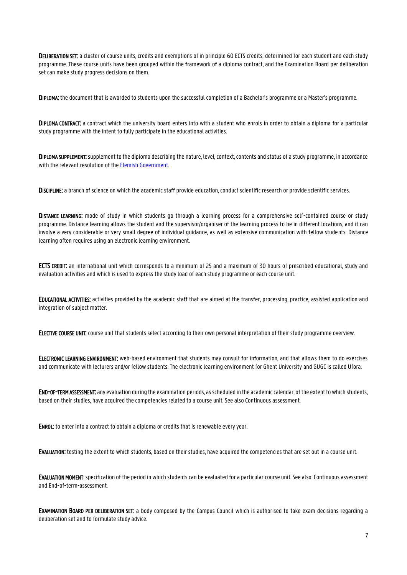DELIBERATION SET: a cluster of course units, credits and exemptions of in principle 60 ECTS credits, determined for each student and each study programme. These course units have been grouped within the framework of a diploma contract, and the Examination Board per deliberation set can make study progress decisions on them.

DIPLOMA: the document that is awarded to students upon the successful completion of a Bachelor's programme or a Master's programme.

DIPLOMA CONTRACT: a contract which the university board enters into with a student who enrols in order to obtain a diploma for a particular study programme with the intent to fully participate in the educational activities.

DIPLOMA SUPPLEMENT: supplement to the diploma describing the nature, level, context, contents and status of a study programme, in accordance with the relevant resolution of the [Flemish Government.](https://data-onderwijs.vlaanderen.be/edulex/document.aspx?docid=14770)

DISCIPLINE: a branch of science on which the academic staff provide education, conduct scientific research or provide scientific services.

DISTANCE LEARNING: mode of study in which students go through a learning process for a comprehensive self-contained course or study programme. Distance learning allows the student and the supervisor/organiser of the learning process to be in different locations, and it can involve a very considerable or very small degree of individual guidance, as well as extensive communication with fellow students. Distance learning often requires using an electronic learning environment.

ECTS CREDIT: an international unit which corresponds to a minimum of 25 and a maximum of 30 hours of prescribed educational, study and evaluation activities and which is used to express the study load of each study programme or each course unit.

EDUCATIONAL ACTIVITIES: activities provided by the academic staff that are aimed at the transfer, processing, practice, assisted application and integration of subject matter.

ELECTIVE COURSE UNIT: course unit that students select according to their own personal interpretation of their study programme overview.

ELECTRONIC LEARNING ENVIRONMENT: web-based environment that students may consult for information, and that allows them to do exercises and communicate with lecturers and/or fellow students. The electronic learning environment for Ghent University and GUGCis called Ufora.

END-OF-TERM ASSESSMENT: any evaluation during the examination periods, as scheduled in the academic calendar, of the extent to which students, based on their studies, have acquired the competencies related to a course unit. See also Continuous assessment.

ENROL: to enter into a contract to obtain a diploma or credits that is renewable every year.

EVALUATION: testing the extent to which students, based on their studies, have acquired the competencies that are set out in a course unit.

EVALUATION MOMENT: specification of the period in which students can be evaluated for a particular course unit. See also: Continuous assessment and End-of-term-assessment.

EXAMINATION BOARD PER DELIBERATION SET: a body composed by the Campus Council which is authorised to take exam decisions regarding a deliberation set and to formulate study advice.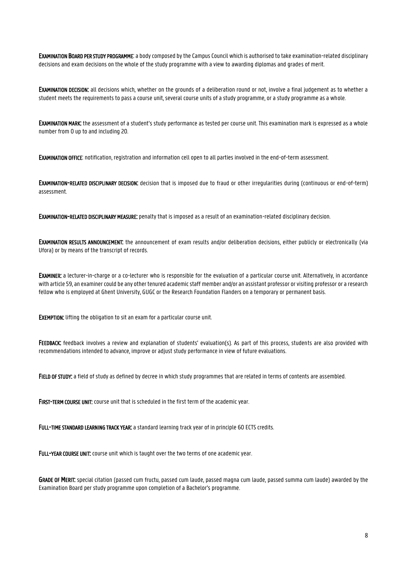EXAMINATION BOARD PER STUDY PROGRAMME: a body composed by the Campus Council which is authorised to take examination-related disciplinary decisions and exam decisions on the whole of the study programme with a view to awarding diplomas and grades of merit.

EXAMINATION DECISION: all decisions which, whether on the grounds of a deliberation round or not, involve a final judgement as to whether a student meets the requirements to pass a course unit, several course units of a study programme, or a study programme as a whole.

EXAMINATION MARK: the assessment of a student's study performance as tested per course unit. This examination mark is expressed as a whole number from 0 up to and including 20.

EXAMINATION OFFICE: notification, registration and information cell open to all parties involved in the end-of-term assessment.

EXAMINATION-RELATED DISCIPLINARY DECISION: decision that is imposed due to fraud or other irregularities during (continuous or end-of-term) assessment.

EXAMINATION-RELATED DISCIPLINARY MEASURE: penalty that is imposed as a result of an examination-related disciplinary decision.

EXAMINATION RESULTS ANNOUNCEMENT: the announcement of exam results and/or deliberation decisions, either publicly or electronically (via Ufora) or by means of the transcript of records.

EXAMINER: a lecturer-in-charge or a co-lecturer who is responsible for the evaluation of a particular course unit. Alternatively, in accordance with article 59, an examiner could be any other tenured academic staff member and/or an assistant professor or visiting professor or a research fellow who is employed at Ghent University, GUGC or the Research Foundation Flanders on a temporary or permanent basis.

**EXEMPTION:** lifting the obligation to sit an exam for a particular course unit.

FEEDBACK: feedback involves a review and explanation of students' evaluation(s). As part of this process, students are also provided with recommendations intended to advance, improve or adjust study performance in view of future evaluations.

FIELD OF STUDY: a field of study as defined by decree in which study programmes that are related in terms of contents are assembled.

FIRST-TERM COURSE UNIT: course unit that is scheduled in the first term of the academic year.

FULL-TIME STANDARD LEARNING TRACK YEAR: a standard learning track year of in principle 60 ECTS credits.

FULL-YEAR COURSE UNIT: course unit which is taught over the two terms of one academic year.

GRADE OF MERIT: special citation (passed cum fructu, passed cum laude, passed magna cum laude, passed summa cum laude) awarded by the Examination Board per study programme upon completion of a Bachelor's programme.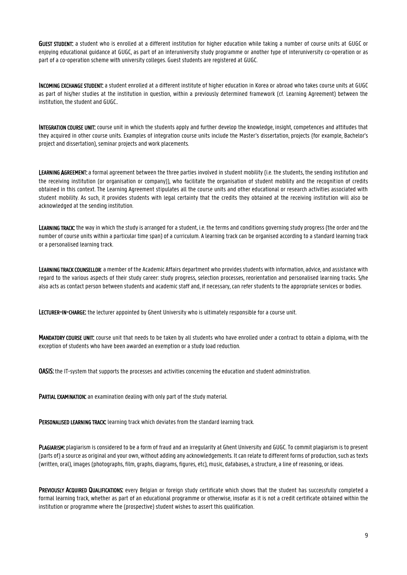GUEST STUDENT: a student who is enrolled at a different institution for higher education while taking a number of course units at GUGC or enjoying educational guidance at GUGC, as part of an interuniversity study programme or another type of interuniversity co-operation or as part of a co-operation scheme with university colleges. Guest students are registered at GUGC.

INCOMING EXCHANGE STUDENT: a student enrolled at a different institute of higher education in Korea or abroad who takes course units at GUGC as part of his/her studies at the institution in question, within a previously determined framework (cf. Learning Agreement) between the institution, the student and GUGC..

INTEGRATION COURSE UNIT: course unit in which the students apply and further develop the knowledge, insight, competences and attitudes that they acquired in other course units. Examples of integration course units include the Master's dissertation, projects (for example, Bachelor's project and dissertation), seminar projects and work placements.

LEARNING AGREEMENT: a formal agreement between the three parties involved in student mobility (i.e. the students, the sending institution and the receiving institution (or organisation or company)), who facilitate the organisation of student mobility and the recognition of credits obtained in this context. The Learning Agreement stipulates all the course units and other educational or research activities associated with student mobility. As such, it provides students with legal certainty that the credits they obtained at the receiving institution will also be acknowledged at the sending institution.

LEARNING TRACK: the way in which the study is arranged for a student, i.e. the terms and conditions governing study progress (the order and the number of course units within a particular time span) of a curriculum. A learning track can be organised according to a standard learning track or a personalised learning track.

LEARNING TRACK COUNSELLOR: a member of the Academic Affairs department who provides students with information, advice, and assistance with regard to the various aspects of their study career: study progress, selection processes, reorientation and personalised learning tracks. S/he also acts as contact person between students and academic staff and, if necessary, can refer students to the appropriate services or bodies.

LECTURER-IN-CHARGE: the lecturer appointed by Ghent University who is ultimately responsible for a course unit.

MANDATORY COURSE UNIT: course unit that needs to be taken by all students who have enrolled under a contract to obtain a diploma, with the exception of students who have been awarded an exemption or a study load reduction.

**OASIS:** the IT-system that supports the processes and activities concerning the education and student administration.

PARTIAL EXAMINATION: an examination dealing with only part of the study material.

PERSONALISED LEARNING TRACK: learning track which deviates from the standard learning track.

PLAGIARISM: plagiarism is considered to be a form of fraud and an irregularity at Ghent University and GUGC. To commit plagiarism is to present (parts of) a source as original and your own, without adding any acknowledgements. It can relate to different forms of production, such as texts (written, oral), images (photographs, film, graphs, diagrams, figures, etc), music, databases, a structure, a line of reasoning, or ideas.

PREVIOUSLY ACQUIRED QUALIFICATIONS: every Belgian or foreign study certificate which shows that the student has successfully completed a formal learning track, whether as part of an educational programme or otherwise, insofar as it is not a credit certificate obtained within the institution or programme where the (prospective) student wishes to assert this qualification.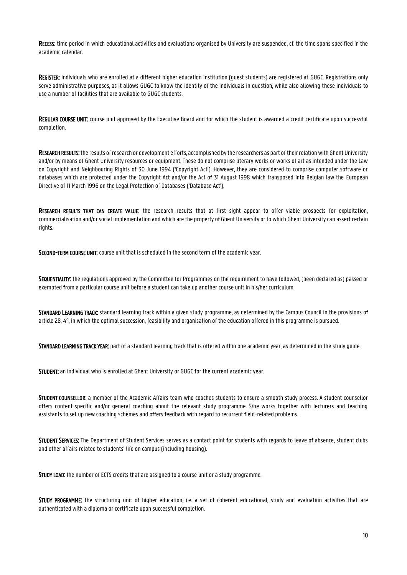RECESS: time period in which educational activities and evaluations organised by University are suspended, cf. the time spans specified in the academic calendar.

REGISTER: individuals who are enrolled at a different higher education institution (guest students) are registered at GUGC. Registrations only serve administrative purposes, as it allows GUGC to know the identity of the individuals in question, while also allowing these individuals to use a number of facilities that are available to GUGC students.

REGULAR COURSE UNIT: course unit approved by the Executive Board and for which the student is awarded a credit certificate upon successful completion.

RESEARCH RESULTS: the results of research or development efforts, accomplished by the researchers as part of their relation with Ghent University and/or by means of Ghent University resources or equipment. These do not comprise literary works or works of art as intended under the Law on Copyright and Neighbouring Rights of 30 June 1994 ('Copyright Act'). However, they are considered to comprise computer software or databases which are protected under the Copyright Act and/or the Act of 31 August 1998 which transposed into Belgian law the European Directive of 11 March 1996 on the Legal Protection of Databases ('Database Act').

RESEARCH RESULTS THAT CAN CREATE VALUE: the research results that at first sight appear to offer viable prospects for exploitation, commercialisation and/or social implementation and which are the property of Ghent University or to which Ghent University can assert certain rights.

SECOND-TERM COURSE UNIT: course unit that is scheduled in the second term of the academic year.

SEQUENTIALITY: the regulations approved by the Committee for Programmes on the requirement to have followed, (been declared as) passed or exempted from a particular course unit before a student can take up another course unit in his/her curriculum.

STANDARD LEARNING TRACK: standard learning track within a given study programme, as determined by the Campus Council in the provisions of article 28, 4°, in which the optimal succession, feasibility and organisation of the education offered in this programme is pursued.

STANDARD LEARNING TRACK YEAR: part of a standard learning track that is offered within one academic year, as determined in the study guide.

STUDENT: an individual who is enrolled at Ghent University or GUGC for the current academic year.

STUDENT COUNSELLOR: a member of the Academic Affairs team who coaches students to ensure a smooth study process. A student counsellor offers content-specific and/or general coaching about the relevant study programme. S/he works together with lecturers and teaching assistants to set up new coaching schemes and offers feedback with regard to recurrent field-related problems.

STUDENT SERVICES: The Department of Student Services serves as a contact point for students with regards to leave of absence, student clubs and other affairs related to students' life on campus (including housing).

STUDY LOAD: the number of ECTS credits that are assigned to a course unit or a study programme.

STUDY PROGRAMME: the structuring unit of higher education, i.e. a set of coherent educational, study and evaluation activities that are authenticated with a diploma or certificate upon successful completion.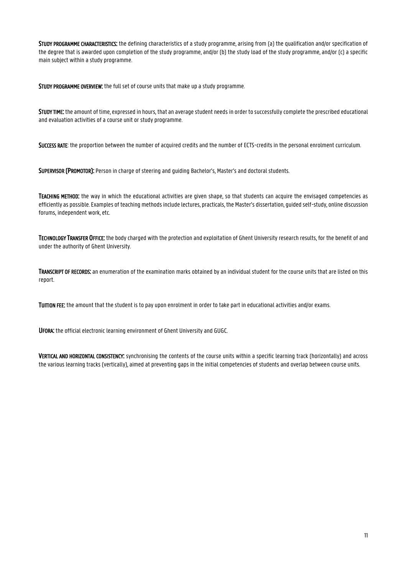STUDY PROGRAMME CHARACTERISTICS: the defining characteristics of a study programme, arising from (a) the qualification and/or specification of the degree that is awarded upon completion of the study programme, and/or (b) the study load of the study programme, and/or (c) a specific main subject within a study programme.

STUDY PROGRAMME OVERVIEW: the full set of course units that make up a study programme.

STUDY TIME: the amount of time, expressed in hours, that an average student needs in order to successfully complete the prescribed educational and evaluation activities of a course unit or study programme.

SUCCESS RATE: the proportion between the number of acquired credits and the number of ECTS-credits in the personal enrolment curriculum.

SUPERVISOR (PROMOTOR): Person in charge of steering and guiding Bachelor's, Master's and doctoral students.

TEACHING METHOD: the way in which the educational activities are given shape, so that students can acquire the envisaged competencies as efficiently as possible. Examples of teaching methods include lectures, practicals, the Master's dissertation, guided self-study, online discussion forums, independent work, etc.

TECHNOLOGY TRANSFER OFFICE: the body charged with the protection and exploitation of Ghent University research results, for the benefit of and under the authority of Ghent University.

TRANSCRIPT OF RECORDS: an enumeration of the examination marks obtained by an individual student for the course units that are listed on this report.

TUITION FEE: the amount that the student is to pay upon enrolment in order to take part in educational activities and/or exams.

UFORA: the official electronic learning environment of Ghent University and GUGC.

VERTICAL AND HORIZONTAL CONSISTENCY: synchronising the contents of the course units within a specific learning track (horizontally) and across the various learning tracks (vertically), aimed at preventing gaps in the initial competencies of students and overlap between course units.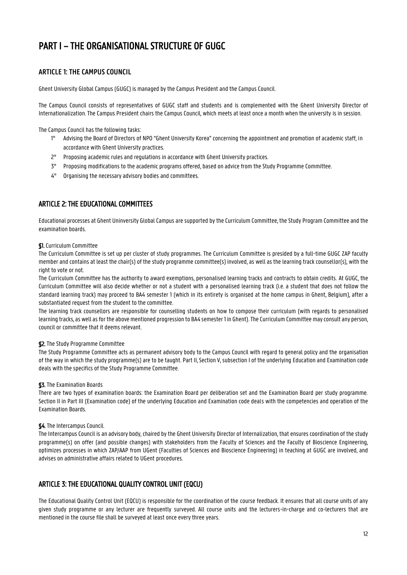## <span id="page-11-0"></span>PART I – THE ORGANISATIONAL STRUCTURE OF GUGC

## <span id="page-11-1"></span>**ARTICLE 1: THE CAMPUS COUNCIL**

Ghent University Global Campus (GUGC) is managed by the Campus President and the Campus Council.

The Campus Council consists of representatives of GUGC staff and students and is complemented with the Ghent University Director of Internationalization. The Campus President chairs the Campus Council, which meets at least once a month when the university is in session.

The Campus Council has the following tasks:

- 1° Advising the Board of Directors of NPO "Ghent University Korea" concerning the appointment and promotion of academic staff, in accordance with Ghent University practices.
- 2° Proposing academic rules and regulations in accordance with Ghent University practices.
- 3° Proposing modifications to the academic programs offered, based on advice from the Study Programme Committee.
- 4° Organising the necessary advisory bodies and committees.

## <span id="page-11-2"></span>ARTICLE 2: THE EDUCATIONAL COMMITTEES

Educational processes at Ghent Uninversity Global Campus are supported by the Curriculum Committee, the Study Program Committee and the examination boards.

#### §1. Curriculum Committee

The Curriculum Committee is set up per cluster of study programmes. The Curriculum Committee is presided by a full-time GUGC ZAP faculty member and contains at least the chair(s) of the study programme committee(s) involved, as well as the learning track counsellor(s), with the right to vote or not.

The Curriculum Committee has the authority to award exemptions, personalised learning tracks and contracts to obtain credits. At GUGC, the Curriculum Committee will also decide whether or not a student with a personalised learning track (i.e. a student that does not follow the standard learning track) may proceed to BA4 semester 1 (which in its entirety is organised at the home campus in Ghent, Belgium), after a substantiated request from the student to the committee.

The learning track counsellors are responsible for counselling students on how to compose their curriculum (with regards to personalised learning tracks, as well as for the above mentioned progression to BA4 semester 1 in Ghent). The Curriculum Committee may consult any person, council or committee that it deems relevant.

#### §2. The Study Programme Committee

The Study Programme Committee acts as permanent advisory body to the Campus Council with regard to general policy and the organisation of the way in which the study programme(s) are to be taught. Part II, Section V, subsection I of the underlying Education and Examination code deals with the specifics of the Study Programme Committee.

#### §3. The Examination Boards

There are two types of examination boards: the Examination Board per deliberation set and the Examination Board per study programme. Section II in Part III (Examination code) of the underlying Education and Examination code deals with the competencies and operation of the Examination Boards.

### §4. The Intercampus Council.

The Intercampus Council is an advisory body, chaired by the Ghent University Director of Internalization, that ensures coordination of the study programme(s) on offer (and possible changes) with stakeholders from the Faculty of Sciences and the Faculty of Bioscience Engineering, optimizes processes in which ZAP/AAP from UGent (Faculties of Sciences and Bioscience Engineering) in teaching at GUGC are involved, and advises on administrative affairs related to UGent procedures.

## <span id="page-11-3"></span>ARTICLE 3: THE EDUCATIONAL QUALITY CONTROL UNIT (EQCU)

The Educational Quality Control Unit (EQCU) is responsible for the coordination of the course feedback. It ensures that all course units of any given study programme or any lecturer are frequently surveyed. All course units and the lecturers-in-charge and co-lecturers that are mentioned in the course file shall be surveyed at least once every three years.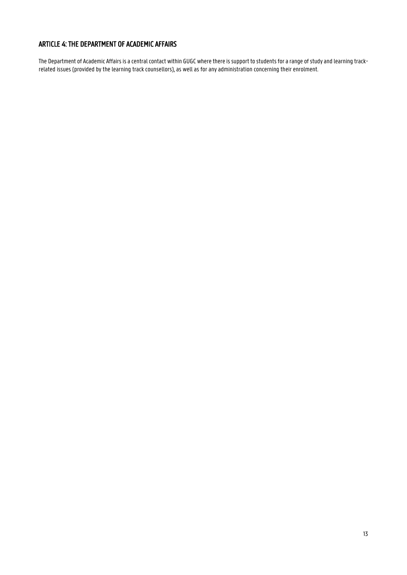## <span id="page-12-0"></span>ARTICLE 4: THE DEPARTMENT OF ACADEMIC AFFAIRS

The Department of Academic Affairs is a central contact within GUGC where there is support to students for a range of study and learning trackrelated issues (provided by the learning track counsellors), as well as for any administration concerning their enrolment.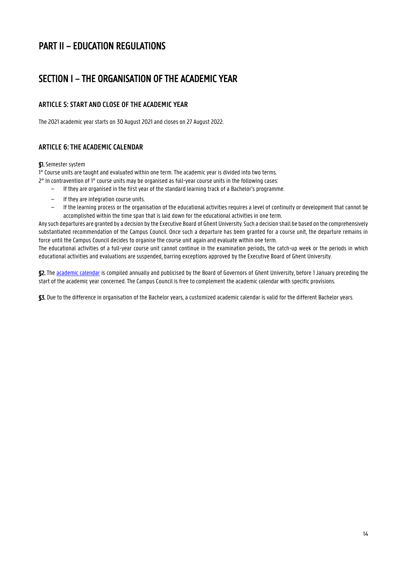## <span id="page-13-0"></span>PART II – EDUCATION REGULATIONS

## <span id="page-13-1"></span>SECTION I – THE ORGANISATION OF THE ACADEMIC YEAR

## <span id="page-13-2"></span>**ARTICLE 5: START AND CLOSE OF THE ACADEMIC YEAR**

The 2021 academic year starts on 30 August 2021 and closes on 27 August 2022.

## <span id="page-13-3"></span>**ARTICLE 6: THE ACADEMIC CALENDAR**

#### §1. Semester system

1°Course units are taught and evaluated within one term. The academic year is divided into two terms.

- 2° In contravention of 1° course units may be organised as full-year course units in the following cases:
	- − If they are organised in the first year of the standard learning track of a Bachelor's programme.
	- − If they are integration course units.
	- − If the learning process or the organisation of the educational activities requires a level of continuity or development that cannot be accomplished within the time span that is laid down for the educational activities in one term.

Any such departures are granted by a decision by the Executive Board of Ghent University. Such a decision shall be based on the comprehensively substantiated recommendation of the Campus Council. Once such a departure has been granted for a course unit, the departure remains in force until the Campus Council decides to organise the course unit again and evaluate within one term.

The educational activities of a full-year course unit cannot continue in the examination periods, the catch-up week or the periods in which educational activities and evaluations are suspended, barring exceptions approved by the Executive Board of Ghent University.

\$2. Th[e academic calendar](https://www.ugent.be/globalcampus/en/study/academic-calendar-2021-2022.pdf/at_download/file) is compiled annually and publicised by the Board of Governors of Ghent University, before 1 January preceding the start of the academic year concerned. The Campus Council is free to complement the academic calendar with specific provisions.

§3. Due to the difference in organisation of the Bachelor years, a customized academic calendar is valid for the different Bachelor years.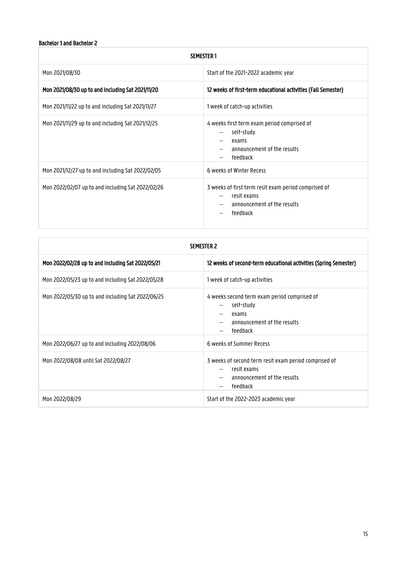## Bachelor 1 and Bachelor 2

| <b>SEMESTER1</b>                                  |                                                                                                                                    |  |
|---------------------------------------------------|------------------------------------------------------------------------------------------------------------------------------------|--|
| Mon 2021/08/30                                    | Start of the 2021-2022 academic year                                                                                               |  |
| Mon 2021/08/30 up to and including Sat 2021/11/20 | 12 weeks of first-term educational activities (Fall Semester)                                                                      |  |
| Mon 2021/11/22 up to and including Sat 2021/11/27 | 1 week of catch-up activities                                                                                                      |  |
| Mon 2021/11/29 up to and including Sat 2021/12/25 | 4 weeks first term exam period comprised of<br>self-study<br>$\qquad \qquad -$<br>exams<br>announcement of the results<br>feedback |  |
| Mon 2021/12/27 up to and including Sat 2022/02/05 | 6 weeks of Winter Recess                                                                                                           |  |
| Mon 2022/02/07 up to and including Sat 2022/02/26 | 3 weeks of first term resit exam period comprised of<br>resit exams<br>announcement of the results<br>feedback                     |  |

| <b>SEMESTER 2</b>                                 |                                                                                                                 |
|---------------------------------------------------|-----------------------------------------------------------------------------------------------------------------|
| Mon 2022/02/28 up to and including Sat 2022/05/21 | 12 weeks of second-term educational activities (Spring Semester)                                                |
| Mon 2022/05/23 up to and including Sat 2022/05/28 | 1 week of catch-up activities                                                                                   |
| Mon 2022/05/30 up to and including Sat 2022/06/25 | 4 weeks second term exam period comprised of<br>self-study<br>exams<br>announcement of the results<br>feedback  |
| Mon 2022/06/27 up to and including 2022/08/06     | 6 weeks of Summer Recess                                                                                        |
| Mon 2022/08/08 until Sat 2022/08/27               | 3 weeks of second term resit exam period comprised of<br>resit exams<br>announcement of the results<br>feedback |
| Mon 2022/08/29                                    | Start of the 2022-2023 academic year                                                                            |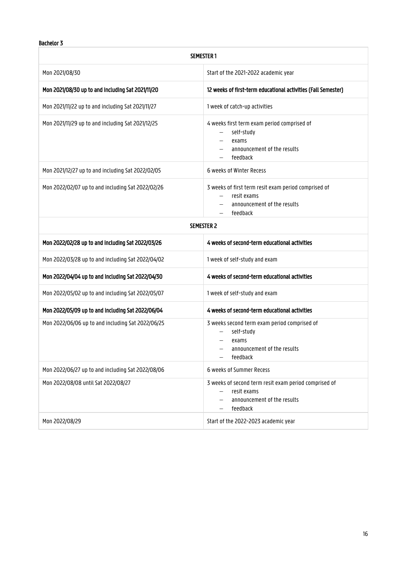## Bachelor 3

| <b>SEMESTER 1</b>                                 |                                                                                                                                           |  |
|---------------------------------------------------|-------------------------------------------------------------------------------------------------------------------------------------------|--|
| Mon 2021/08/30                                    | Start of the 2021-2022 academic year                                                                                                      |  |
| Mon 2021/08/30 up to and including Sat 2021/11/20 | 12 weeks of first-term educational activities (Fall Semester)                                                                             |  |
| Mon 2021/11/22 up to and including Sat 2021/11/27 | 1 week of catch-up activities                                                                                                             |  |
| Mon 2021/11/29 up to and including Sat 2021/12/25 | 4 weeks first term exam period comprised of<br>self-study<br>$\overline{\phantom{0}}$<br>exams<br>announcement of the results<br>feedback |  |
| Mon 2021/12/27 up to and including Sat 2022/02/05 | 6 weeks of Winter Recess                                                                                                                  |  |
| Mon 2022/02/07 up to and including Sat 2022/02/26 | 3 weeks of first term resit exam period comprised of<br>resit exams<br>announcement of the results<br>feedback                            |  |
| <b>SEMESTER 2</b>                                 |                                                                                                                                           |  |
| Mon 2022/02/28 up to and including Sat 2022/03/26 | 4 weeks of second-term educational activities                                                                                             |  |
| Mon 2022/03/28 up to and including Sat 2022/04/02 | 1 week of self-study and exam                                                                                                             |  |
| Mon 2022/04/04 up to and including Sat 2022/04/30 | 4 weeks of second-term educational activities                                                                                             |  |
| Mon 2022/05/02 up to and including Sat 2022/05/07 | 1 week of self-study and exam                                                                                                             |  |
| Mon 2022/05/09 up to and including Sat 2022/06/04 | 4 weeks of second-term educational activities                                                                                             |  |
| Mon 2022/06/06 up to and including Sat 2022/06/25 | 3 weeks second term exam period comprised of<br>self-study<br>exams<br>announcement of the results<br>feedback                            |  |
| Mon 2022/06/27 up to and including Sat 2022/08/06 | 6 weeks of Summer Recess                                                                                                                  |  |
| Mon 2022/08/08 until Sat 2022/08/27               | 3 weeks of second term resit exam period comprised of<br>resit exams<br>announcement of the results<br>feedback                           |  |
| Mon 2022/08/29                                    | Start of the 2022-2023 academic year                                                                                                      |  |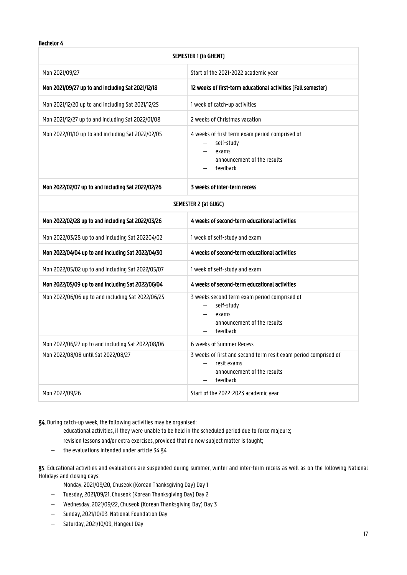### Bachelor 4

| <b>SEMESTER 1 (in GHENT)</b>                      |                                                                                                                           |  |
|---------------------------------------------------|---------------------------------------------------------------------------------------------------------------------------|--|
| Mon 2021/09/27                                    | Start of the 2021-2022 academic year                                                                                      |  |
| Mon 2021/09/27 up to and including Sat 2021/12/18 | 12 weeks of first-term educational activities (Fall semester)                                                             |  |
| Mon 2021/12/20 up to and including Sat 2021/12/25 | 1 week of catch-up activities                                                                                             |  |
| Mon 2021/12/27 up to and including Sat 2022/01/08 | 2 weeks of Christmas vacation                                                                                             |  |
| Mon 2022/01/10 up to and including Sat 2022/02/05 | 4 weeks of first term exam period comprised of<br>self-study<br>exams<br>announcement of the results<br>feedback          |  |
| Mon 2022/02/07 up to and including Sat 2022/02/26 | 3 weeks of inter-term recess                                                                                              |  |
| SEMESTER 2 (at GUGC)                              |                                                                                                                           |  |
| Mon 2022/02/28 up to and including Sat 2022/03/26 | 4 weeks of second-term educational activities                                                                             |  |
| Mon 2022/03/28 up to and including Sat 202204/02  | 1 week of self-study and exam                                                                                             |  |
| Mon 2022/04/04 up to and including Sat 2022/04/30 | 4 weeks of second-term educational activities                                                                             |  |
| Mon 2022/05/02 up to and including Sat 2022/05/07 | 1 week of self-study and exam                                                                                             |  |
| Mon 2022/05/09 up to and including Sat 2022/06/04 | 4 weeks of second-term educational activities                                                                             |  |
| Mon 2022/06/06 up to and including Sat 2022/06/25 | 3 weeks second term exam period comprised of<br>self-study<br>exams<br>announcement of the results<br>feedback            |  |
| Mon 2022/06/27 up to and including Sat 2022/08/06 | 6 weeks of Summer Recess                                                                                                  |  |
| Mon 2022/08/08 until Sat 2022/08/27               | 3 weeks of first and second term resit exam period comprised of<br>resit exams<br>announcement of the results<br>feedback |  |
| Mon 2022/09/26                                    | Start of the 2022-2023 academic year                                                                                      |  |

§4. During catch-up week, the following activities may be organised:

- $e$  educational activities, if they were unable to be held in the scheduled period due to force majeure;
- revision lessons and/or extra exercises, provided that no new subject matter is taught;
- $-$  the evaluations intended under article 34  $\square$ 4.

§5. Educational activities and evaluations are suspended during summer, winter and inter-term recess as well as on the following National Holidays and closing days:

- Monday, 2021/09/20,Chuseok (Korean Thanksgiving Day) Day 1
- Tuesday, 2021/09/21, Chuseok (Korean Thanksgiving Day) Day 2
- Wednesday, 2021/09/22, Chuseok (Korean Thanksgiving Day) Day 3
- Sunday, 2021/10/03, National Foundation Day
- Saturday, 2021/10/09, Hangeul Day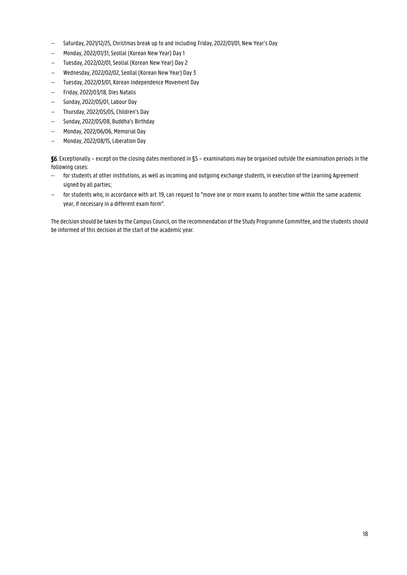- Saturday, 2021/12/25, Christmas break up to and including Friday, 2022/01/01, New Year's Day
- Monday, 2022/01/31, Seollal (Korean New Year) Day 1
- Tuesday, 2022/02/01, Seollal (Korean New Year) Day 2
- Wednesday, 2022/02/02, Seollal (Korean New Year) Day 3
- Tuesday, 2022/03/01, Korean Independence Movement Day
- Friday, 2022/03/18, Dies Natalis
- $-$  Sunday, 2022/05/01, Labour Day
- Thursday, 2022/05/05, Children's Day
- Sunday, 2022/05/08, Buddha's Birthday
- Monday, 2022/06/06, Memorial Day
- Monday, 2022/08/15, Liberation Day

§6. Exceptionally – except on the closing dates mentioned in §5 – examinations may be organised outside the examination periods in the following cases:

- for students at other institutions, as well as incoming and outgoing exchange students, in execution of the Learning Agreement signed by all parties;
- for students who, in accordance with art. 19, can request to "move one or more exams to another time within the same academic year, if necessary in a different exam form".

The decision should be taken by the Campus Council, on the recommendation of the Study Programme Committee, and the students should be informed of this decision at the start of the academic year.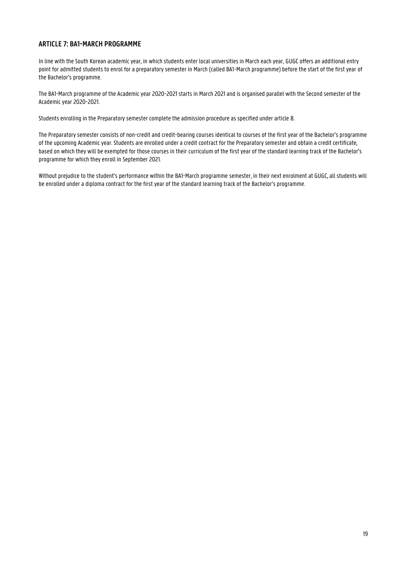## <span id="page-18-0"></span>**ARTICLE 7: BA1-MARCH PROGRAMME**

In line with the South Korean academic year, in which students enter local universities in March each year, GUGC offers an additional entry point for admitted students to enrol for a preparatory semester in March (called BA1-March programme) before the start of the first year of the Bachelor's programme.

The BA1-March programme of the Academic year 2020-2021 starts in March 2021 and is organised parallel with the Second semester of the Academic year 2020-2021.

Students enrolling in the Preparatory semester complete the admission procedure as specified under article 8.

The Preparatory semester consists of non-credit and credit-bearing courses identical to courses of the first year of the Bachelor's programme of the upcoming Academic year. Students are enrolled under a credit contract for the Preparatory semester and obtain a credit certificate, based on which they will be exempted for those courses in their curriculum of the first year of the standard learning track of the Bachelor's programme for which they enroll in September 2021.

Without prejudice to the student's performance within the BA1-March programme semester, in their next enrolment at GUGC, all students will be enrolled under a diploma contract for the first year of the standard learning track of the Bachelor's programme.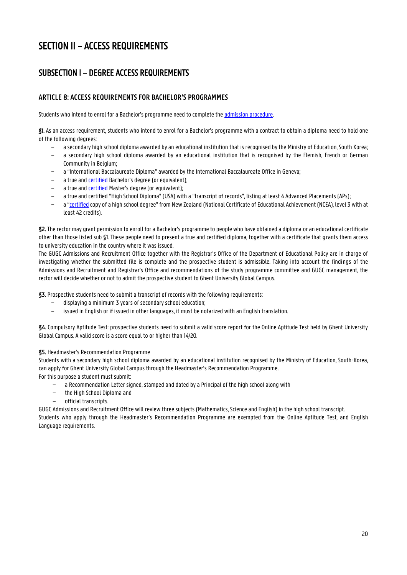## <span id="page-19-0"></span>SECTION II – ACCESS REQUIREMENTS

## <span id="page-19-1"></span>SUBSECTION I – DEGREE ACCESS REQUIREMENTS

## <span id="page-19-2"></span>**ARTICLE 8: ACCESS REQUIREMENTS FOR BACHELOR'S PROGRAMMES**

Students who intend to enrol for a Bachelor's programme need to complete the [admission procedure.](http://www.ghent.ac.kr/)

§1. As an access requirement, students who intend to enrol for a Bachelor's programme with a contract to obtain a diploma need to hold one of the following degrees:

- − a secondary high school diploma awarded by an educational institution that is recognised by the Ministry of Education, South Korea;
- − a secondary high school diploma awarded by an educational institution that is recognised by the Flemish, French or German Community in Belgium;
- − a "International Baccalaureate Diploma" awarded by the International Baccalaureate Office in Geneva;
- a true and **certified** Bachelor's degree (or equivalent);
- − a true an[d certified](https://www.ugent.be/prospect/en/administration/application/application-degree/legalisation.htm) Master's degree (or equivalent);
- − a true and certified "High School Diploma" (USA) with a "transcript of records", listing at least 4 Advanced Placements (APs);
- − a "[certified](https://www.ugent.be/prospect/en/administration/application/application-degree/legalisation.htm) copy of a high school degree" from New Zealand (National Certificate of Educational Achievement (NCEA), level 3 with at least 42 credits).

**§2.**The rector may grant permission to enroll for a Bachelor's programme to people who have obtained a diploma or an educational certificate other than those listed sub §1. These people need to present a true and certified diploma, together with a certificate that grants them access to university education in the country where it was issued.

The GUGC Admissions and Recruitment Office together with the Registrar's Office of the Department of Educational Policy are in charge of investigating whether the submitted file is complete and the prospective student is admissible. Taking into account the findings of the Admissions and Recruitment and Registrar's Office and recommendations of the study programme committee and GUGC management, the rector will decide whether or not to admit the prospective student to Ghent University Global Campus.

**§3.** Prospective students need to submit a transcript of records with the following requirements:

- displaying a minimum 3 years of secondary school education;
- − issued in English or if issued in other languages, it must be notarized with an English translation.

**§4.** Compulsory Aptitude Test: prospective students need to submit a valid score report for the Online Aptitude Test held by Ghent University Global Campus. A valid score is a score equal to or higher than 14/20.

#### **§5.** Headmaster's Recommendation Programme

Students with a secondary high school diploma awarded by an educational institution recognised by the Ministry of Education, South-Korea, can apply for Ghent University Global Campus through the Headmaster's Recommendation Programme.

- For this purpose a student must submit:
	- a Recommendation Letter signed, stamped and dated by a Principal of the high school along with
	- − the High School Diploma and
	- − official transcripts.

GUGC Admissions and Recruitment Office will review three subjects (Mathematics, Science and English) in the high school transcript. Students who apply through the Headmaster's Recommendation Programme are exempted from the Online Aptitude Test, and English Language requirements.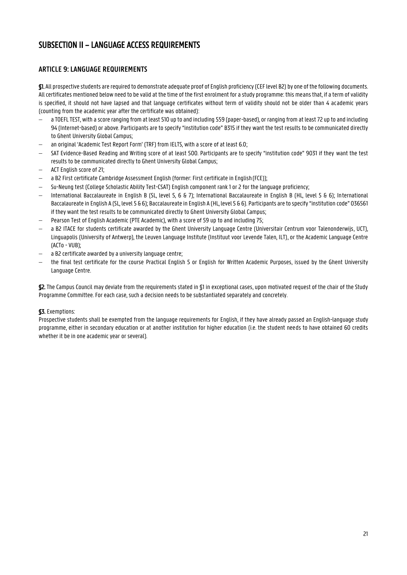## <span id="page-20-0"></span>SUBSECTION II – LANGUAGE ACCESS REQUIREMENTS

## <span id="page-20-1"></span>**ARTICLE 9: LANGUAGE REQUIREMENTS**

§1. All prospective students are required to demonstrate adequate proof of English proficiency (CEF level B2) by one of the following documents. All certificates mentioned below need to be valid at the time of the first enrolment for a study programme: this means that, if a term of validity is specified, it should not have lapsed and that language certificates without term of validity should not be older than 4 academic years (counting from the academic year after the certificate was obtained):

- a TOEFL TEST, with a score ranging from at least 510 up to and including 559 (paper-based), or ranging from at least 72 up to and including 94 (Internet-based) or above. Participants are to specify "institution code" B315 if they want the test results to be communicated directly to Ghent University Global Campus;
- an original 'Academic Test Report Form' (TRF) from IELTS, with a score of at least 6.0;
- SAT Evidence-Based Reading and Writing score of at least 500. Participants are to specify "institution code" 9031 if they want the test results to be communicated directly to Ghent University Global Campus;
- ACT English score of 21;
- a B2 First certificate Cambridge Assessment English (former: First certificate in English(FCE));
- Su-Neung test (College Scholastic Ability Test-CSAT) English component rank 1 or 2 for the language proficiency;
- International Baccalaureate in English B (SL, level 5, 6 & 7); International Baccalaureate in English B (HL, level 5 & 6); International Baccalaureate in English A (SL, level 5 & 6); Baccalaureate in English A (HL, level 5 & 6). Participants are to specify "institution code" 036561 if they want the test results to be communicated directly to Ghent University Global Campus;
- Pearson Test of English Academic (PTE Academic), with a score of 59 up to and including 75;
- a B2 ITACE for students certificate awarded by the Ghent University Language Centre (Universitair Centrum voor Talenonderwijs, UCT), Linguapolis (University of Antwerp), the Leuven Language Institute (Instituut voor Levende Talen, ILT), or the Academic Language Centre (ACTo - VUB);
- a B2 certificate awarded by a university language centre;
- the final test certificate for the course Practical English 5 or English for Written Academic Purposes, issued by the Ghent University Language Centre.

§2. The Campus Council may deviate from the requirements stated in §1 in exceptional cases, upon motivated request of the chair of the Study Programme Committee. For each case, such a decision needs to be substantiated separately and concretely.

## §3. Exemptions:

Prospective students shall be exempted from the language requirements for English, if they have already passed an English-language study programme, either in secondary education or at another institution for higher education (i.e. the student needs to have obtained 60 credits whether it be in one academic year or several).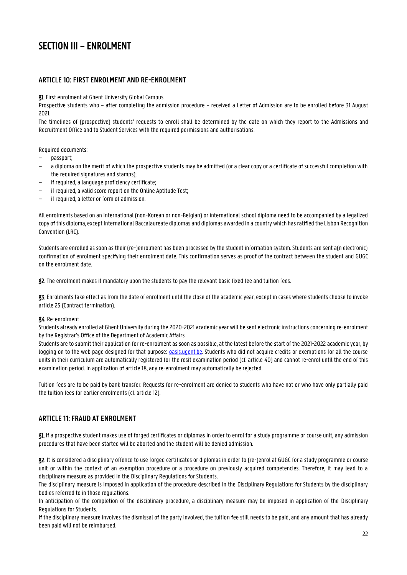## <span id="page-21-0"></span>SECTION III – ENROLMENT

## <span id="page-21-1"></span>**ARTICLE 10: FIRST ENROLMENT AND RE-ENROLMENT**

§1. First enrolment at Ghent University Global Campus

Prospective students who – after completing the admission procedure – received a Letter of Admission are to be enrolled before 31 August 2021.

The timelines of (prospective) students' requests to enroll shall be determined by the date on which they report to the Admissions and Recruitment Office and to Student Services with the required permissions and authorisations.

Required documents:

- − passport;
- − a diploma on the merit of which the prospective students may be admitted (or a clear copy or a certificate of successful completion with the required signatures and stamps);
- − if required, a language proficiency certificate;
- − if required, a valid score report on the Online Aptitude Test;
- if required, a letter or form of admission.

All enrolments based on an international (non-Korean or non-Belgian) or international school diploma need to be accompanied by a legalized copy of this diploma, except International Baccalaureate diplomas and diplomas awarded in a country which has ratified the Lisbon Recognition Convention (LRC).

Students are enrolled as soon as their (re-)enrolment has been processed by the student information system. Students are sent a(n electronic) confirmation of enrolment specifying their enrolment date. This confirmation serves as proof of the contract between the student and GUGC on the enrolment date.

§2. The enrolment makes it mandatory upon the students to pay the relevant basic fixed fee and tuition fees.

§3. Enrolments take effect as from the date of enrolment until the close of the academic year, except in cases where students choose to invoke article 25 (Contract termination).

#### §4. Re-enrolment

Students already enrolled at Ghent University during the 2020-2021 academic year will be sent electronic instructions concerning re-enrolment by the Registrar's Office of the Department of Academic Affairs.

Students are to submit their application for re-enrolment as soon as possible, at the latest before the start of the 2021-2022 academic year, by logging on to the web page designed for that purpose: *oasis.ugent.be*. Students who did not acquire credits or exemptions for all the course units in their curriculum are automatically registered for the resit examination period (cf. article 40) and cannot re-enrol until the end of this examination period. In application of article 18, any re-enrolment may automatically be rejected.

Tuition fees are to be paid by bank transfer. Requests for re-enrolment are denied to students who have not or who have only partially paid the tuition fees for earlier enrolments (cf. article 12).

## <span id="page-21-2"></span>**ARTICLE 11: FRAUD AT ENROLMENT**

§1. If a prospective student makes use of forged certificates or diplomas in order to enrol for a study programme or course unit, any admission procedures that have been started will be aborted and the student will be denied admission.

§2. It is considered a disciplinary offence to use forged certificates or diplomas in order to (re-)enrol at GUGCfor a study programme or course unit or within the context of an exemption procedure or a procedure on previously acquired competencies. Therefore, it may lead to a disciplinary measure as provided in the Disciplinary Regulations for Students.

The disciplinary measure is imposed in application of the procedure described in the Disciplinary Regulations for Students by the disciplinary bodies referred to in those regulations.

In anticipation of the completion of the disciplinary procedure, a disciplinary measure may be imposed in application of the Disciplinary Regulations for Students.

If the disciplinary measure involves the dismissal of the party involved, the tuition fee still needs to be paid, and any amount that has already been paid will not be reimbursed.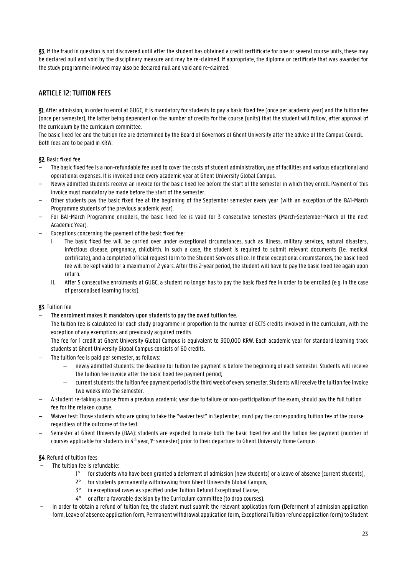§3. If the fraud in question is not discovered until after the student has obtained a credit cerftificate for one or several course units, these may be declared null and void by the disciplinary measure and may be re-claimed. If appropriate, the diploma or certificate that was awarded for the study programme involved may also be declared null and void and re-claimed.

## <span id="page-22-0"></span>**ARTICLE 12: TUITION FEES**

§1. After admission, in order to enrol at GUGC, it is mandatory for students to pay a basic fixed fee (once per academic year) and the tuition fee (once per semester), the latter being dependent on the number of credits for the course (units) that the student will follow, after approval of the curriculum by the curriculum committee.

The basic fixed fee and the tuition fee are determined by the Board of Governors of Ghent University after the advice of the Campus Council. Both fees are to be paid in KRW.

### §2. Basic fixed fee

- − The basic fixed fee is a non-refundable fee used to cover the costs of student administration, use of facilities and various educational and operational expenses. It is invoiced once every academic year at Ghent University Global Campus.
- − Newly admitted students receive an invoice for the basic fixed fee before the start of the semester in which they enroll. Payment of this invoice must mandatory be made before the start of the semester.
- − Other students pay the basic fixed fee at the beginning of the September semester every year (with an exception of the BA1-March Programme students of the previous academic year).
- − For BA1-March Programme enrollers, the basic fixed fee is valid for 3 consecutive semesters (March-September-March of the next Academic Year).
- − Exceptions concerning the payment of the basic fixed fee:
	- I. The basic fixed fee will be carried over under exceptional circumstances, such as Illness, military services, natural disasters, infectious disease, pregnancy, childbirth. In such a case, the student is required to submit relevant documents (i.e. medical certificate), and a completed official request form to the Student Services office. In these exceptional circumstances, the basic fixed fee will be kept valid for a maximum of 2 years. After this 2-year period, the student will have to pay the basic fixed fee again upon return.
	- II. After 5 consecutive enrolments at GUGC, a student no longer has to pay the basic fixed fee in order to be enrolled (e.g. in the case of personalised learning tracks).

#### §3. Tuition fee

- The enrolment makes it mandatory upon students to pay the owed tuition fee.
- The tuition fee is calculated for each study programme in proportion to the number of ECTS credits involved in the curriculum, with the exception of any exemptions and previously acquired credits.
- The fee for 1 credit at Ghent University Global Campus is equivalent to 300,000 KRW. Each academic year for standard learning track students at Ghent University Global Campus consists of 60 credits.
- The tuition fee is paid per semester, as follows:
	- newly admitted students: the deadline for tuition fee payment is before the beginning.of each semester. Students will receive the tuition fee invoice after the basic fixed fee payment period;
	- current students: the tuition fee payment period is the third week of every semester. Students will receive the tuition fee invoice two weeks into the semester.
- A student re-taking a course from a previous academic year due to failure or non-participation of the exam, should pay the full tuition fee for the retaken course.
- Waiver test: Those students who are going to take the "waiver test" in September, must pay the corresponding tuition fee of the course regardless of the outcome of the test.
- Semester at Ghent University (BA4): students are expected to make both the basic fixed fee and the tuition fee payment (number of courses applicable for students in 4<sup>th</sup> year, 1<sup>st</sup> semester) prior to their departure to Ghent University Home Campus.

#### §4. Refund of tuition fees

- − The tuition fee is refundable:
	- 1° for students who have been granted a deferment of admission (new students) or a leave of absence (current students),
	- 2° for students permanently withdrawing from Ghent University Global Campus,
	- 3° in exceptional cases as specified under Tuition Refund Exceptional Clause,
	- 4° or after a favorable decision by the Curriculum committee (to drop courses).
- − In order to obtain a refund of tuition fee, the student must submit the relevant application form (Deferment of admission application form, Leave of absence application form, Permanent withdrawal application form, Exceptional Tuition refund application form) to Student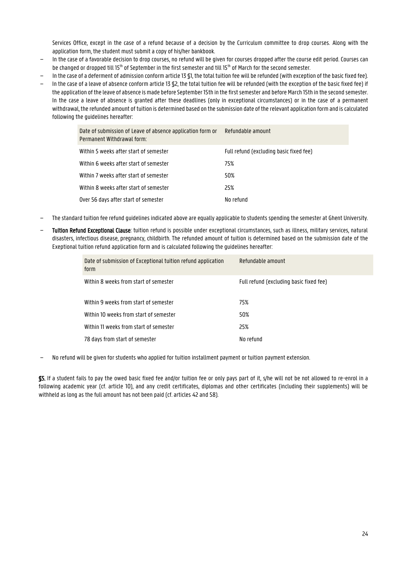Services Office, except in the case of a refund because of a decision by the Curriculum committee to drop courses. Along with the application form, the student must submit a copy of his/her bankbook.

- − In the case of a favorable decision to drop courses, no refund will be given for courses dropped after the course edit period. Courses can be changed or dropped till 15<sup>th</sup> of September in the first semester and till 15<sup>th</sup> of March for the second semester.
- − In the case of a deferment of admission conform article 13 §1, the total tuition fee will be refunded (with exception of the basic fixed fee).
- − In the case of a leave of absence conform article 13 §2, the total tuition fee will be refunded (with the exception of the basic fixed fee) if the application of the leave of absence is made before September 15th in the first semester and before March 15th in the second semester. In the case a leave of absence is granted after these deadlines (only in exceptional circumstances) or in the case of a permanent withdrawal, the refunded amount of tuition is determined based on the submission date of the relevant application formand is calculated following the guidelines hereafter:

| Date of submission of Leave of absence application form or<br>Permanent Withdrawal form: | Refundable amount                       |
|------------------------------------------------------------------------------------------|-----------------------------------------|
| Within 5 weeks after start of semester                                                   | Full refund (excluding basic fixed fee) |
| Within 6 weeks after start of semester                                                   | 75%                                     |
| Within 7 weeks after start of semester                                                   | 50%                                     |
| Within 8 weeks after start of semester                                                   | 25%                                     |
| Over 56 days after start of semester                                                     | No refund                               |

- − The standard tuition fee refund guidelines indicated above are equally applicable to students spending the semester at Ghent University.
- Tuition Refund Exceptional Clause: tuition refund is possible under exceptional circumstances, such as illness, military services, natural disasters, infectious disease, pregnancy, childbirth. The refunded amount of tuition is determined based on the submission date of the Exeptional tuition refund application form and is calculated following the guidelines hereafter:

| Date of submission of Exceptional tuition refund application<br>form | Refundable amount                       |
|----------------------------------------------------------------------|-----------------------------------------|
| Within 8 weeks from start of semester                                | Full refund (excluding basic fixed fee) |
| Within 9 weeks from start of semester                                | 75%                                     |
| Within 10 weeks from start of semester                               | 50%                                     |
| Within 11 weeks from start of semester                               | 25%                                     |
| 78 days from start of semester                                       | No refund                               |

− No refund will be given for students who applied for tuition installment payment or tuition payment extension.

§5. If a student fails to pay the owed basic fixed fee and/or tuition fee or only pays part of it, s/he will not be not allowed to re-enrol in a following academic year (cf. article 10), and any credit certificates, diplomas and other certificates (including their supplements) will be withheld as long as the full amount has not been paid (cf. articles 42 and 58).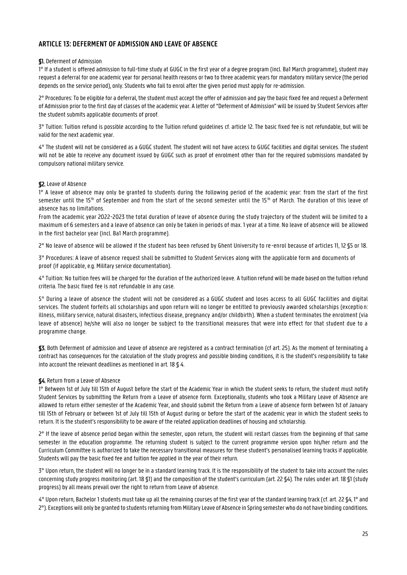## <span id="page-24-0"></span>**ARTICLE 13: DEFERMENT OF ADMISSION AND LEAVE OF ABSENCE**

#### §1. Deferment of Admission

1° If a student is offered admission to full-time study at GUGC in the first year of a degree program (incl. Ba1 March programme), student may request a deferral for one academic year for personal health reasons or two to three academic years for mandatory military service (the period depends on the service period), only. Students who fail to enrol after the given period must apply for re-admission.

2° Procedures: To be eligible for a deferral, the student must accept the offer of admission and pay the basic fixed fee and request a Deferment of Admission prior to the first day of classes of the academic year. A letter of "Deferment of Admission" will be issued by Student Services after the student submits applicable documents of proof.

3° Tuition: Tuition refund is possible according to the Tuition refund guidelines cf. article 12. The basic fixed fee is not refundable, but will be valid for the next academic year.

4° The student will not be considered as a GUGC student. The student will not have access to GUGC facilities and digital services. The student will not be able to receive any document issued by GUGC such as proof of enrolment other than for the required submissions mandated by compulsory national military service.

### §2. Leave of Absence

1° A leave of absence may only be granted to students during the following period of the academic year: from the start of the first semester until the 15<sup>th</sup> of September and from the start of the second semester until the 15<sup>th</sup> of March. The duration of this leave of absence has no limitations.

From the academic year 2022-2023 the total duration of leave of absence during the study trajectory of the student will be limited to a maximum of 6 semesters and a leave of absence can only be taken in periods of max. 1 year at a time. No leave of absence will be allowed in the first bachelor year (incl. Ba1 March programme).

2° No leave of absence will be allowed if the student has been refused by Ghent University to re -enrol because of articles 11, 12 §5 or 18.

3° Procedures: A leave of absence request shall be submitted to Student Services along with the applicable form and documents of proof (if applicable, e.g. Military service documentation).

4° Tuition: No tuition fees will be charged for the duration of the authorized leave. A tuition refund will be made based on the tuition refund criteria. The basic fixed fee is not refundable in any case.

5° During a leave of absence the student will not be considered as a GUGC student and loses access to all GUGC facilities and digital services. The student forfeits all scholarships and upon return will no longer be entitled to previously awarded scholarships (exceptio n: illness, military service, natural disasters, infectious disease, pregnancy and/or childbirth). When a student terminates the enrolment (via leave of absence) he/she will also no longer be subject to the transitional measures that were into effect for that student due to a programme change.

§3. Both Deferment of admission and Leave of absence are registered as a contract termination (cf art. 25). As the moment of terminating a contract has consequences for the calculation of the study progress and possible binding conditions, it is the student's responsibility to take into account the relevant deadlines as mentioned in art. 18 § 4.

#### §4. Return from a Leave of Absence

1° Between 1st of July till 15th of August before the start of the Academic Year in which the student seeks to return, the student must notify Student Services by submitting the Return from a Leave of absence form. Exceptionally, students who took a Military Leave of Absence are allowed to return either semester of the Academic Year, and should submit the Return from a Leave of absence form between 1st of January till 15th of February or between 1st of July till 15th of August during or before the start of the academic year in which the student seeks to return. It is the student's responsibility to be aware of the related application deadlines of housing and scholarship.

2° If the leave of absence period began within the semester, upon return, the student will restart classes from the beginning of that same semester in the education programme. The returning student is subject to the current programme version upon his/her return and the Curriculum Committee is authorized to take the necessary transitional measures for these student's personalised learning tracks if applicable. Students will pay the basic fixed fee and tuition fee applied in the year of their return.

3° Upon return, the student will no longer be in a standard learning track. It is the responsibility of the student to take into account the rules concerning study progress monitoring (art. 18 §1) and the composition of the student's curriculum (art. 22 §4). The rules under art. 18 §1 (study progress) by all means prevail over the right to return from Leave of absence.

4° Upon return, Bachelor 1 students must take up all the remaining courses of the first year of the standard learning track (cf. art. 22 §4, 1° and 2°). Exceptions will only be granted to students returning from Military Leave of Absence in Spring semester who do not have binding conditions.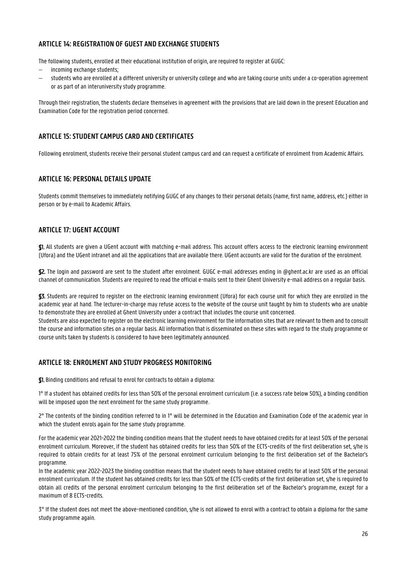## <span id="page-25-0"></span>**ARTICLE 14: REGISTRATION OF GUEST AND EXCHANGE STUDENTS**

The following students, enrolled at their educational institution of origin, are required to register at GUGC:

- incoming exchange students;
- students who are enrolled at a different university or university college and who are taking course units under a co-operation agreement or as part of an interuniversity study programme.

Through their registration, the students declare themselves in agreement with the provisions that are laid down in the present Education and Examination Code for the registration period concerned.

### <span id="page-25-1"></span>**ARTICLE 15: STUDENT CAMPUS CARD AND CERTIFICATES**

Following enrolment, students receive their personal student campus card and can request a certificate of enrolment from Academic Affairs.

### <span id="page-25-2"></span>**ARTICLE 16: PERSONAL DETAILS UPDATE**

Students commit themselves to immediately notifying GUGC of any changes to their personal details (name, first name, address, etc.) either in person or by e-mail to Academic Affairs.

### <span id="page-25-3"></span>**ARTICLE 17: UGENT ACCOUNT**

§1. All students are given a UGent account with matching e-mail address. This account offers access to the electronic learning environment (Ufora) and the UGent intranet and all the applications that are available there. UGent accounts are valid for the duration of the enrolment.

§2. The login and password are sent to the student after enrolment. GUGC e-mail addresses ending in @ghent.ac.kr are used as an official channel of communication. Students are required to read the official e-mails sent to their Ghent University e-mail address on a regular basis.

§3. Students are required to register on the electronic learning environment (Ufora) for each course unit for which they are enrolled in the academic year at hand. The lecturer-in-charge may refuse access to the website of the course unit taught by him to students who are unable to demonstrate they are enrolled at Ghent University under a contract that includes the course unit concerned.

Students are also expected to register on the electronic learning environment for the information sites that are relevant to them and to consult the course and information sites on a regular basis. All information that is disseminated on these sites with regard to the study programme or course units taken by students is considered to have been legitimately announced.

## <span id="page-25-4"></span>**ARTICLE 18: ENROLMENT AND STUDY PROGRESS MONITORING**

§1. Binding conditions and refusal to enrol for contracts to obtain a diploma:

1° If a student has obtained credits for less than 50% of the personal enrolment curriculum (i.e. a success rate below 50%), a binding condition will be imposed upon the next enrolment for the same study programme.

2° The contents of the binding condition referred to in 1° will be determined in the Education and Examination Code of the academic year in which the student enrols again for the same study programme.

For the academic year 2021-2022 the binding condition means that the student needs to have obtained credits for at least 50% of the personal enrolment curriculum. Moreover, if the student has obtained credits for less than 50% of the ECTS-credits of the first deliberation set, s/he is required to obtain credits for at least 75% of the personal enrolment curriculum belonging to the first deliberation set of the Bachelor's programme.

In the academic year 2022-2023 the binding condition means that the student needs to have obtained credits for at least 50% of the personal enrolment curriculum. If the student has obtained credits for less than 50% of the ECTS-credits of the first deliberation set, s/he is required to obtain all credits of the personal enrolment curriculum belonging to the first deliberation set of the Bachelor's programme, except for a maximum of 8 ECTS-credits.

3° If the student does not meet the above-mentioned condition, s/he is not allowed to enrol with a contract to obtain a diploma for the same study programme again.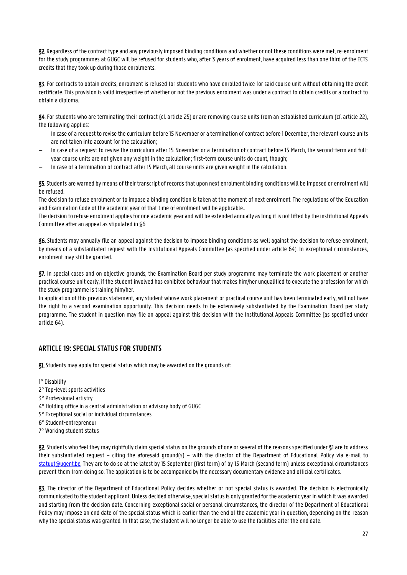§2. Regardless of the contract type and any previously imposed binding conditions and whether or not these conditions were met, re-enrolment for the study programmes at GUGC will be refused for students who, after 3 years of enrolment, have acquired less than one third of the ECTS credits that they took up during those enrolments.

§3. For contracts to obtain credits, enrolment is refused for students who have enrolled twice for said course unit without obtaining the credit certificate. This provision is valid irrespective of whether or not the previous enrolment was under a contract to obtain credits or a contract to obtain a diploma.

§4. For students who are terminating their contract (cf. article 25) or are removing course units from an established curriculum (cf. article 22), the following applies:

- In case of a request to revise the curriculum before 15 November or a termination of contract before 1 December, the relevant course units are not taken into account for the calculation;
- In case of a request to revise the curriculum after 15 November or a termination of contract before 15 March, the second-term and fullyear course units are not given any weight in the calculation; first-term course units do count, though;
- In case of a termination of contract after 15 March, all course units are given weight in the calculation.

§5.Students are warned by means of their transcript of records that upon next enrolment binding conditions will be imposed or enrolment will be refused.

The decision to refuse enrolment or to impose a binding condition is taken at the moment of next enrolment. The regulations of the Education and Examination Code of the academic year of that time of enrolment will be applicable..

The decision to refuse enrolment applies for one academic year and will be extended annually as long it is not lifted by the institutional Appeals Committee after an appeal as stipulated in §6.

§6. Students may annually file an appeal against the decision to impose binding conditions as well against the decision to refuse enrolment, by means of a substantiated request with the Institutional Appeals Committee (as specified under article 64). In exceptional circumstances, enrolment may still be granted.

§7. In special cases and on objective grounds, the Examination Board per study programme may terminate the work placement or another practical course unit early, if the student involved has exhibited behaviour that makes him/her unqualified to execute the profession for which the study programme is training him/her.

In application of this previous statement, any student whose work placement or practical course unit has been terminated early, will not have the right to a second examination opportunity. This decision needs to be extensively substantiated by the Examination Board per study programme. The student in question may file an appeal against this decision with the Institutional Appeals Committee (as specified under article 64).

## <span id="page-26-0"></span>**ARTICLE 19: SPECIAL STATUS FOR STUDENTS**

§1. Students may apply for special status which may be awarded on the grounds of:

1° Disability

- 2° Top-level sports activities
- 3° Professional artistry
- 4° Holding office in a central administration or advisory body of GUGC
- 5° Exceptional social or individual circumstances
- 6° Student-entrepreneur
- 7° Working student status

§2.Students who feel they may rightfully claim special status on the grounds of one or several of the reasons specified under §1 are to address their substantiated request – citing the aforesaid ground(s) – with the director of the Department of Educational Policy via e-mail to [statuut@ugent.be.](mailto:statuut@ugent.be) They are to do so at the latest by 15 September (first term) of by 15 March (second term) unless exceptional circumstances prevent them from doing so. The application is to be accompanied by the necessary documentary evidence and official certificates.

§3. The director of the Department of Educational Policy decides whether or not special status is awarded. The decision is electronically communicated to the student applicant. Unless decided otherwise, special status is only granted for the academic year in which it was awarded and starting from the decision date. Concerning exceptional social or personal circumstances, the director of the Department of Educational Policy may impose an end date of the special status which is earlier than the end of the academic year in question, depending on the reason why the special status was granted. In that case, the student will no longer be able to use the facilities after the end date.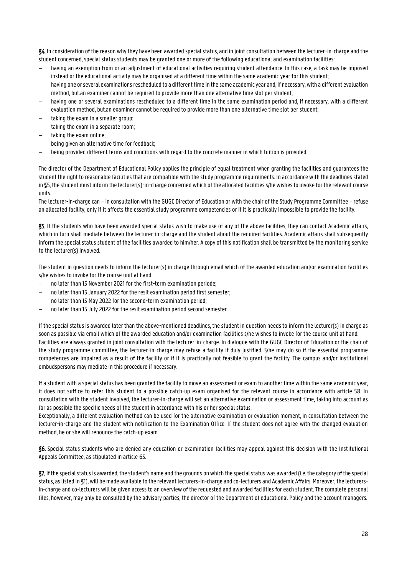§4. In consideration of the reason why they have been awarded special status, and in joint consultation between the lecturer-in-charge and the student concerned, special status students may be granted one or more of the following educational and examination facilities:

- having an exemption from or an adjustment of educational activities requiring student attendance. In this case, a task may be imposed instead or the educational activity may be organised at a different time within the same academic year for this student;
- having one or several examinations rescheduled to a different time in the same academic year and, if necessary, with a different evaluation method, but.an examiner cannot be required to provide more than one alternative time slot per student;
- having one or several examinations rescheduled to a different time in the same examination period and, if necessary, with a different evaluation method, but.an examiner cannot be required to provide more than one alternative time slot per student;
- taking the exam in a smaller group:
- taking the exam in a separate room;
- taking the exam online;
- being given an alternative time for feedback;
- being provided different terms and conditions with regard to the concrete manner in which tuition is provided.

The director of the Department of Educational Policy applies the principle of equal treatment when granting the facilities and guarantees the student the right to reasonable facilities that are compatible with the study programme requirements. In accordance with the deadlines stated in §5, the student must inform the lecturer(s)-in-charge concerned which of the allocated facilities s/he wishes to invoke for the relevant course units.

The lecturer-in-charge can – in consultation with the GUGC Director of Education or with the chair of the Study Programme Committee – refuse an allocated facility, only if it affects the essential study programme competencies or if it is practically impossible to provide the facility.

§5. If the students who have been awarded special status wish to make use of any of the above facilities, they can contact Academic affairs, which in turn shall mediate between the lecturer-in-charge and the student about the required facilities. Academic affairs shall subsequently inform the special status student of the facilities awarded to him/her. A copy of this notification shall be transmitted by the monitoring service to the lecturer(s) involved.

The student in question needs to inform the lecturer(s) in charge through email which of the awarded education and/or examination facilities s/he wishes to invoke for the course unit at hand:

- no later than 15 November 2021 for the first-term examination periode;
- no later than 15 January 2022 for the resit examination period first semester;
- no later than 15 May 2022 for the second-term examination period;
- no later than 15 July 2022 for the resit examination period second semester.

If the special status is awarded later than the above-mentioned deadlines, the student in question needs to inform the lecturer(s) in charge as soon as possible via email which of the awarded education and/or examination facilities s/he wishes to invoke for the course unit at hand. Facilities are always granted in joint consultation with the lecturer-in-charge. In dialogue with the GUGC Director of Education or the chair of the study programme committee, the lecturer-in-charge may refuse a facility if duly justified. S/he may do so if the essential programme competences are impaired as a result of the facility or if it is practically not feasible to grant the facility. The campus and/or institutional ombudspersons may mediate in this procedure if necessary.

If a student with a special status has been granted the facility to move an assessment or exam to another time within the same academic year, it does not suffice to refer this student to a possible catch-up exam organised for the relevant course in accordance with article 58. In consultation with the student involved, the lecturer-in-charge will set an alternative examination or assessment time, taking into account as far as possible the specific needs of the student in accordance with his or her special status.

Exceptionally, a different evaluation method can be used for the alternative examination or evaluation moment, in consultation between the lecturer-in-charge and the student with notification to the Examination Office. If the student does not agree with the changed evaluation method, he or she will renounce the catch-up exam.

§6. Special status students who are denied any education or examination facilities may appeal against this decision with the Institutional Appeals Committee, as stipulated in article 65.

§7. If the special status is awarded, the student's name and the grounds on which the special status was awarded (i.e. the category of the special status, as listed in §1), will be made available to the relevant lecturers-in-charge and co-lecturers and Academic Affairs. Moreover, the lecturersin-charge and co-lecturers will be given access to an overview of the requested and awarded facilities for each student. The complete personal files, however, may only be consulted by the advisory parties, the director of the Department of educational Policy and the account managers.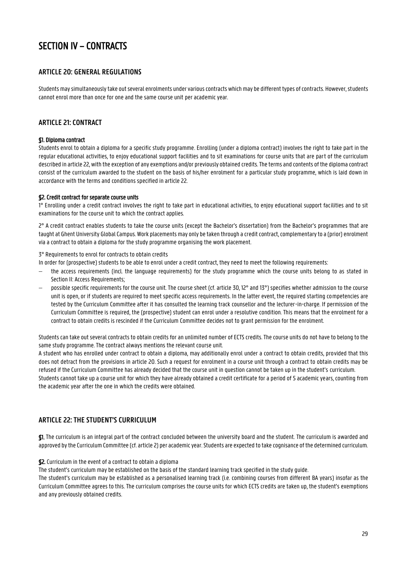## <span id="page-28-0"></span>SECTION IV – CONTRACTS

## <span id="page-28-1"></span>**ARTICLE 20: GENERAL REGULATIONS**

Students may simultaneously take out several enrolments under various contracts which may be different types of contracts. However, students cannot enrol more than once for one and the same course unit per academic year.

## <span id="page-28-2"></span>**ARTICLE 21: CONTRACT**

#### §1. Diploma contract

Students enrol to obtain a diploma for a specific study programme. Enrolling (under a diploma contract) involves the right to take part in the regular educational activities, to enjoy educational support facilities and to sit examinations for course units that are part of the curriculum described in article 22, with the exception of any exemptions and/or previously obtained credits. The terms and contents of the diploma contract consist of the curriculum awarded to the student on the basis of his/her enrolment for a particular study programme, which is laid down in accordance with the terms and conditions specified in article 22.

#### §2. Credit contract for separate course units

1° Enrolling under a credit contract involves the right to take part in educational activities, to enjoy educational support facilities and to sit examinations for the course unit to which the contract applies.

2° A credit contract enables students to take the course units (except the Bachelor's dissertation) from the Bachelor's programmes that are taught at Ghent University Global Campus. Work placements may only be taken through a credit contract, complementary to a (prior) enrolment via a contract to obtain a diploma for the study programme organising the work placement.

3° Requirements to enrol for contracts to obtain credits

In order for (prospective) students to be able to enrol under a credit contract, they need to meet the following requirements:

- the access requirements (incl. the language requirements) for the study programme which the course units belong to as stated in Section II: Access Requirements;
- possible specific requirements for the course unit. The course sheet (cf. article 30, 12° and 13°) specifies whether admission to the course unit is open, or if students are required to meet specific access requirements. In the latter event, the required starting competencies are tested by the Curriculum Committee after it has consulted the learning track counsellor and the lecturer-in-charge. If permission of the Curriculum Committee is required, the (prospective) student can enrol under a resolutive condition. This means that the enrolment for a contract to obtain credits is rescinded if the Curriculum Committee decides not to grant permission for the enrolment.

Students can take out several contracts to obtain credits for an unlimited number of ECTS credits. The course units do not have to belong to the same study programme. The contract always mentions the relevant course unit.

A student who has enrolled under contract to obtain a diploma, may additionally enrol under a contract to obtain credits, provided that this does not detract from the provisions in article 20. Such a request for enrolment in a course unit through a contract to obtain credits may be refused if the Curriculum Committee has already decided that the course unit in question cannot be taken up in the student's curriculum. Students cannot take up a course unit for which they have already obtained a credit certificate for a period of 5 academic years, counting from the academic year after the one in which the credits were obtained.

## <span id="page-28-3"></span>**ARTICLE 22: THE STUDENT'S CURRICULUM**

§1. The curriculum is an integral part of the contract concluded between the university board and the student. The curriculum is awarded and approved by the Curriculum Committee (cf. article 2) per academic year. Students are expected to take cognisance of the determined curriculum.

§2. Curriculum in the event of a contract to obtain a diploma

The student's curriculum may be established on the basis of the standard learning track specified in the study guide.

The student's curriculum may be established as a personalised learning track (i.e. combining courses from different BA years) insofar as the Curriculum Committee agrees to this. The curriculum comprises the course units for which ECTS credits are taken up, the student's exemptions and any previously obtained credits.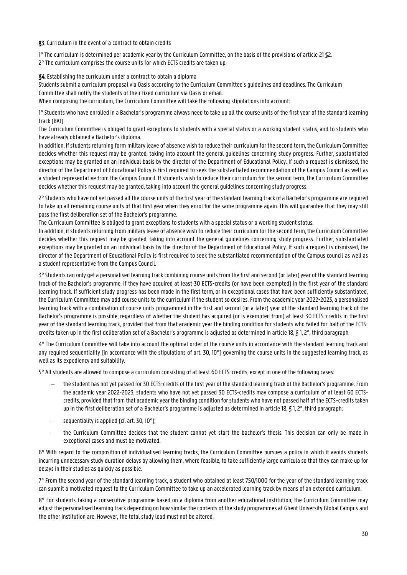#### §3. Curriculum in the event of a contract to obtain credits

1° The curriculum is determined per academic year by the Curriculum Committee, on the basis of the provisions of article 21 §2.

2° The curriculum comprises the course units for which ECTS credits are taken up.

§4. Establishing the curriculum under a contract to obtain a diploma

Students submit a curriculum proposal via Oasis according to the Curriculum Committee's guidelines and deadlines. The Curriculum Committee shall notify the students of their fixed curriculum via Oasis or email.

When composing the curriculum, the Curriculum Committee will take the following stipulations into account:

1° Students who have enrolled in a Bachelor's programme always need to take up all the course units of the first year of the standard learning track (BA1).

The Curriculum Committee is obliged to grant exceptions to students with a special status or a working student status, and to students who have already obtained a Bachelor's diploma.

In addition, if students returning form military leave of absence wish to reduce their curriculum for the second term, the Curriculum Committee decides whether this request may be granted, taking into account the general guidelines concerning study progress. Further, substantiated exceptions may be granted on an individual basis by the director of the Department of Educational Policy. If such a request is dismissed, the director of the Department of Educational Policy is first required to seek the substantiated recommendation of the Campus Council as well as a student representative from the Campus Council. If students wish to reduce their curriculum for the second term, the Curriculum Committee decides whether this request may be granted, taking into account the general guidelines concerning study progress.

2° Students who have not yet passed all the course units of the first year of the standard learning track of a Bachelor's programme are required to take up all remaining course units of that first year when they enrol for the same programme again. This will guarantee that they may still pass the first deliberation set of the Bachelor's programme.

The Curriculum Committee is obliged to grant exceptions to students with a special status or a working student status.

In addition, if students returning from military leave of absence wish to reduce their curriculum for the second term, the Curriculum Committee decides whether this request may be granted, taking into account the general guidelines concerning study progress. Further, substantiated exceptions may be granted on an individual basis by the director of the Department of Educational Policy. If such a request is dismissed, the director of the Department of Educational Policy is first required to seek the substantiated recommendation of the Campus council as well as a student representative from the Campus Council.

3° Students can only get a personalised learning track combining course units from the first and second (or later) year of the standard learning track of the Bachelor's programme, if they have acquired at least 30 ECTS-credits (or have been exempted) in the first year of the standard learning track. If sufficient study progress has been made in the first term, or in exceptional cases that have been sufficiently substantiated, the Curriculum Committee may add course units to the curriculum if the student so desires. From the academic year 2022-2023, a personalised learning track with a combination of course units programmed in the first and second (or a later) year of the standard learning track of the Bachelor's programme is possible, regardless of whether the student has acquired (or is exempted from) at least 30 ECTS-credits in the first year of the standard learning track, provided that from that academic year the binding condition for students who failed for half of the ECTScredits taken up in the first deliberation set of a Bachelor's programme is adjusted as determined in article 18, § 1, 2°, third paragraph.

4° The Curriculum Committee will take into account the optimal order of the course units in accordance with the standard learning track and any required sequentiality (in accordance with the stipulations of art. 30, 10°) governing the course units in the suggested learning track, as well as its expediency and suitability.

5° All students are allowed to compose a curriculum consisting of at least 60 ECTS-credits, except in one of the following cases:

- the student has not yet passed for 30 ECTS-credits of the first year of the standard learning track of the Bachelor's programme. From the academic year 2022-2023, students who have not yet passed 30 ECTS-credits may compose a curriculum of at least 60 ECTScredits, provided that from that academic year the binding condition for students who have not passed half of the ECTS-credits taken up in the first deliberation set of a Bachelor's programme is adjusted as determined in article 18, \$1, 2°, third paragraph;
- sequentiality is applied (cf. art. 30, 10°);
- the Curriculum Committee decides that the student cannot yet start the bachelor's thesis. This decision can only be made in exceptional cases and must be motivated.

6° With regard to the composition of individualised learning tracks, the Curriculum Committee pursues a policy in which it avoids students incurring unnecessary study duration delays by allowing them, where feasible, to take sufficiently large curricula so that they can make up for delays in their studies as quickly as possible.

7° From the second year of the standard learning track, a student who obtained at least 750/1000 for the year of the standard learning track can submit a motivated request to the Curriculum Committee to take up an accelerated learning track by means of an extended curriculum.

8° For students taking a consecutive programme based on a diploma from another educational institution, the Curriculum Committee may adjust the personalised learning track depending on how similar the contents of the study programmes at Ghent University Global Campus and the other institution are. However, the total study load must not be altered.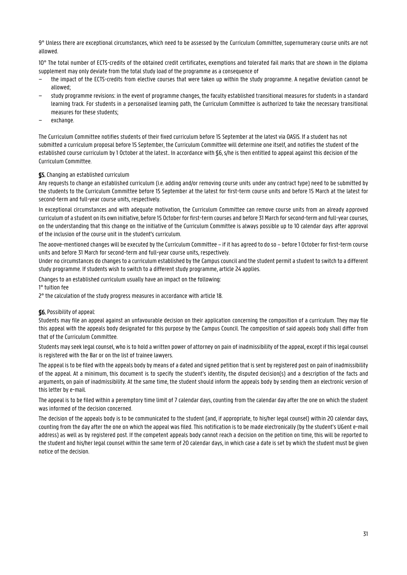9° Unless there are exceptional circumstances, which need to be assessed by the Curriculum Committee, supernumerary course units are not allowed.

10° The total number of ECTS-credits of the obtained credit certificates, exemptions and tolerated fail marks that are shown in the diploma supplement may only deviate from the total study load of the programme as a consequence of

- − the impact of the ECTS-credits from elective courses that were taken up within the study programme. A negative deviation cannot be allowed;
- study programme revisions: in the event of programme changes, the faculty established transitional measures for students in a standard learning track. For students in a personalised learning path, the Curriculum Committee is authorized to take the necessary transitional measures for these students;
- − exchange.

The Curriculum Committee notifies students of their fixed curriculum before 15 September at the latest via OASIS. If a student has not submitted a curriculum proposal before 15 September, the Curriculum Committee will determine one itself, and notifies the student of the established course curriculum by 1 October at the latest.. In accordance with \$6, s/he is then entitled to appeal against this decision of the Curriculum Committee.

#### §5. Changing an established curriculum

Any requests to change an established curriculum (i.e. adding and/or removing course units under any contract type) need to be submitted by the students to the Curriculum Committee before 15 September at the latest for first-term course units and before 15 March at the latest for second-term and full-year course units, respectively.

In exceptional circumstances and with adequate motivation, the Curriculum Committee can remove course units from an already approved curriculum of a student on its own initiative, before 15 October for first-term courses and before 31 March for second-term and full-year courses, on the understanding that this change on the initiative of the Curriculum Committee is always possible up to 10 calendar days after approval of the inclusion of the course unit in the student's curriculum.

The aoove-mentioned changes will be executed by the Curriculum Committee – if it has agreed to do so – before 1 October for first-term course units and before 31 March for second-term and full-year course units, respectively.

Under no circumstances do changes to a curriculum established by the Campus council and the student permit a student to switch to a different study programme. If students wish to switch to a different study programme, article 24 applies.

Changes to an established curriculum usually have an impact on the following:

1° tuition fee

2° the calculation of the study progress measures in accordance with article 18.

#### §6. Possibility of appeal:

Students may file an appeal against an unfavourable decision on their application concerning the composition of a curriculum. They may file this appeal with the appeals body designated for this purpose by the Campus Council. The composition of said appeals body shall differ from that of the Curriculum Committee.

Students may seek legal counsel, who is to hold a written power of attorney on pain of inadmissibility of the appeal, except if this legal counsel is registered with the Bar or on the list of trainee lawyers.

The appeal is to be filed with the appeals body by means of a dated and signed petition that is sent by registered post on pain of inadmissibility of the appeal. At a minimum, this document is to specify the student's identity, the disputed decision(s) and a description of the facts and arguments, on pain of inadmissibility. At the same time, the student should inform the appeals body by sending them an electronic version of this letter by e-mail.

The appeal is to be filed within a peremptory time limit of 7 calendar days, counting from the calendar day after the one on which the student was informed of the decision concerned.

The decision of the appeals body is to be communicated to the student (and, if appropriate, to his/her legal counsel) within 20 calendar days, counting from the day after the one on which the appeal was filed. This notification is to be made electronically (by the student's UGent e-mail address) as well as by registered post. If the competent appeals body cannot reach a decision on the petition on time, this will be reported to the student and his/her legal counsel within the same term of 20 calendar days, in which case a date is set by which the student must be given notice of the decision.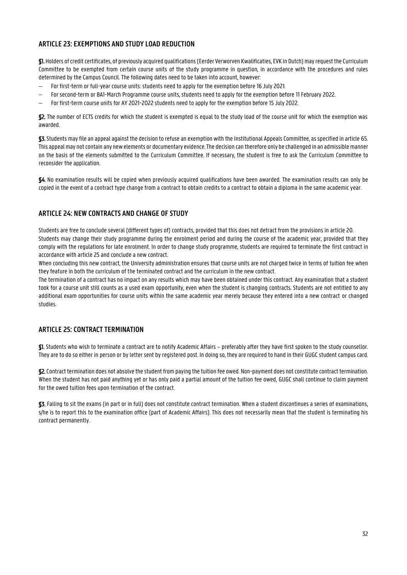## <span id="page-31-0"></span>**ARTICLE 23: EXEMPTIONS AND STUDY LOAD REDUCTION**

§1. Holders of credit certificates, of previously acquired qualifications (Eerder Verworven Kwalificaties, EVK in Dutch) may request the Curriculum Committee to be exempted from certain course units of the study programme in question, in accordance with the procedures and rules determined by the Campus Council. The following dates need to be taken into account, however:

- For first-term or full-year course units: students need to apply for the exemption before 16 July 2021.
- For second-term or BA1-March Programme course units, students need to apply for the exemption before 11 February 2022.
- For first-term course units for AY 2021-2022 students need to apply for the exemption before 15 July 2022.

§2. The number of ECTS credits for which the student is exempted is equal to the study load of the course unit for which the exemption was awarded.

§3. Students may file an appeal against the decision to refuse an exemption with the Institutional Appeals Committee, as specified in article 65. This appeal may not contain any new elements or documentary evidence. The decision can therefore only be challenged in an admissiblemanner on the basis of the elements submitted to the Curriculum Committee. If necessary, the student is free to ask the Curriculum Committee to reconsider the application.

§4. No examination results will be copied when previously acquired qualifications have been awarded. The examination results can only be copied in the event of a contract type change from a contract to obtain credits to a contract to obtain a diploma in the same academic year.

## <span id="page-31-1"></span>**ARTICLE 24: NEW CONTRACTS AND CHANGE OF STUDY**

Students are free to conclude several (different types of) contracts, provided that this does not detract from the provisions in article 20. Students may change their study programme during the enrolment period and during the course of the academic year, provided that they comply with the regulations for late enrolment. In order to change study programme, students are required to terminate the first contract in accordance with article 25 and conclude a new contract.

When concluding this new contract, the University administration ensures that course units are not charged twice in terms of tuition fee when they feature in both the curriculum of the terminated contract and the curriculum in the new contract.

The termination of a contract has no impact on any results which may have been obtained under this contract. Any examination that a student took for a course unit still counts as a used exam opportunity, even when the student is changing contracts. Students are not entitled to any additional exam opportunities for course units within the same academic year merely because they entered into a new contract or changed studies.

## <span id="page-31-2"></span>**ARTICLE 25: CONTRACT TERMINATION**

§1. Students who wish to terminate a contract are to notify Academic Affairs – preferably after they have first spoken to the study counsellor. They are to do so either in person or by letter sent by registered post. In doing so, they are required to hand in their GUGC student campus card.

§2.Contract termination does not absolve the student from paying the tuition fee owed. Non-payment does not constitute contract termination. When the student has not paid anything yet or has only paid a partial amount of the tuition fee owed, GUGC shall continue to claim payment for the owed tuition fees upon termination of the contract.

§3. Failing to sit the exams (in part or in full) does not constitute contract termination. When a student discontinues a series of examinations, s/he is to report this to the examination office (part of Academic Affairs). This does not necessarily mean that the student is terminating his contract permanently.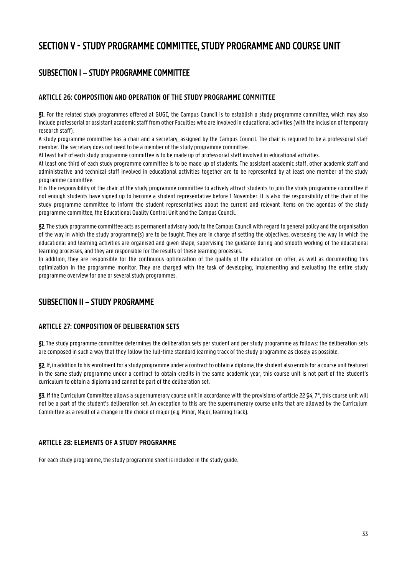## <span id="page-32-0"></span>SECTION V - STUDY PROGRAMME COMMITTEE, STUDY PROGRAMME AND COURSE UNIT

## <span id="page-32-1"></span>SUBSECTION I – STUDY PROGRAMME COMMITTEE

## <span id="page-32-2"></span>**ARTICLE 26: COMPOSITION AND OPERATION OF THE STUDY PROGRAMME COMMITTEE**

§1. For the related study programmes offered at GUGC, the Campus Council is to establish a study programme committee, which may also include professorial or assistant academic staff from other Faculties who are involved in educational activities (with the inclusion of temporary research staff).

A study programme committee has a chair and a secretary, assigned by the Campus Council. The chair is required to be a professorial staff member. The secretary does not need to be a member of the study programme committee.

At least half of each study programme committee is to be made up of professorial staff involved in educational activities.

At least one third of each study programme committee is to be made up of students. The assistant academic staff, other academic staff and administrative and technical staff involved in educational activities together are to be represented by at least one member of the study programme committee.

It is the responsibility of the chair of the study programme committee to actively attract students to join the study programme committee if not enough students have signed up to become a student representative before 1 November. It is also the responsibility of the chair of the study programme committee to inform the student representatives about the current and relevant items on the agendas of the study programme committee, the Educational Quality Control Unit and the Campus Council.

§2. The study programme committee acts as permanent advisory body to the Campus Council with regard to general policy and the organisation of the way in which the study programme(s) are to be taught. They are in charge of setting the objectives, overseeing the way in which the educational and learning activities are organised and given shape, supervising the guidance during and smooth working of the educational learning processes, and they are responsible for the results of these learning processes.

In addition, they are responsible for the continuous optimization of the quality of the education on offer, as well as documenting this optimization in the programme monitor. They are charged with the task of developing, implementing and evaluating the entire study programme overview for one or several study programmes.

## <span id="page-32-3"></span>SUBSECTION II – STUDY PROGRAMME

## <span id="page-32-4"></span>**ARTICLE 27: COMPOSITION OF DELIBERATION SETS**

§1. The study programme committee determines the deliberation sets per student and per study programme as follows: the deliberation sets are composed in such a way that they follow the full-time standard learning track of the study programme as closely as possible.

§2. If, in addition to his enrolment for a study programme under a contract to obtain a diploma, the student also enrols for a course unit featured in the same study programme under a contract to obtain credits in the same academic year, this course unit is not part of the student's curriculum to obtain a diploma and cannot be part of the deliberation set.

§3. If the Curriculum Committee allows a supernumerary course unit in accordance with the provisions of article 22 §4, 7°, this course unit will not be a part of the student's deliberation set. An exception to this are the supernumerary course units that are allowed by the Curriculum Committee as a result of a change in the choice of major (e.g. Minor, Major, learning track).

## <span id="page-32-5"></span>**ARTICLE 28: ELEMENTS OF A STUDY PROGRAMME**

For each study programme, the study programme sheet is included in the study guide.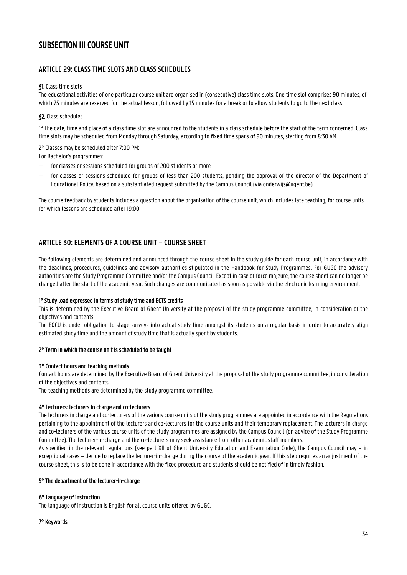## <span id="page-33-0"></span>SUBSECTION III COURSE UNIT

## <span id="page-33-1"></span>**ARTICLE 29: CLASS TIME SLOTS AND CLASS SCHEDULES**

#### §1. Class time slots

The educational activities of one particular course unit are organised in (consecutive) class time slots. One time slot comprises 90 minutes, of which 75 minutes are reserved for the actual lesson, followed by 15 minutes for a break or to allow students to go to the next class.

#### §2. Class schedules

1° The date, time and place of a class time slot are announced to the students in a class schedule before the start of the term concerned. Class time slots may be scheduled from Monday through Saturday, according to fixed time spans of 90 minutes, starting from 8:30 AM.

2° Classes may be scheduled after 7:00 PM:

For Bachelor's programmes:

- $\sim$  for classes or sessions scheduled for groups of 200 students or more
- for classes or sessions scheduled for groups of less than 200 students, pending the approval of the director of the Department of Educational Policy, based on a substantiated request submitted by the Campus Council (via onderwijs@ugent.be)

The course feedback by students includes a question about the organisation of the course unit, which includes late teaching, for course units for which lessons are scheduled after 19:00.

## <span id="page-33-2"></span>**ARTICLE 30: ELEMENTS OF A COURSE UNIT – COURSE SHEET**

The following elements are determined and announced through the course sheet in the study guide for each course unit, in accordance with the deadlines, procedures, guidelines and advisory authorities stipulated in the Handbook for Study Programmes. For GUGC the advisory authorities are the Study Programme Committee and/or the Campus Council. Except in case of force majeure, the course sheet can no longer be changed after the start of the academic year. Such changes are communicated as soon as possible via the electronic learning environment.

#### 1° Study load expressed in terms of study time and ECTS credits

This is determined by the Executive Board of Ghent University at the proposal of the study programme committee, in consideration of the objectives and contents.

The EQCU is under obligation to stage surveys into actual study time amongst its students on a regular basis in order to accurately align estimated study time and the amount of study time that is actually spent by students.

#### 2° Term in which the course unit is scheduled to be taught

#### 3° Contact hours and teaching methods

Contact hours are determined by the Executive Board of Ghent University at the proposal of the study programme committee, in consideration of the objectives and contents.

The teaching methods are determined by the study programme committee.

#### 4° Lecturers: lecturers in charge and co-lecturers

The lecturers in charge and co-lecturers of the various course units of the study programmes are appointed in accordance with the Regulations pertaining to the appointment of the lecturers and co-lecturers for the course units and their temporary replacement. The lecturers in charge and co-lecturers of the various course units of the study programmes are assigned by the Campus Council (on advice of the Study Programme Committee). The lecturer-in-charge and the co-lecturers may seek assistance from other academic staff members.

As specified in the relevant regulations (see part XII of Ghent University Education and Examination Code), the Campus Council may – in exceptional cases – decide to replace the lecturer-in-charge during the course of the academic year. If this step requires an adjustment of the course sheet, this is to be done in accordance with the fixed procedure and students should be notified of in timely fashion.

#### 5° The department of the lecturer-in-charge

#### 6° Language of instruction

The language of instruction is English for all course units offered by GUGC.

#### 7° Keywords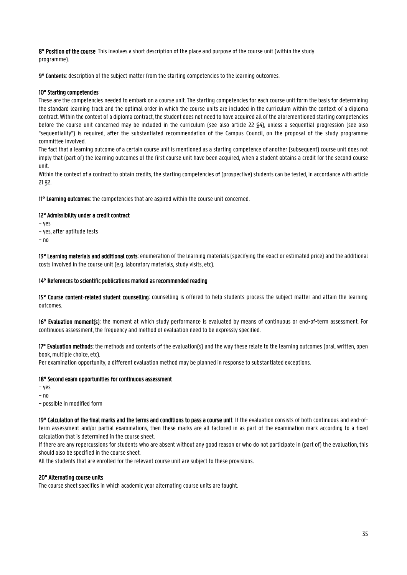8° Position of the course: This involves a short description of the place and purpose of the course unit (within the study programme).

9° Contents: description of the subject matter from the starting competencies to the learning outcomes.

#### 10° Starting competencies:

These are the competencies needed to embark on a course unit. The starting competencies for each course unit form the basis for determining the standard learning track and the optimal order in which the course units are included in the curriculum within the context of a diploma contract. Within the context of a diploma contract, the student does not need to have acquired all of the aforementioned starting competencies before the course unit concerned may be included in the curriculum (see also article 22 §4), unless a sequential progression (see also "sequentiality") is required, after the substantiated recommendation of the Campus Council, on the proposal of the study programme committee involved.

The fact that a learning outcome of a certain course unit is mentioned as a starting competence of another (subsequent) course unit does not imply that (part of) the learning outcomes of the first course unit have been acquired, when a student obtains a credit for the second course unit.

Within the context of a contract to obtain credits, the starting competencies of (prospective) students can be tested, in accordance with article 21 §2.

11° Learning outcomes: the competencies that are aspired within the course unit concerned.

#### 12° Admissibility under a credit contract

- − yes
- − yes, after aptitude tests
- − no

13° Learning materials and additional costs: enumeration of the learning materials (specifying the exact or estimated price) and the additional costs involved in the course unit (e.g. laboratory materials, study visits, etc).

#### 14° References to scientific publications marked as recommended reading

15° Course content-related student counselling: counselling is offered to help students process the subject matter and attain the learning outcomes.

16° Evaluation moment(s): the moment at which study performance is evaluated by means of continuous or end-of-term assessment. For continuous assessment, the frequency and method of evaluation need to be expressly specified.

17° Evaluation methods: the methods and contents of the evaluation(s) and the way these relate to the learning outcomes (oral, written, open book, multiple choice, etc).

Per examination opportunity, a different evaluation method may be planned in response to substantiated exceptions.

#### 18° Second exam opportunities for continuous assessment

- − yes
- − no
- − possible in modified form

19° Calculation of the final marks and the terms and conditions to pass a course unit: If the evaluation consists of both continuous and end-ofterm assessment and/or partial examinations, then these marks are all factored in as part of the examination mark according to a fixed calculation that is determined in the course sheet.

If there are any repercussions for students who are absent without any good reason or who do not participate in (part of) the evaluation, this should also be specified in the course sheet.

All the students that are enrolled for the relevant course unit are subject to these provisions.

#### 20° Alternating course units

The course sheet specifies in which academic year alternating course units are taught.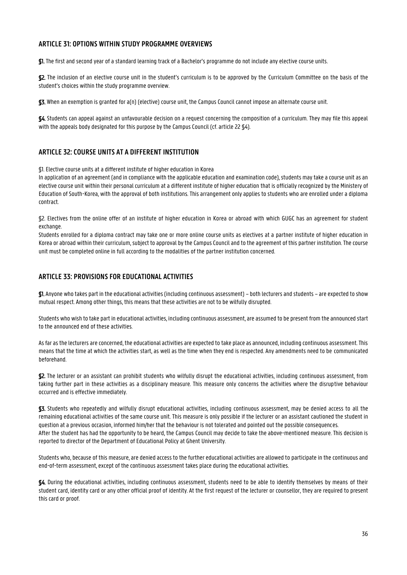## <span id="page-35-0"></span>**ARTICLE 31: OPTIONS WITHIN STUDY PROGRAMME OVERVIEWS**

§1. The first and second year of a standard learning track of a Bachelor's programme do not include any elective course units.

§2. The inclusion of an elective course unit in the student's curriculum is to be approved by the Curriculum Committee on the basis of the student's choices within the study programme overview.

§3. When an exemption is granted for a(n) (elective) course unit, the Campus Council cannot impose an alternate course unit.

§4. Students can appeal against an unfavourable decision on a request concerning the composition of a curriculum. They may file this appeal with the appeals body designated for this purpose by the Campus Council (cf. article 22 §4).

## <span id="page-35-1"></span>**ARTICLE 32: COURSE UNITS AT A DIFFERENT INSTITUTION**

§1. Elective course units at a different institute of higher education in Korea

In application of an agreement (and in compliance with the applicable education and examination code), students may take a course unit as an elective course unit within their personal curriculum at a different institute of higher education that is officially recognized by the Ministery of Education of South-Korea, with the approval of both institutions. This arrangement only applies to students who are enrolled under a diploma contract.

§2. Electives from the online offer of an institute of higher education in Korea or abroad with which GUGC has an agreement for student exchange.

Students enrolled for a diploma contract may take one or more online course units as electives at a partner institute of higher education in Korea or abroad within their curriculum, subject to approval by the Campus Council and to the agreement of this partner institution. The course unit must be completed online in full according to the modalities of the partner institution concerned.

## <span id="page-35-2"></span>**ARTICLE 33: PROVISIONS FOR EDUCATIONAL ACTIVITIES**

§1. Anyone who takes part in the educational activities (including continuous assessment) – both lecturers and students – are expected to show mutual respect. Among other things, this means that these activities are not to be wilfully disrupted.

Students who wish to take part in educational activities, including continuous assessment, are assumed to be present from the announced start to the announced end of these activities.

As far as the lecturers are concerned, the educational activities are expected to take place as announced, including continuous assessment. This means that the time at which the activities start, as well as the time when they end is respected. Any amendments need to be communicated beforehand.

§2. The lecturer or an assistant can prohibit students who wilfully disrupt the educational activities, including continuous assessment, from taking further part in these activities as a disciplinary measure. This measure only concerns the activities where the disruptive behaviour occurred and is effective immediately.

§3. Students who repeatedly and wilfully disrupt educational activities, including continuous assessment, may be denied access to all the remaining educational activities of the same course unit. This measure is only possible if the lecturer or an assistant cautioned the student in question at a previous occasion, informed him/her that the behaviour is not tolerated and pointed out the possible consequences. After the student has had the opportunity to be heard, the Campus Council may decide to take the above-mentioned measure. This decision is reported to director of the Department of Educational Policy at Ghent University.

Students who, because of this measure, are denied access to the further educational activities are allowed to participate in the continuous and end-of-term assessment, except of the continuous assessment takes place during the educational activities.

§4. During the educational activities, including continuous assessment, students need to be able to identify themselves by means of their student card, identity card or any other official proof of identity. At the first request of the lecturer or counsellor, they are required to present this card or proof.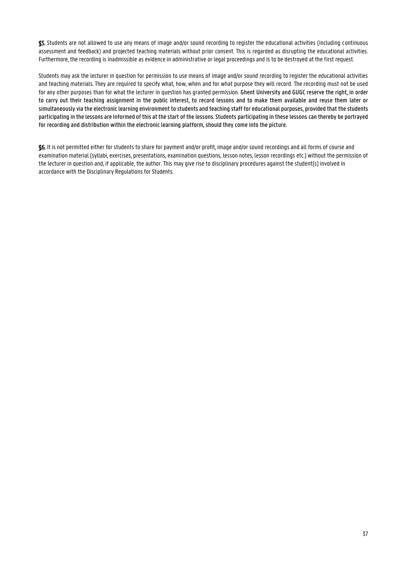§5. Students are not allowed to use any means of image and/or sound recording to register the educational activities (including continuous assessment and feedback) and projected teaching materials without prior consent. This is regarded as disrupting the educational activities. Furthermore, the recording is inadmissible as evidence in administrative or legal proceedings and is to be destroyed at the first request.

Students may ask the lecturer in question for permission to use means of image and/or sound recording to register the educational activities and teaching materials. They are required to specify what, how, when and for what purpose they will record. The recording must not be used for any other purposes than for what the lecturer in question has granted permission. Ghent University and GUGC reserve the right, in order to carry out their teaching assignment in the public interest, to record lessons and to make them available and reuse them later or simultaneously via the electronic learning environment to students and teaching staff for educational purposes, provided that the students participating in the lessons are informed of this at the start of the lessons. Students participating in these lessons can thereby be portrayed for recording and distribution within the electronic learning platform, should they come into the picture.

§6. It is not permitted either for students to share for payment and/or profit, image and/or sound recordings and all forms of course and examination material (syllabi, exercises, presentations, examination questions, lesson notes, lesson recordings etc.) without the permission of the lecturer in question and, if applicable, the author. This may give rise to disciplinary procedures against the student(s) involved in accordance with the Disciplinary Regulations for Students.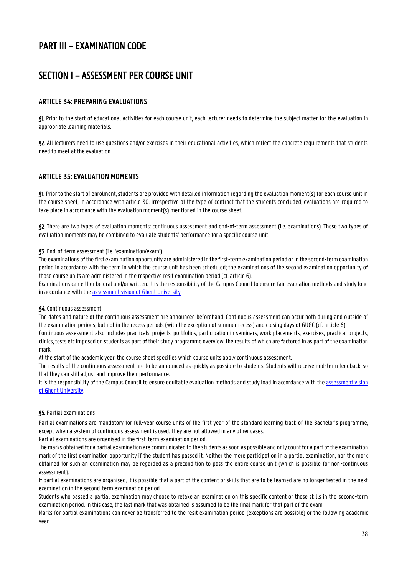## <span id="page-37-0"></span>PART III – EXAMINATION CODE

## <span id="page-37-1"></span>SECTION I – ASSESSMENT PER COURSE UNIT

## <span id="page-37-2"></span>**ARTICLE 34: PREPARING EVALUATIONS**

§1. Prior to the start of educational activities for each course unit, each lecturer needs to determine the subject matter for the evaluation in appropriate learning materials.

§2. All lecturers need to use questions and/or exercises in their educational activities, which reflect the concrete requirements that students need to meet at the evaluation.

## <span id="page-37-3"></span>**ARTICLE 35: EVALUATION MOMENTS**

§1. Prior to the start of enrolment, students are provided with detailed information regarding the evaluation moment(s) for each course unit in the course sheet, in accordance with article 30. Irrespective of the type of contract that the students concluded, evaluations are required to take place in accordance with the evaluation moment(s) mentioned in the course sheet.

§2. There are two types of evaluation moments: continuous assessment and end-of-term assessment (i.e. examinations). These two types of evaluation moments may be combined to evaluate students' performance for a specific course unit.

#### §3. End-of-term assessment (i.e. 'examination/exam')

The examinations of the first examination opportunity are administered in the first-term examination period or in the second-term examination period in accordance with the term in which the course unit has been scheduled; the examinations of the second examination opportunity of those course units are administered in the respective resit examination period (cf. article 6).

Examinations can either be oral and/or written. It is the responsibility of the Campus Council to ensure fair evaluation methods and study load in accordance with the assessment vision [of Ghent University.](https://onderwijstips.ugent.be/en/tips/toetsvisie-en-toetsbeleid/)

#### §4. Continuous assessment

The dates and nature of the continuous assessment are announced beforehand. Continuous assessment can occur both during and outside of the examination periods, but not in the recess periods (with the exception of summer recess) and closing days of GUGC (cf. article 6).

Continuous assessment also includes practicals, projects, portfolios, participation in seminars, work placements, exercises, practical projects, clinics, tests etc imposed on students as part of their study programme overview, the results of which are factored in as part of the examination mark.

At the start of the academic year, the course sheet specifies which course units apply continuous assessment.

The results of the continuous assessment are to be announced as quickly as possible to students. Students will receive mid-term feedback, so that they can still adjust and improve their performance.

It is the responsibility of the Campus Council to ensure equitable evaluation methods and study load in accordance with th[e assessment vision](https://onderwijstips.ugent.be/en/tips/toetsvisie-en-toetsbeleid/) [of Ghent University.](https://onderwijstips.ugent.be/en/tips/toetsvisie-en-toetsbeleid/)

#### §5. Partial examinations

Partial examinations are mandatory for full-year course units of the first year of the standard learning track of the Bachelor's programme, except when a system of continuous assessment is used. They are not allowed in any other cases.

Partial examinations are organised in the first-term examination period.

The marks obtained for a partial examination are communicated to the students as soon as possible and only count for a part of the examination mark of the first examination opportunity if the student has passed it. Neither the mere participation in a partial examination, nor the mark obtained for such an examination may be regarded as a precondition to pass the entire course unit (which is possible for non-continuous assessment).

If partial examinations are organised, it is possible that a part of the content or skills that are to be learned are no longer tested in the next examination in the second-term examination period.

Students who passed a partial examination may choose to retake an examination on this specific content or these skills in the second-term examination period. In this case, the last mark that was obtained is assumed to be the final mark for that part of the exam.

Marks for partial examinations can never be transferred to the resit examination period (exceptions are possible) or the following academic year.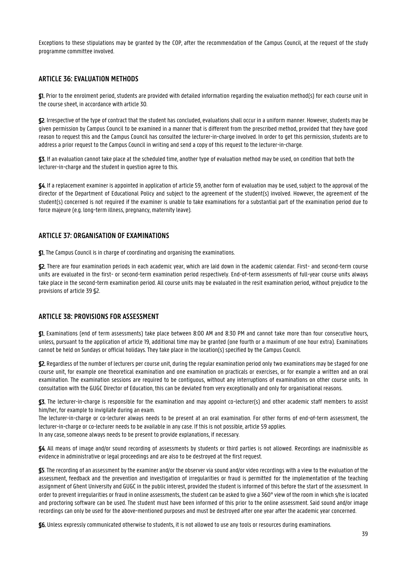Exceptions to these stipulations may be granted by the COP, after the recommendation of the Campus Council, at the request of the study programme committee involved.

### <span id="page-38-0"></span>**ARTICLE 36: EVALUATION METHODS**

§1. Prior to the enrolment period, students are provided with detailed information regarding the evaluation method(s) for each course unit in the course sheet, in accordance with article 30.

§2. Irrespective of the type of contract that the student has concluded, evaluations shall occur in a uniform manner. However, students may be given permission by Campus Council to be examined in a manner that is different from the prescribed method, provided that they have good reason to request this and the Campus Council has consulted the lecturer-in-charge involved. In order to get this permission, students are to address a prior request to the Campus Council in writing and send a copy of this request to the lecturer-in-charge.

§3. If an evaluation cannot take place at the scheduled time, another type of evaluation method may be used, on condition that both the lecturer-in-charge and the student in question agree to this.

§4. If a replacement examiner is appointed in application of article 59, another form of evaluation may be used, subject to the approval of the director of the Department of Educational Policy and subject to the agreement of the student(s) involved. However, the agreement of the student(s) concerned is not required if the examiner is unable to take examinations for a substantial part of the examination period due to force majeure (e.g. long-term illness, pregnancy, maternity leave).

### <span id="page-38-1"></span>**ARTICLE 37: ORGANISATION OF EXAMINATIONS**

§1. The Campus Council is in charge of coordinating and organising the examinations.

§2. There are four examination periods in each academic year, which are laid down in the academic calendar. First- and second-term course units are evaluated in the first- or second-term examination period respectively. End-of-term assessments of full-year course units always take place in the second-term examination period. All course units may be evaluated in the resit examination period, without prejudice to the provisions of article 39 §2.

#### <span id="page-38-2"></span>**ARTICLE 38: PROVISIONS FOR ASSESSMENT**

§1. Examinations (end of term assessments) take place between 8:00 AM and 8:30 PM and cannot take more than four consecutive hours, unless, pursuant to the application of article 19, additional time may be granted (one fourth or a maximum of one hour extra). Examinations cannot be held on Sundays or official holidays. They take place in the location(s) specified by the Campus Council.

§2. Regardless of the number of lecturers per course unit, during the regular examination period only two examinations may be staged for one course unit, for example one theoretical examination and one examination on practicals or exercises, or for example a written and an oral examination. The examination sessions are required to be contiguous, without any interruptions of examinations on other course units. In consultation with the GUGC Director of Education, this can be deviated from very exceptionally and only for organisational reasons.

§3. The lecturer-in-charge is responsible for the examination and may appoint co-lecturer(s) and other academic staff members to assist him/her, for example to invigilate during an exam.

The lecturer-in-charge or co-lecturer always needs to be present at an oral examination. For other forms of end-of-term assessment, the lecturer-in-charge or co-lecturer needs to be available in any case. If this is not possible, article 59 applies.

In any case, someone always needs to be present to provide explanations, if necessary.

§4. All means of image and/or sound recording of assessments by students or third parties is not allowed. Recordings are inadmissible as evidence in administrative or legal proceedings and are also to be destroyed at the first request.

§5. The recording of an assessment by the examiner and/or the observer via sound and/or video recordings with a view to the evaluation of the assessment, feedback and the prevention and investigation of irregularities or fraud is permitted for the implementation of the teaching assignment of Ghent University and GUGC in the public interest, provided the student is informed of this before the start of the assessment. In order to prevent irregularities or fraud in online assessments, the student can be asked to give a 360°view of the room in which s/he is located and proctoring software can be used. The student must have been informed of this prior to the online assessment. Said sound and/or image recordings can only be used for the above-mentioned purposes and must be destroyed after one year after the academic year concerned.

§6. Unless expressly communicated otherwise to students, it is not allowed to use any tools or resources during examinations.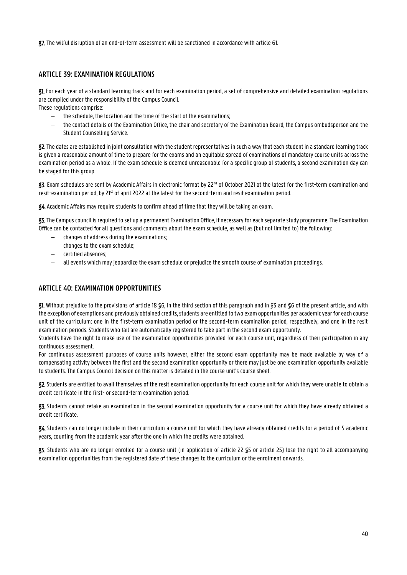§7. The wilful disruption of an end-of-term assessment will be sanctioned in accordance with article 61.

## <span id="page-39-0"></span>**ARTICLE 39: EXAMINATION REGULATIONS**

§1. For each year of a standard learning track and for each examination period, a set of comprehensive and detailed examination regulations are compiled under the responsibility of the Campus Council.

These regulations comprise:

- the schedule, the location and the time of the start of the examinations;
- the contact details of the Examination Office, the chair and secretary of the Examination Board, the Campus ombudsperson and the Student Counselling Service.

§2. The dates are established in joint consultation with the student representatives in such a way that each student in a standard learning track is given a reasonable amount of time to prepare for the exams and an equitable spread of examinations of mandatory course units across the examination period as a whole. If the exam schedule is deemed unreasonable for a specific group of students, a second examination day can be staged for this group.

 ${\mathbb S}$ 3. Exam schedules are sent by Academic Affairs in electronic format by 22<sup>nd</sup> of October 2021 at the latest for the first-term examination and resit-examination period, by 21<sup>st</sup> of april 2022 at the latest for the second-term and resit examination period.

§4. Academic Affairs may require students to confirm ahead of time that they will be taking an exam.

§5. The Campus council is required to set up a permanent Examination Office, if necessary for each separate study programme. The Examination Office can be contacted for all questions and comments about the exam schedule, as well as (but not limited to) the following:

- changes of address during the examinations;
- changes to the exam schedule;
- certified absences;
- all events which may jeopardize the exam schedule or prejudice the smooth course of examination proceedings.

## <span id="page-39-1"></span>**ARTICLE 40: EXAMINATION OPPORTUNITIES**

§1. Without prejudice to the provisions of article 18 §6, in the third section of this paragraph and in §3 and §6 of the present article, and with the exception of exemptions and previously obtained credits, students are entitled to two exam opportunities per academic year for each course unit of the curriculum: one in the first-term examination period or the second-term examination period, respectively, and one in the resit examination periods. Students who fail are automatically registered to take part in the second exam opportunity.

Students have the right to make use of the examination opportunities provided for each course unit, regardless of their participation in any continuous assessment.

For continuous assessment purposes of course units however, either the second exam opportunity may be made available by way of a compensating activity between the first and the second examination opportunity or there may just be one examination opportunity available to students. The Campus Council decision on this matter is detailed in the course unit's course sheet.

§2. Students are entitled to avail themselves of the resit examination opportunity for each course unit for which they were unable to obtain a credit certificate in the first- or second-term examination period.

§3. Students cannot retake an examination in the second examination opportunity for a course unit for which they have already obtained a credit certificate.

§4. Students can no longer include in their curriculum a course unit for which they have already obtained credits for a period of 5 academic years, counting from the academic year after the one in which the credits were obtained.

§5. Students who are no longer enrolled for a course unit (in application of article 22 §5 or article 25) lose the right to all accompanying examination opportunities from the registered date of these changes to the curriculum or the enrolment onwards.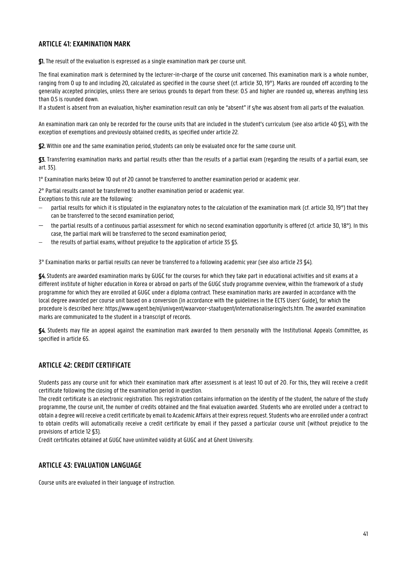## <span id="page-40-0"></span>**ARTICLE 41: EXAMINATION MARK**

§1. The result of the evaluation is expressed as a single examination mark per course unit.

The final examination mark is determined by the lecturer-in-charge of the course unit concerned. This examination mark is a whole number, ranging from 0 up to and including 20, calculated as specified in the course sheet (cf. article 30, 19°). Marks are rounded off according to the generally accepted principles, unless there are serious grounds to depart from these: 0.5 and higher are rounded up, whereas anything less than 0.5 is rounded down.

If a student is absent from an evaluation, his/her examination result can only be "absent" if s/he was absent from all parts of the evaluation.

An examination mark can only be recorded for the course units that are included in the student's curriculum (see also article 40 §5), with the exception of exemptions and previously obtained credits, as specified under article 22.

§2. Within one and the same examination period, students can only be evaluated once for the same course unit.

§3. Transferring examination marks and partial results other than the results of a partial exam (regarding the results of a partial exam, see art. 35).

1° Examination marks below 10 out of 20 cannot be transferred to another examination period or academic year.

2° Partial results cannot be transferred to another examination period or academic year.

Exceptions to this rule are the following:

- partial results for which it is stipulated in the explanatory notes to the calculation of the examination mark (cf. article 30, 19°) that they can be transferred to the second examination period;
- the partial results of a continuous partial assessment for which no second examination opportunity is offered (cf. article 30, 18°). In this case, the partial mark will be transferred to the second examination period;
- the results of partial exams, without prejudice to the application of article 35 §5.

3° Examination marks or partial results can never be transferred to a following academic year (see also article 23 §4).

§4. Students are awarded examination marks by GUGC for the courses for which they take part in educational activities and sit exams at a different institute of higher education in Korea or abroad on parts of the GUGC study programme overview, within the framework of a study programme for which they are enrolled at GUGC under a diploma contract. These examination marks are awarded in accordance with the local degree awarded per course unit based on a conversion (in accordance with the guidelines in the ECTS Users' Guide), for which the procedure is described here: https://www.ugent.be/nl/univgent/waarvoor-staatugent/internationalisering/ects.htm. The awarded examination marks are communicated to the student in a transcript of records.

§4. Students may file an appeal against the examination mark awarded to them personally with the Institutional Appeals Committee, as specified in article 65.

## <span id="page-40-1"></span>**ARTICLE 42: CREDIT CERTIFICATE**

Students pass any course unit for which their examination mark after assessment is at least 10 out of 20. For this, they will receive a credit certificate following the closing of the examination period in question.

The credit certificate is an electronic registration. This registration contains information on the identity of the student, the nature of the study programme, the course unit, the number of credits obtained and the final evaluation awarded. Students who are enrolled under a contract to obtain a degree will receive a credit certificate by email to Academic Affairs at their express request.Students who are enrolled under a contract to obtain credits will automatically receive a credit certificate by email if they passed a particular course unit (without prejudice to the provisions of article 12 §3).

Credit certificates obtained at GUGC have unlimited validity at GUGC and at Ghent University.

## <span id="page-40-2"></span>**ARTICLE 43: EVALUATION LANGUAGE**

Course units are evaluated in their language of instruction.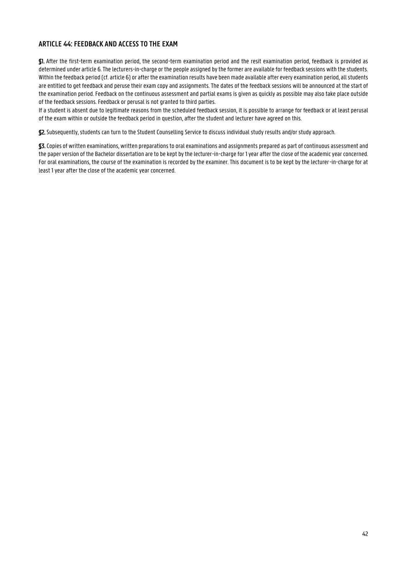## <span id="page-41-0"></span>**ARTICLE 44: FEEDBACK AND ACCESS TO THE EXAM**

§1. After the first-term examination period, the second-term examination period and the resit examination period, feedback is provided as determined under article 6.The lecturers-in-charge or the people assigned by the former are available for feedback sessions with the students. Within the feedback period (cf. article 6) or after the examination results have been made available after every examination period, all students are entitled to get feedback and peruse their exam copy and assignments. The dates of the feedback sessions will be announced at the start of the examination period. Feedback on the continuous assessment and partial exams is given as quickly as possible may also take place outside of the feedback sessions. Feedback or perusal is not granted to third parties.

If a student is absent due to legitimate reasons from the scheduled feedback session, it is possible to arrange for feedback or at least perusal of the exam within or outside the feedback period in question, after the student and lecturer have agreed on this.

§2. Subsequently, students can turn to the Student Counselling Service to discuss individual study results and/or study approach.

§3. Copies of written examinations, written preparations to oral examinations and assignments prepared as part of continuous assessment and the paper version of the Bachelor dissertation are to be kept by the lecturer-in-charge for 1 year after the close of the academic year concerned. For oral examinations, the course of the examination is recorded by the examiner. This document is to be kept by the lecturer-in-charge for at least 1 year after the close of the academic year concerned.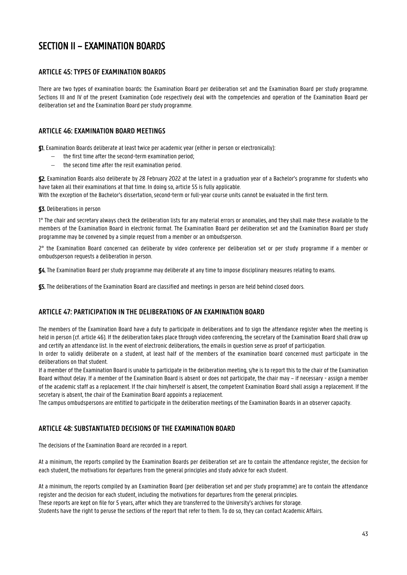## <span id="page-42-0"></span>SECTION II – EXAMINATION BOARDS

## <span id="page-42-1"></span>**ARTICLE 45: TYPES OF EXAMINATION BOARDS**

There are two types of examination boards: the Examination Board per deliberation set and the Examination Board per study programme. Sections III and IV of the present Examination Code respectively deal with the competencies and operation of the Examination Board per deliberation set and the Examination Board per study programme.

## <span id="page-42-2"></span>**ARTICLE 46: EXAMINATION BOARD MEETINGS**

§1. Examination Boards deliberate at least twice per academic year (either in person or electronically):

- the first time after the second-term examination period;
- the second time after the resit examination period.

§2. Examination Boards also deliberate by 28 February 2022 at the latest in a graduation year of a Bachelor's programme for students who have taken all their examinations at that time. In doing so, article 55 is fully applicable.

With the exception of the Bachelor's dissertation, second-term or full-year course units cannot be evaluated in the first term.

#### §3. Deliberations in person

1° The chair and secretary always check the deliberation lists for any material errors or anomalies, and they shall make these available to the members of the Examination Board in electronic format. The Examination Board per deliberation set and the Examination Board per study programme may be convened by a simple request from a member or an ombudsperson.

2° the Examination Board concerned can deliberate by video conference per deliberation set or per study programme if a member or ombudsperson requests a deliberation in person.

§4. The Examination Board per study programme may deliberate at any time to impose disciplinary measures relating to exams.

§5. The deliberations of the Examination Board are classified and meetings in person are held behind closed doors.

## <span id="page-42-3"></span>**ARTICLE 47: PARTICIPATION IN THE DELIBERATIONS OF AN EXAMINATION BOARD**

The members of the Examination Board have a duty to participate in deliberations and to sign the attendance register when the meeting is held in person (cf. article 46). If the deliberation takes place through video conferencing, the secretary of the Examination Board shall draw up and certify an attendance list. In the event of electronic deliberations, the emails in question serve as proof of participation.

In order to validly deliberate on a student, at least half of the members of the examination board concerned must participate in the deliberations on that student.

If a member of the Examination Board is unable to participate in the deliberation meeting, s/he is to report this to the chair of the Examination Board without delay. If a member of the Examination Board is absent or does not participate, the chair may – if necessary - assign a member of the academic staff as a replacement. If the chair him/herself is absent, the competent Examination Board shall assign a replacement. If the secretary is absent, the chair of the Examination Board appoints a replacement.

The campus ombudspersons are entitled to participate in the deliberation meetings of the Examination Boards in an observer capacity.

## <span id="page-42-4"></span>**ARTICLE 48: SUBSTANTIATED DECISIONS OF THE EXAMINATION BOARD**

The decisions of the Examination Board are recorded in a report.

At a minimum, the reports compiled by the Examination Boards per deliberation set are to contain the attendance register, the decision for each student, the motivations for departures from the general principles and study advice for each student.

At a minimum, the reports compiled by an Examination Board (per deliberation set and per study programme) are to contain the attendance register and the decision for each student, including the motivations for departures from the general principles. These reports are kept on file for 5 years, after which they are transferred to the University's archives for storage. Students have the right to peruse the sections of the report that refer to them. To do so, they can contact Academic Affairs.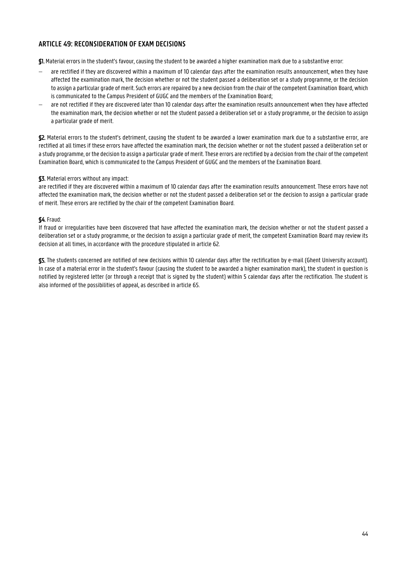## <span id="page-43-0"></span>**ARTICLE 49: RECONSIDERATION OF EXAM DECISIONS**

§1. Material errors in the student's favour, causing the student to be awarded a higher examination mark due to a substantive error:

- are rectified if they are discovered within a maximum of 10 calendar days after the examination results announcement, when they have affected the examination mark, the decision whether or not the student passed a deliberation set or a study programme, or the decision to assign a particular grade of merit. Such errors are repaired by a new decision from the chair of the competent Examination Board, which is communicated to the Campus President of GUGC and the members of the Examination Board;
- are not rectified if they are discovered later than 10 calendar days after the examination results announcement when they have affected the examination mark, the decision whether or not the student passed a deliberation set or a study programme, or the decision to assign a particular grade of merit.

§2. Material errors to the student's detriment, causing the student to be awarded a lower examination mark due to a substantive error, are rectified at all times if these errors have affected the examination mark, the decision whether or not the student passed a deliberation set or a study programme, or the decision to assign a particular grade of merit. These errors are rectified by a decision from the chair of the competent Examination Board, which is communicated to the Campus President of GUGC and the members of the Examination Board.

#### §3. Material errors without any impact:

are rectified if they are discovered within a maximum of 10 calendar days after the examination results announcement. These errors have not affected the examination mark, the decision whether or not the student passed a deliberation set or the decision to assign a particular grade of merit. These errors are rectified by the chair of the competent Examination Board.

#### §4. Fraud:

If fraud or irregularities have been discovered that have affected the examination mark, the decision whether or not the student passed a deliberation set or a study programme, or the decision to assign a particular grade of merit, the competent Examination Board may review its decision at all times, in accordance with the procedure stipulated in article 62.

§5. The students concerned are notified of new decisions within 10 calendar days after the rectification by e-mail (Ghent University account). In case of a material error in the student's favour (causing the student to be awarded a higher examination mark), the student in question is notified by registered letter (or through a receipt that is signed by the student) within 5 calendar days after the rectification. The student is also informed of the possibilities of appeal, as described in article 65.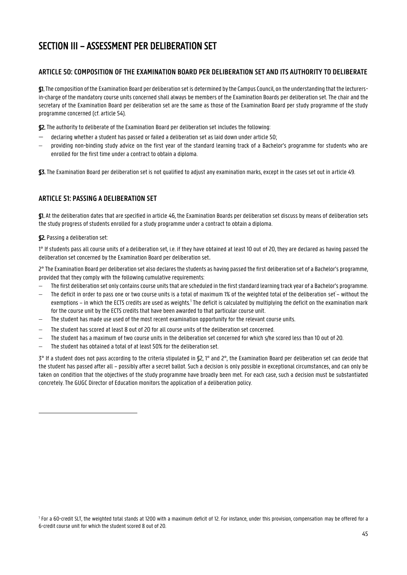## <span id="page-44-0"></span>SECTION III – ASSESSMENT PER DELIBERATION SET

## <span id="page-44-1"></span>**ARTICLE 50: COMPOSITION OF THE EXAMINATION BOARD PER DELIBERATION SET AND ITS AUTHORITY TO DELIBERATE**

§1. The composition of the Examination Board per deliberation set is determined by the Campus Council, on the understanding that the lecturersin-charge of the mandatory course units concerned shall always be members of the Examination Boards per deliberation set. The chair and the secretary of the Examination Board per deliberation set are the same as those of the Examination Board per study programme of the study programme concerned (cf. article 54).

§2. The authority to deliberate of the Examination Board per deliberation set includes the following:

- declaring whether a student has passed or failed a deliberation set as laid down under article 50;
- providing non-binding study advice on the first year of the standard learning track of a Bachelor's programme for students who are enrolled for the first time under a contract to obtain a diploma.

§3. The Examination Board per deliberation set is not qualified to adjust any examination marks, except in the cases set out in article 49.

## <span id="page-44-2"></span>**ARTICLE 51: PASSING A DELIBERATION SET**

§1. At the deliberation dates that are specified in article 46, the Examination Boards per deliberation set discuss by means of deliberation sets the study progress of students enrolled for a study programme under a contract to obtain a diploma.

#### §2. Passing a deliberation set:

1

1° If students pass all course units of a deliberation set, i.e. if they have obtained at least 10 out of 20, they are declared as having passed the deliberation set concerned by the Examination Board per deliberation set.

2° The Examination Board per deliberation set also declares the students as having passed the first deliberation set of a Bachelor's programme, provided that they comply with the following cumulative requirements:

- The first deliberation set only contains course units that are scheduled in the first standard learning track year of a Bachelor's programme.
- $-$  The deficit in order to pass one or two course units is a total of maximum 1% of the weighted total of the deliberation set $^{\text{-}}$  without the exemptions – in which the ECTS credits are used as weights.<sup>1</sup> The deficit is calculated by multiplying the deficit on the examination mark for the course unit by the ECTS credits that have been awarded to that particular course unit.
- The student has made use used of the most recent examination opportunity for the relevant course units.
- The student has scored at least 8 out of 20 for all course units of the deliberation set concerned.
- The student has a maximum of two course units in the deliberation set concerned for which s/he scored less than 10 out of 20.
- The student has obtained a total of at least 50% for the deliberation set.

3° If a student does not pass according to the criteria stipulated in §2, 1° and 2°, the Examination Board per deliberation set can decide that the student has passed after all – possibly after a secret ballot. Such a decision is only possible in exceptional circumstances, and can only be taken on condition that the objectives of the study programme have broadly been met. For each case, such a decision must be substantiated concretely. The GUGC Director of Education monitors the application of a deliberation policy.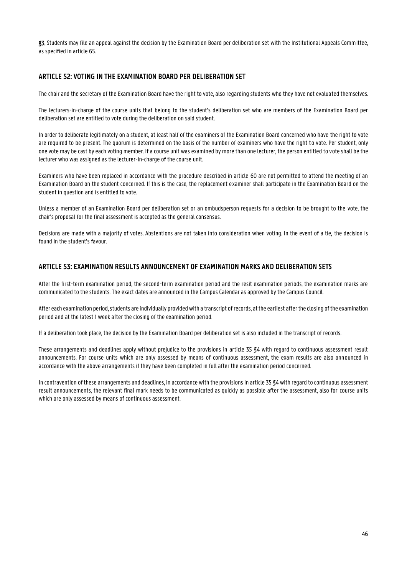§3. Students may file an appeal against the decision by the Examination Board per deliberation set with the Institutional Appeals Committee, as specified in article 65.

## <span id="page-45-0"></span>**ARTICLE 52: VOTING IN THE EXAMINATION BOARD PER DELIBERATION SET**

The chair and the secretary of the Examination Board have the right to vote, also regarding students who they have not evaluated themselves.

The lecturers-in-charge of the course units that belong to the student's deliberation set who are members of the Examination Board per deliberation set are entitled to vote during the deliberation on said student.

In order to deliberate legitimately on a student, at least half of the examiners of the Examination Board concerned who have the right to vote are required to be present. The quorum is determined on the basis of the number of examiners who have the right to vote. Per student, only one vote may be cast by each voting member. If a course unit was examined by more than one lecturer, the person entitled to vote shall be the lecturer who was assigned as the lecturer-in-charge of the course unit.

Examiners who have been replaced in accordance with the procedure described in article 60 are not permitted to attend the meeting of an Examination Board on the student concerned. If this is the case, the replacement examiner shall participate in the Examination Board on the student in question and is entitled to vote.

Unless a member of an Examination Board per deliberation set or an ombudsperson requests for a decision to be brought to the vote, the chair's proposal for the final assessment is accepted as the general consensus.

Decisions are made with a majority of votes. Abstentions are not taken into consideration when voting. In the event of a tie, the decision is found in the student's favour.

### <span id="page-45-1"></span>**ARTICLE 53: EXAMINATION RESULTS ANNOUNCEMENT OF EXAMINATION MARKS AND DELIBERATION SETS**

After the first-term examination period, the second-term examination period and the resit examination periods, the examination marks are communicated to the students. The exact dates are announced in the Campus Calendar as approved by the Campus Council.

After each examination period, students are individually provided with a transcript of records, at the earliest after the closing of the examination period and at the latest 1 week after the closing of the examination period.

If a deliberation took place, the decision by the Examination Board per deliberation set is also included in the transcript of records.

These arrangements and deadlines apply without prejudice to the provisions in article 35 §4 with regard to continuous assessment result announcements. For course units which are only assessed by means of continuous assessment, the exam results are also announced in accordance with the above arrangements if they have been completed in full after the examination period concerned.

In contravention of these arrangements and deadlines, in accordance with the provisions in article 35 §4 with regard to continuous assessment result announcements, the relevant final mark needs to be communicated as quickly as possible after the assessment, also for course units which are only assessed by means of continuous assessment.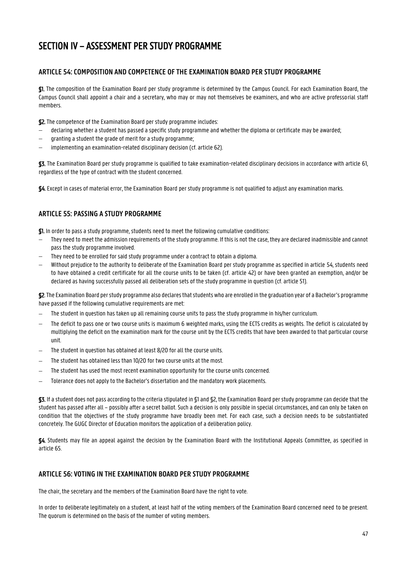## <span id="page-46-0"></span>SECTION IV – ASSESSMENT PER STUDY PROGRAMME

## <span id="page-46-1"></span>**ARTICLE 54: COMPOSITION AND COMPETENCE OF THE EXAMINATION BOARD PER STUDY PROGRAMME**

§1. The composition of the Examination Board per study programme is determined by the Campus Council. For each Examination Board, the Campus Council shall appoint a chair and a secretary, who may or may not themselves be examiners, and who are active professorial staff members.

§2. The competence of the Examination Board per study programme includes:

- declaring whether a student has passed a specific study programme and whether the diploma or certificate may be awarded;
- granting a student the grade of merit for a study programme;
- $\overline{-}$  implementing an examination-related disciplinary decision (cf. article 62).

§3. The Examination Board per study programme is qualified to take examination-related disciplinary decisions in accordance with article 61, regardless of the type of contract with the student concerned.

§4. Except in cases of material error, the Examination Board per study programme is not qualified to adjust any examination marks.

## <span id="page-46-2"></span>**ARTICLE 55: PASSING A STUDY PROGRAMME**

§1. In order to pass a study programme, students need to meet the following cumulative conditions:

- They need to meet the admission requirements of the study programme. If this is not the case, they are declared inadmissible and cannot pass the study programme involved.
- They need to be enrolled for said study programme under a contract to obtain a diploma.
- Without prejudice to the authority to deliberate of the Examination Board per study programme as specified in article 54, students need to have obtained a credit certificate for all the course units to be taken (cf. article 42) or have been granted an exemption, and/or be declared as having successfully passed all deliberation sets of the study programme in question (cf. article 51).

§2. The Examination Board per study programme also declares that students who are enrolled in the graduation year of a Bachelor's programme have passed if the following cumulative requirements are met:

- The student in question has taken up all remaining course units to pass the study programme in his/her curriculum.
- The deficit to pass one or two course units is maximum 6 weighted marks, using the ECTS credits as weights. The deficit is calculated by multiplying the deficit on the examination mark for the course unit by the ECTS credits that have been awarded to that particular course unit.
- The student in question has obtained at least 8/20 for all the course units.
- The student has obtained less than 10/20 for two course units at the most.
- The student has used the most recent examination opportunity for the course units concerned.
- Tolerance does not apply to the Bachelor's dissertation and the mandatory work placements.

§3. If a student does not pass according to the criteria stipulated in §1 and §2, the Examination Board per study programme can decide that the student has passed after all – possibly after a secret ballot. Such a decision is only possible in special circumstances, and can only be taken on condition that the objectives of the study programme have broadly been met. For each case, such a decision needs to be substantiated concretely. The GUGC Director of Education monitors the application of a deliberation policy.

§4. Students may file an appeal against the decision by the Examination Board with the Institutional Appeals Committee, as specified in article 65.

## <span id="page-46-3"></span>**ARTICLE 56: VOTING IN THE EXAMINATION BOARD PER STUDY PROGRAMME**

The chair, the secretary and the members of the Examination Board have the right to vote.

In order to deliberate legitimately on a student, at least half of the voting members of the Examination Board concerned need to be present. The quorum is determined on the basis of the number of voting members.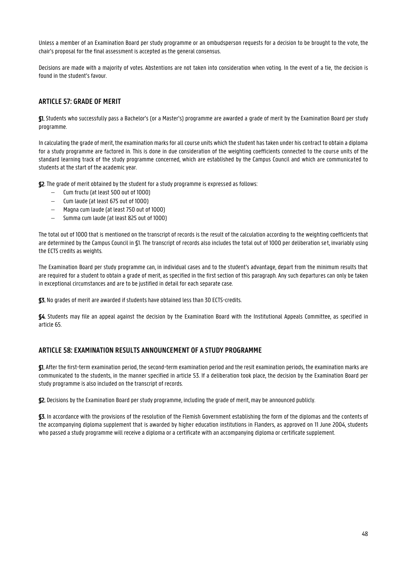Unless a member of an Examination Board per study programme or an ombudsperson requests for a decision to be brought to the vote, the chair's proposal for the final assessment is accepted as the general consensus.

Decisions are made with a majority of votes. Abstentions are not taken into consideration when voting. In the event of a tie, the decision is found in the student's favour.

## <span id="page-47-0"></span>**ARTICLE 57: GRADE OF MERIT**

§1. Students who successfully pass a Bachelor's (or a Master's) programme are awarded a grade of merit by the Examination Board per study programme.

In calculating the grade of merit, the examination marks for all course units which the student has taken under his contract to obtain a diploma for a study programme are factored in. This is done in due consideration of the weighting coefficients connected to the course units of the standard learning track of the study programme concerned, which are established by the Campus Council and which are communicated to students at the start of the academic year.

§2. The grade of merit obtained by the student for a study programme is expressed as follows:

- Cum fructu (at least 500 out of 1000)
- Cum laude (at least 675 out of 1000)
- Magna cum laude (at least 750 out of 1000)
- Summa cum laude (at least 825 out of 1000)

The total out of 1000 that is mentioned on the transcript of records is the result of the calculation according to the weighting coefficients that are determined by the Campus Council in §1. The transcript of records also includes the total out of 1000 per deliberation set, invariably using the ECTS credits as weights.

The Examination Board per study programme can, in individual cases and to the student's advantage, depart from the minimum results that are required for a student to obtain a grade of merit, as specified in the first section of this paragraph. Any such departures can only be taken in exceptional circumstances and are to be justified in detail for each separate case.

§3. No grades of merit are awarded if students have obtained less than 30 ECTS-credits.

§4. Students may file an appeal against the decision by the Examination Board with the Institutional Appeals Committee, as specified in article 65.

## <span id="page-47-1"></span>**ARTICLE 58: EXAMINATION RESULTS ANNOUNCEMENT OF A STUDY PROGRAMME**

§1. After the first-term examination period, the second-term examination period and the resit examination periods, the examination marks are communicated to the students, in the manner specified in article 53. If a deliberation took place, the decision by the Examination Board per study programme is also included on the transcript of records.

§2. Decisions by the Examination Board per study programme, including the grade of merit, may be announced publicly.

§3. In accordance with the provisions of the resolution of the Flemish Government establishing the form of the diplomas and the contents of the accompanying diploma supplement that is awarded by higher education institutions in Flanders, as approved on 11 June 2004, students who passed a study programme will receive a diploma or a certificate with an accompanying diploma or certificate supplement.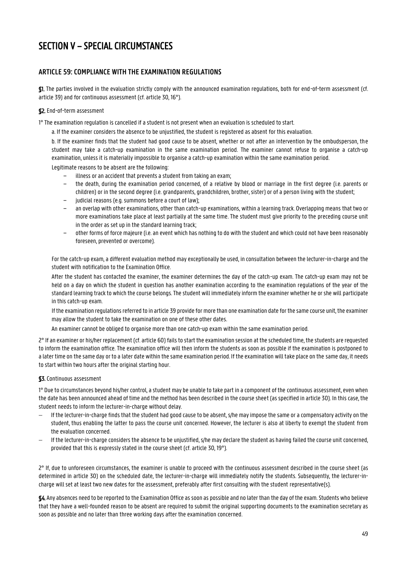## <span id="page-48-0"></span>SECTION V – SPECIAL CIRCUMSTANCES

## <span id="page-48-1"></span>**ARTICLE 59: COMPLIANCE WITH THE EXAMINATION REGULATIONS**

§1. The parties involved in the evaluation strictly comply with the announced examination regulations, both for end-of-term assessment (cf. article 39) and for continuous assessment (cf. article 30, 16°).

#### §2. End-of-term assessment

1° The examination regulation is cancelled if a student is not present when an evaluation is scheduled to start.

a. If the examiner considers the absence to be unjustified, the student is registered as absent for this evaluation.

b. If the examiner finds that the student had good cause to be absent, whether or not after an intervention by the ombudsperson, the student may take a catch-up examination in the same examination period. The examiner cannot refuse to organise a catch-up examination, unless it is materially impossible to organise a catch-up examination within the same examination period. Legitimate reasons to be absent are the following:

illness or an accident that prevents a student from taking an exam;

- − the death, during the examination period concerned, of a relative by blood or marriage in the first degree (i.e. parents or children) or in the second degree (i.e. grandparents, grandchildren, brother, sister) or of a person living with the student;
- judicial reasons (e.g. summons before a court of law);
- − an overlap with other examinations, other than catch-up examinations, within a learning track. Overlapping means that two or more examinations take place at least partially at the same time. The student must give priority to the preceding course unit in the order as set up in the standard learning track;
- − other forms of force majeure (i.e. an event which has nothing to do with the student and which could not have been reasonably foreseen, prevented or overcome).

For the catch-up exam, a different evaluation method may exceptionally be used, in consultation between the lecturer-in-charge and the student with notification to the Examination Office.

After the student has contacted the examiner, the examiner determines the day of the catch-up exam. The catch-up exam may not be held on a day on which the student in question has another examination according to the examination regulations of the year of the standard learning track to which the course belongs. The student will immediately inform the examiner whether he or she will participate in this catch-up exam.

If the examination regulations referred to in article 39 provide for more than one examination date for the same course unit, the examiner may allow the student to take the examination on one of these other dates.

An examiner cannot be obliged to organise more than one catch-up exam within the same examination period.

2° If an examiner or his/her replacement (cf. article 60) fails to start the examination session at the scheduled time, the students are requested to inform the examination office. The examination office will then inform the students as soon as possible if the examination is postponed to a later time on the same day or to a later date within the same examination period. If the examination will take place on the same day, it needs to start within two hours after the original starting hour.

#### §3. Continuous assessment

1° Due to circumstances beyond his/her control, a student may be unable to take part in a component of the continuous assessment, even when the date has been announced ahead of time and the method has been described in the course sheet (as specified in article 30). In this case, the student needs to inform the lecturer-in-charge without delay.

- If the lecturer-in-charge finds that the student had good cause to be absent, s/he may impose the same or a compensatory activity on the student, thus enabling the latter to pass the course unit concerned. However, the lecturer is also at liberty to exempt the student from the evaluation concerned.
- If the lecturer-in-charge considers the absence to be unjustified, s/he may declare the student as having failed the course unit concerned, provided that this is expressly stated in the course sheet (cf. article 30, 19°).

2° If, due to unforeseen circumstances, the examiner is unable to proceed with the continuous assessment described in the course sheet (as determined in article 30) on the scheduled date, the lecturer-in-charge will immediately notify the students. Subsequently, the lecturer-incharge will set at least two new dates for the assessment, preferably after first consulting with the student representative(s).

§4. Any absences need to be reported to the Examination Office as soon as possible and no later than the day of the exam. Students who believe that they have a well-founded reason to be absent are required to submit the original supporting documents to the examination secretary as soon as possible and no later than three working days after the examination concerned.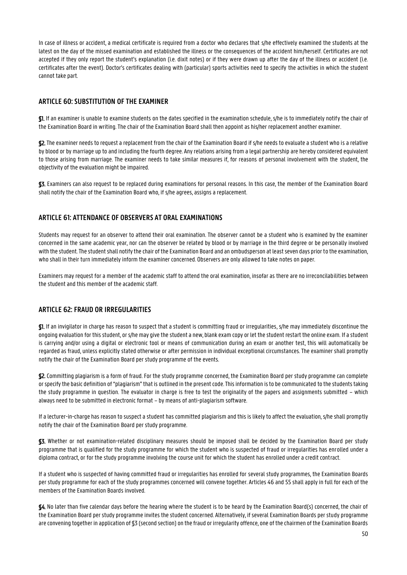In case of illness or accident, a medical certificate is required from a doctor who declares that s/he effectively examined the students at the latest on the day of the missed examination and established the illness or the consequences of the accident him/herself. Certificates are not accepted if they only report the student's explanation (i.e. dixit notes) or if they were drawn up after the day of the illness or accident (i.e. certificates after the event). Doctor's certificates dealing with (particular) sports activities need to specify the activities in which the student cannot take part.

## <span id="page-49-0"></span>**ARTICLE 60: SUBSTITUTION OF THE EXAMINER**

§1. If an examiner is unable to examine students on the dates specified in the examination schedule, s/he is to immediately notify the chair of the Examination Board in writing. The chair of the Examination Board shall then appoint as his/her replacement another examiner.

§2. The examiner needs to request a replacement from the chair of the Examination Board if s/he needs to evaluate a student who is a relative by blood or by marriage up to and including the fourth degree. Any relations arising from a legal partnership are hereby considered equivalent to those arising from marriage. The examiner needs to take similar measures if, for reasons of personal involvement with the student, the objectivity of the evaluation might be impaired.

§3. Examiners can also request to be replaced during examinations for personal reasons. In this case, the member of the Examination Board shall notify the chair of the Examination Board who, if s/he agrees, assigns a replacement.

## <span id="page-49-1"></span>**ARTICLE 61: ATTENDANCE OF OBSERVERS AT ORAL EXAMINATIONS**

Students may request for an observer to attend their oral examination. The observer cannot be a student who is examined by the examiner concerned in the same academic year, nor can the observer be related by blood or by marriage in the third degree or be personally involved with the student. The student shall notify the chair of the Examination Board and an ombudsperson at least seven days prior to the examination, who shall in their turn immediately inform the examiner concerned. Observers are only allowed to take notes on paper.

Examiners may request for a member of the academic staff to attend the oral examination, insofar as there are no irreconcilabilities between the student and this member of the academic staff.

## <span id="page-49-2"></span>**ARTICLE 62: FRAUD OR IRREGULARITIES**

§1. If an invigilator in charge has reason to suspect that a student is committing fraud or irregularities, s/he may immediately discontinue the ongoing evaluation for this student, or s/he may give the student a new, blank exam copy or let the student restart the online exam. If a student is carrying and/or using a digital or electronic tool or means of communication during an exam or another test, this will automatically be regarded as fraud, unless explicitly stated otherwise or after permission in individual exceptional circumstances. The examiner shall promptly notify the chair of the Examination Board per study programme of the events.

§2. Committing plagiarism is a form of fraud. For the study programme concerned, the Examination Board per study programme can complete or specify the basic definition of "plagiarism" that is outlined in the present code. This information is to be communicated to the students taking the study programme in question. The evaluator in charge is free to test the originality of the papers and assignments submitted – which always need to be submitted in electronic format – by means of anti-plagiarism software.

If a lecturer-in-charge has reason to suspect a student has committed plagiarism and this is likely to affect the evaluation, s/he shall promptly notify the chair of the Examination Board per study programme.

§3. Whether or not examination-related disciplinary measures should be imposed shall be decided by the Examination Board per study programme that is qualified for the study programme for which the student who is suspected of fraud or irregularities has enrolled under a diploma contract, or for the study programme involving the course unit for which the student has enrolled under a credit contract.

If a student who is suspected of having committed fraud or irregularities has enrolled for several study programmes, the Examination Boards per study programme for each of the study programmes concerned will convene together. Articles 46 and 55 shall apply in full for each of the members of the Examination Boards involved.

§4. No later than five calendar days before the hearing where the student is to be heard by the Examination Board(s) concerned, the chair of the Examination Board per study programme invites the student concerned. Alternatively, if several Examination Boards per study programme are convening together in application of §3 (second section) on the fraud or irregularity offence, one of the chairmen of the Examination Boards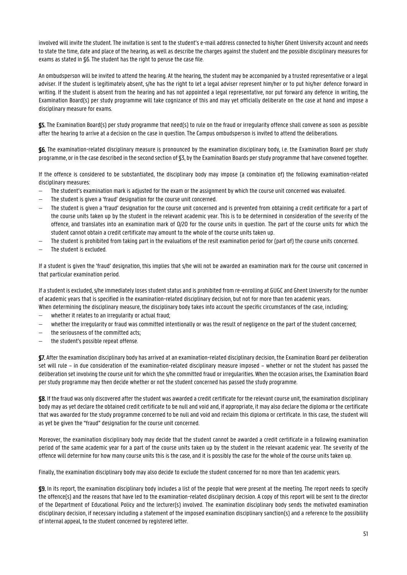involved will invite the student. The invitation is sent to the student's e-mail address connected to his/her Ghent University account and needs to state the time, date and place of the hearing, as well as describe the charges against the student and the possible disciplinary measures for exams as stated in §6. The student has the right to peruse the case file.

An ombudsperson will be invited to attend the hearing. At the hearing, the student may be accompanied by a trusted representative or a legal adviser. If the student is legitimately absent, s/he has the right to let a legal adviser represent him/her or to put his/her defence forward in writing. If the student is absent from the hearing and has not appointed a legal representative, nor put forward any defence in writing, the Examination Board(s) per study programme will take cognizance of this and may yet officially deliberate on the case at hand and impose a disciplinary measure for exams.

§5. The Examination Board(s) per study programme that need(s) to rule on the fraud or irregularity offence shall convene as soon as possible after the hearing to arrive at a decision on the case in question. The Campus ombudsperson is invited to attend the deliberations.

§6. The examination-related disciplinary measure is pronounced by the examination disciplinary body, i.e. the Examination Board per study programme, or in the case described in the second section of §3, by the Examination Boards per study programme that have convened together.

If the offence is considered to be substantiated, the disciplinary body may impose (a combination of) the following examination-related disciplinary measures:

- The student's examination mark is adjusted for the exam or the assignment by which the course unit concerned was evaluated.
- The student is given a 'fraud' designation for the course unit concerned.
- The student is given a 'fraud' designation for the course unit concerned and is prevented from obtaining a credit certificate for a part of the course units taken up by the student in the relevant academic year. This is to be determined in consideration of the severity of the offence, and translates into an examination mark of 0/20 for the course units in question. The part of the course units for which the student cannot obtain a credit certificate may amount to the whole of the course units taken up.
- The student is prohibited from taking part in the evaluations of the resit examination period for (part of) the course units concerned.
- The student is excluded.

If a student is given the 'fraud' designation, this implies that s/he will not be awarded an examination mark for the course unit concerned in that particular examination period.

If a student is excluded, s/he immediately loses student status and is prohibited from re-enrolling at GUGC and Ghent University for the number of academic years that is specified in the examination-related disciplinary decision, but not for more than ten academic years.

- When determining the disciplinary measure, the disciplinary body takes into account the specific circumstances of the case, including; whether it relates to an irregularity or actual fraud;
- whether the irregularity or fraud was committed intentionally or was the result of negligence on the part of the student concerned;
- the seriousness of the committed acts;
- the student's possible repeat offense.

§7. After the examination disciplinary body has arrived at an examination-related disciplinary decision, the Examination Board per deliberation set will rule – in due consideration of the examination-related disciplinary measure imposed – whether or not the student has passed the deliberation set involving the course unit for which the s/he committed fraud or irregularities. When the occasion arises, the Examination Board per study programme may then decide whether or not the student concerned has passed the study programme.

§8. If the fraud was only discovered after the student was awarded a credit certificate for the relevant course unit, the examination disciplinary body may as yet declare the obtained credit certificate to be null and void and, if appropriate, it may also declare the diploma or the certificate that was awarded for the study programme concerned to be null and void and reclaim this diploma or certificate. In this case, the student will as yet be given the "fraud" designation for the course unit concerned.

Moreover, the examination disciplinary body may decide that the student cannot be awarded a credit certificate in a following examination period of the same academic year for a part of the course units taken up by the student in the relevant academic year. The severity of the offence will determine for how many course units this is the case, and it is possibly the case for the whole of the course units taken up.

Finally, the examination disciplinary body may also decide to exclude the student concerned for no more than ten academic years.

§9. In its report, the examination disciplinary body includes a list of the people that were present at the meeting. The report needs to specify the offence(s) and the reasons that have led to the examination-related disciplinary decision. A copy of this report will be sent to the director of the Department of Educational Policy and the lecturer(s) involved. The examination disciplinary body sends the motivated examination disciplinary decision, if necessary including a statement of the imposed examination disciplinary sanction(s) and a reference to the possibility of internal appeal, to the student concerned by registered letter.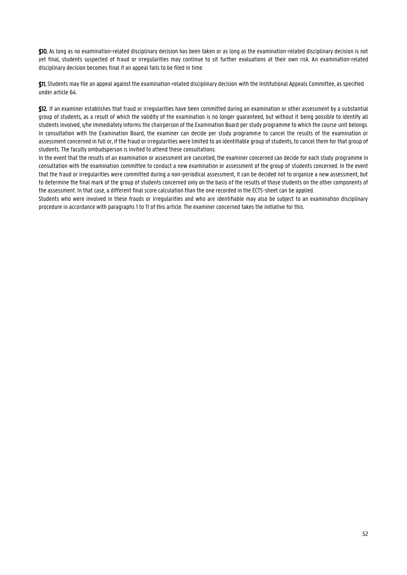§10. As long as no examination-related disciplinary decision has been taken or as long as the examination-related disciplinary decision is not yet final, students suspected of fraud or irregularities may continue to sit further evaluations at their own risk. An examination-related disciplinary decision becomes final if an appeal fails to be filed in time.

§11. Students may file an appeal against the examination-related disciplinary decision with the Institutional Appeals Committee, as specified under article 64.

§12. If an examiner establishes that fraud or irregularities have been committed during an examination or other assessment by a substantial group of students, as a result of which the validity of the examination is no longer guaranteed, but without it being possible to identify all students involved, s/he immediately informs the chairperson of the Examination Board per study programme to which the course unit belongs. In consultation with the Examination Board, the examiner can decide per study programme to cancel the results of the examination or assessment concerned in full or, if the fraud or irregularities were limited to an identifiable group of students, to cancel them for that group of students. The faculty ombudsperson is invited to attend these consultations.

In the event that the results of an examination or assessment are cancelled, the examiner concerned can decide for each study programme in consultation with the examination committee to conduct a new examination or assessment of the group of students concerned. In the event that the fraud or irregularities were committed during a non-periodical assessment, it can be decided not to organize a new assessment, but to determine the final mark of the group of students concerned only on the basis of the results of those students on the other components of the assessment. In that case, a different final score calculation than the one recorded in the ECTS-sheet can be applied.

Students who were involved in these frauds or irregularities and who are identifiable may also be subject to an examination disciplinary procedure in accordance with paragraphs 1 to 11 of this article. The examiner concerned takes the initiative for this.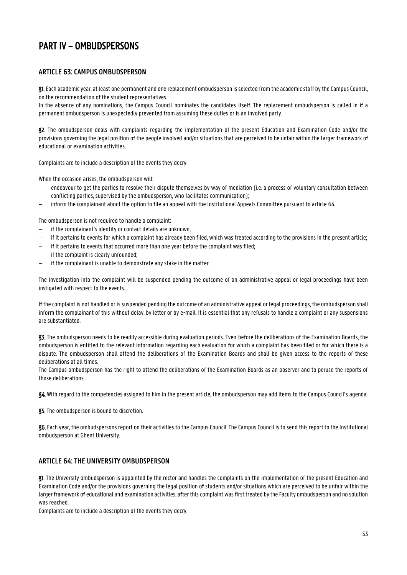## <span id="page-52-0"></span>PART IV – OMBUDSPERSONS

## <span id="page-52-1"></span>**ARTICLE 63: CAMPUS OMBUDSPERSON**

§1. Each academic year, at least one permanent and one replacement ombudsperson is selected from the academic staff by the Campus Council, on the recommendation of the student representatives.

In the absence of any nominations, the Campus Council nominates the candidates itself. The replacement ombudsperson is called in if a permanent ombudsperson is unexpectedly prevented from assuming these duties or is an involved party.

§2. The ombudsperson deals with complaints regarding the implementation of the present Education and Examination Code and/or the provisions governing the legal position of the people involved and/or situations that are perceived to be unfair within the larger framework of educational or examination activities.

Complaints are to include a description of the events they decry.

When the occasion arises, the ombudsperson will:

- endeavour to get the parties to resolve their dispute themselves by way of mediation (i.e. a process of voluntary consultation between conflicting parties, supervised by the ombudsperson, who facilitates communication);
- inform the complainant about the option to file an appeal with the Institutional Appeals Committee pursuant to article 64.

The ombudsperson is not required to handle a complaint:

- if the complainant's identity or contact details are unknown;
- if it pertains to events for which a complaint has already been filed, which was treated according to the provisions in the present article;
- if it pertains to events that occurred more than one year before the complaint was filed;
- if the complaint is clearly unfounded;
- $\overline{-}$  if the complainant is unable to demonstrate any stake in the matter.

The investigation into the complaint will be suspended pending the outcome of an administrative appeal or legal proceedings have been instigated with respect to the events.

If the complaint is not handled or is suspended pending the outcome of an administrative appeal or legal proceedings, the ombudsperson shall inform the complainant of this without delay, by letter or by e-mail. It is essential that any refusals to handle a complaint or any suspensions are substantiated.

§3. The ombudsperson needs to be readily accessible during evaluation periods. Even before the deliberations of the Examination Boards, the ombudsperson is entitled to the relevant information regarding each evaluation for which a complaint has been filed or for which there is a dispute. The ombudsperson shall attend the deliberations of the Examination Boards and shall be given access to the reports of these deliberations at all times.

The Campus ombudsperson has the right to attend the deliberations of the Examination Boards as an observer and to peruse the reports of those deliberations.

§4. With regard to the competencies assigned to him in the present article, the ombudsperson may add items to the Campus Council's agenda.

§5. The ombudsperson is bound to discretion.

§6. Each year, the ombudspersons report on their activities to the Campus Council. The Campus Council is to send this report to the Institutional ombudsperson at Ghent University.

## <span id="page-52-2"></span>**ARTICLE 64: THE UNIVERSITY OMBUDSPERSON**

§1. The University ombudsperson is appointed by the rector and handles the complaints on the implementation of the present Education and Examination Code and/or the provisions governing the legal position of students and/or situations which are perceived to be unfair within the larger framework of educational and examination activities, after this complaint was first treated by the Faculty ombudsperson and no solution was reached.

Complaints are to include a description of the events they decry.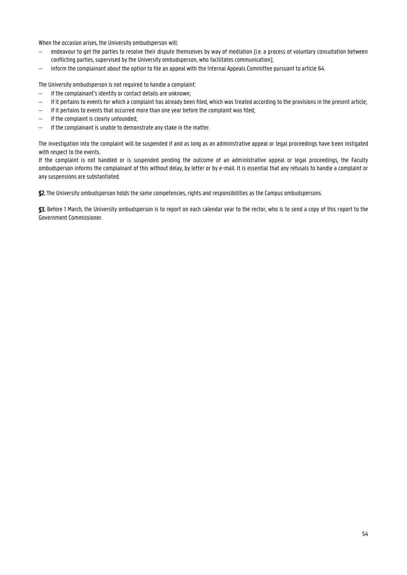When the occasion arises, the University ombudsperson will:

- endeavour to get the parties to resolve their dispute themselves by way of mediation (i.e. a process of voluntary consultation between conflicting parties, supervised by the University ombudsperson, who facilitates communication);
- inform the complainant about the option to file an appeal with the Internal Appeals Committee pursuant to article 64.

The University ombudsperson is not required to handle a complaint:

- $\hbox{--}$  if the complainant's identity or contact details are unknown;
- $-$  if it pertains to events for which a complaint has already been filed, which was treated according to the provisions in the present article;
- $-$  if it pertains to events that occurred more than one year before the complaint was filed;
- if the complaint is clearly unfounded;
- $\overline{-}$  if the complainant is unable to demonstrate any stake in the matter.

The investigation into the complaint will be suspended if and as long as an administrative appeal or legal proceedings have been instigated with respect to the events.

If the complaint is not handled or is suspended pending the outcome of an administrative appeal or legal proceedings, the Faculty ombudsperson informs the complainant of this without delay, by letter or by e-mail. It is essential that any refusals to handle a complaint or any suspensions are substantiated.

§2. The University ombudsperson holds the same competencies, rights and responsibilities as the Campus ombudspersons.

§3. Before 1 March, the University ombudsperson is to report on each calendar year to the rector, who is to send a copy of this report to the Government Commissioner.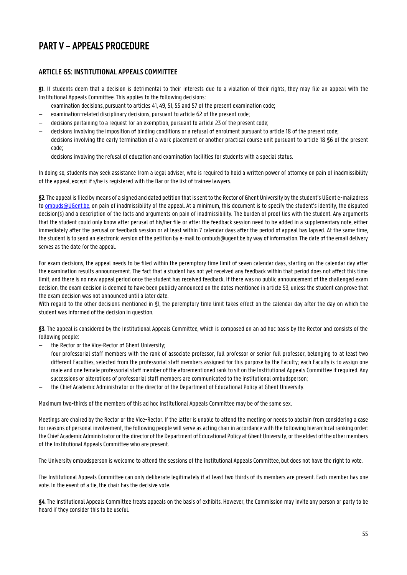## <span id="page-54-0"></span>PART V – APPEALS PROCEDURE

## <span id="page-54-1"></span>**ARTICLE 65: INSTITUTIONAL APPEALS COMMITTEE**

§1. If students deem that a decision is detrimental to their interests due to a violation of their rights, they may file an appeal with the Institutional Appeals Committee. This applies to the following decisions:

- examination decisions, pursuant to articles 41, 49, 51, 55 and 57 of the present examination code;
- examination-related disciplinary decisions, pursuant to article 62 of the present code;
- decisions pertaining to a request for an exemption, pursuant to article 23 of the present code;
- decisions involving the imposition of binding conditions or a refusal of enrolment pursuant to article 18 of the present code;
- decisions involving the early termination of a work placement or another practical course unit pursuant to article 18 §6 of the present code;
- decisions involving the refusal of education and examination facilities for students with a special status.

In doing so, students may seek assistance from a legal adviser, who is required to hold a written power of attorney on pain of inadmissibility of the appeal, except if s/he is registered with the Bar or the list of trainee lawyers.

§2.The appeal is filed by means of a signed and dated petition that is sent to the Rector of Ghent University by the student's UGent e-mailadress to **ombuds@UGent.be**, on pain of inadmissibility of the appeal. At a minimum, this document is to specify the student's identity, the disputed decision(s) and a description of the facts and arguments on pain of inadmissibility. The burden of proof lies with the student. Any arguments that the student could only know after perusal of his/her file or after the feedback session need to be added in a supplementary note, either immediately after the perusal or feedback session or at least within 7 calendar days after the period of appeal has lapsed. At the same time, the student is to send an electronic version of the petition by e-mail to ombuds@ugent.be by way of information. The date of the email delivery serves as the date for the appeal.

For exam decisions, the appeal needs to be filed within the peremptory time limit of seven calendar days, starting on the calendar day after the examination results announcement. The fact that a student has not yet received any feedback within that period does not affect this time limit, and there is no new appeal period once the student has received feedback. If there was no public announcement of the challenged exam decision, the exam decision is deemed to have been publicly announced on the dates mentioned in article 53, unless the student can prove that the exam decision was not announced until a later date.

With regard to the other decisions mentioned in \$1, the peremptory time limit takes effect on the calendar day after the day on which the student was informed of the decision in question.

§3. The appeal is considered by the Institutional Appeals Committee, which is composed on an ad hoc basis by the Rector and consists of the following people:

- the Rector or the Vice-Rector of Ghent University;
- four professorial staff members with the rank of associate professor, full professor or senior full professor, belonging to at least two different Faculties, selected from the professorial staff members assigned for this purpose by the Faculty; each Faculty is to assign one male and one female professorial staff member of the aforementioned rank to sit on the Institutional Appeals Committee if required. Any successions or alterations of professorial staff members are communicated to the institutional ombudsperson;
- the Chief Academic Administrator or the director of the Department of Educational Policy at Ghent University.

Maximum two-thirds of the members of this ad hoc Institutional Appeals Committee may be of the same sex.

Meetings are chaired by the Rector or the Vice-Rector. If the latter is unable to attend the meeting or needs to abstain from considering a case for reasons of personal involvement, the following people will serve as acting chair in accordance with the following hierarchical ranking order: the Chief Academic Administrator or the director of the Department of Educational Policy at Ghent University, or the eldest of the other members of the Institutional Appeals Committee who are present.

The University ombudsperson is welcome to attend the sessions of the Institutional Appeals Committee, but does not have the right to vote.

The Institutional Appeals Committee can only deliberate legitimately if at least two thirds of its members are present. Each member has one vote. In the event of a tie, the chair has the decisive vote.

§4. The Institutional Appeals Committee treats appeals on the basis of exhibits. However, the Commission may invite any person or party to be heard if they consider this to be useful.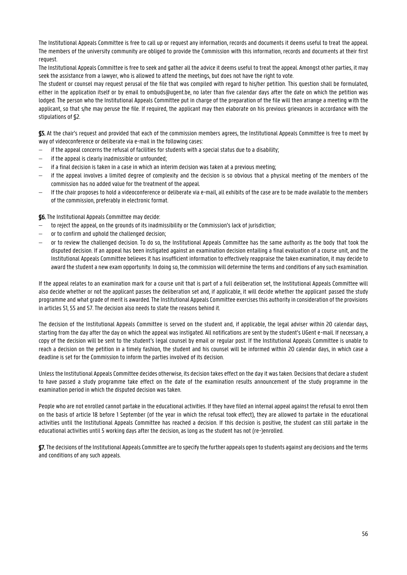The Institutional Appeals Committee is free to call up or request any information, records and documents it deems useful to treat the appeal. The members of the university community are obliged to provide the Commission with this information, records and documents at their first request

The Institutional Appeals Committee is free to seek and gather all the advice it deems useful to treat the appeal. Amongst other parties, it may seek the assistance from a lawyer, who is allowed to attend the meetings, but does not have the right to vote.

The student or counsel may request perusal of the file that was compiled with regard to his/her petition. This question shall be formulated, either in the application itself or by email to ombuds@ugent.be, no later than five calendar days after the date on which the petition was lodged. The person who the Institutional Appeals Committee put in charge of the preparation of the file will then arrange a meeting with the applicant, so that s/he may peruse the file. If required, the applicant may then elaborate on his previous grievances in accordance with the stipulations of §2.

§5. At the chair's request and provided that each of the commission members agrees, the Institutional Appeals Committee is free to meet by way of videoconference or deliberate via e-mail in the following cases:

- if the appeal concerns the refusal of facilities for students with a special status due to a disability;
- if the appeal is clearly inadmissible or unfounded;
- if a final decision is taken in a case in which an interim decision was taken at a previous meeting;
- if the appeal involves a limited degree of complexity and the decision is so obvious that a physical meeting of the members of the commission has no added value for the treatment of the appeal.
- If the chair proposes to hold a videoconference or deliberate via e-mail, all exhibits of the case are to be made available to the members of the commission, preferably in electronic format.

§6. The Institutional Appeals Committee may decide:

- to reject the appeal, on the grounds of its inadmissibility or the Commission's lack of jurisdiction;
- or to confirm and uphold the challenged decision;
- or to review the challenged decision. To do so, the Institutional Appeals Committee has the same authority as the body that took the disputed decision. If an appeal has been instigated against an examination decision entailing a final evaluation of a course unit, and the Institutional Appeals Committee believes it has insufficient information to effectively reappraise the taken examination, it may decide to award the student a new exam opportunity. In doing so, the commission will determine the terms and conditions of any such examination.

If the appeal relates to an examination mark for a course unit that is part of a full deliberation set, the Institutional Appeals Committee will also decide whether or not the applicant passes the deliberation set and, if applicable, it will decide whether the applicant passed the study programme and what grade of merit is awarded. The Institutional Appeals Committee exercises this authority in consideration of the provisions in articles 51, 55 and 57. The decision also needs to state the reasons behind it.

The decision of the Institutional Appeals Committee is served on the student and, if applicable, the legal adviser within 20 calendar days, starting from the day after the day on which the appeal was instigated. All notifications are sent by the student's UGent e-mail. If necessary, a copy of the decision will be sent to the student's legal counsel by email or regular post. If the Institutional Appeals Committee is unable to reach a decision on the petition in a timely fashion, the student and his counsel will be informed within 20 calendar days, in which case a deadline is set for the Commission to inform the parties involved of its decision.

Unless the Institutional Appeals Committee decides otherwise, its decision takes effect on the day it was taken. Decisions that declare a student to have passed a study programme take effect on the date of the examination results announcement of the study programme in the examination period in which the disputed decision was taken.

People who are not enrolled cannot partake in the educational activities. If they have filed an internal appeal against the refusal to enrol them on the basis of article 18 before 1 September (of the year in which the refusal took effect), they are allowed to partake in the educational activities until the Institutional Appeals Committee has reached a decision. If this decision is positive, the student can still partake in the educational activities until 5 working days after the decision, as long as the student has not (re-)enrolled.

§7.The decisions of the Institutional Appeals Committee are to specify the further appeals open to students against any decisions and the terms and conditions of any such appeals.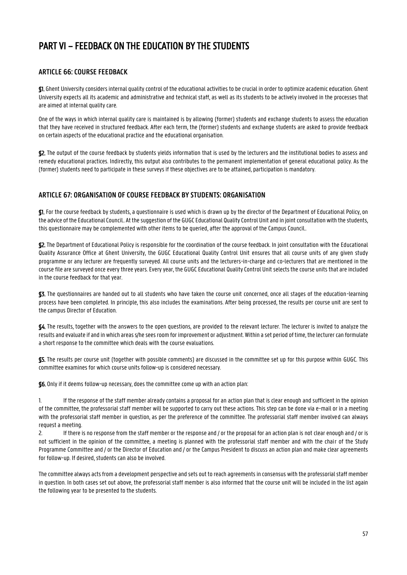## <span id="page-56-0"></span>PART VI – FEEDBACK ON THE EDUCATION BY THE STUDENTS

## <span id="page-56-1"></span>**ARTICLE 66: COURSE FEEDBACK**

§1. Ghent University considers internal quality control of the educational activities to be crucial in order to optimize academic education. Ghent University expects all its academic and administrative and technical staff, as well as its students to be actively involved in the processes that are aimed at internal quality care.

One of the ways in which internal quality care is maintained is by allowing (former) students and exchange students to assess the education that they have received in structured feedback. After each term, the (former) students and exchange students are asked to provide feedback on certain aspects of the educational practice and the educational organisation.

§2. The output of the course feedback by students yields information that is used by the lecturers and the institutional bodies to assess and remedy educational practices. Indirectly, this output also contributes to the permanent implementation of general educational policy. As the (former) students need to participate in these surveys if these objectives are to be attained, participation is mandatory.

## <span id="page-56-2"></span>**ARTICLE 67: ORGANISATION OF COURSE FEEDBACK BY STUDENTS: ORGANISATION**

§1. For the course feedback by students, a questionnaire is used which is drawn up by the director of the Department of Educational Policy, on the advice of the Educational Council.. At the suggestion of the GUGC Educational Quality Control Unit and in joint consultation with the students, this questionnaire may be complemented with other items to be queried, after the approval of the Campus Council..

§2. The Department of Educational Policy is responsible for the coordination of the course feedback. In joint consultation with the Educational Quality Assurance Office at Ghent University, the GUGC Educational Quality Control Unit ensures that all course units of any given study programme or any lecturer are frequently surveyed. All course units and the lecturers-in-charge and co-lecturers that are mentioned in the course file are surveyed once every three years. Every year, the GUGC Educational Quality Control Unit selects the course units that are included in the course feedback for that year.

§3. The questionnaires are handed out to all students who have taken the course unit concerned, once all stages of the education-learning process have been completed. In principle, this also includes the examinations. After being processed, the results per course unit are sent to the campus Director of Education.

§4. The results, together with the answers to the open questions, are provided to the relevant lecturer. The lecturer is invited to analyze the results and evaluate if and in which areas s/he sees room for improvement or adjustment. Within a set period of time, the lecturer can formulate a short response to the committee which deals with the course evaluations.

§5. The results per course unit (together with possible comments) are discussed in the committee set up for this purpose within GUGC. This committee examines for which course units follow-up is considered necessary.

§6. Only if it deems follow-up necessary, does the committee come up with an action plan:

1. If the response of the staff member already contains a proposal for an action plan that is clear enough and sufficient in the opinion of the committee, the professorial staff member will be supported to carry out these actions. This step can be done via e-mail or in a meeting with the professorial staff member in question, as per the preference of the committee. The professorial staff member involved can always request a meeting.

2. If there is no response from the staff member or the response and / or the proposal for an action plan is not clear enough and / or is not sufficient in the opinion of the committee, a meeting is planned with the professorial staff member and with the chair of the Study Programme Committee and / or the Director of Education and / or the Campus President to discuss an action plan and make clear agreements for follow-up. If desired, students can also be involved.

The committee always acts from a development perspective and sets out to reach agreements in consensus with the professorial staff member in question. In both cases set out above, the professorial staff member is also informed that the course unit will be included in the list again the following year to be presented to the students.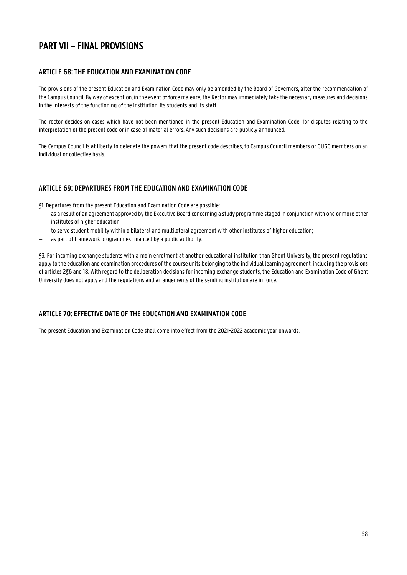## <span id="page-57-0"></span>PART VII – FINAL PROVISIONS

## <span id="page-57-1"></span>**ARTICLE 68: THE EDUCATION AND EXAMINATION CODE**

The provisions of the present Education and Examination Code may only be amended by the Board of Governors, after the recommendation of the Campus Council. By way of exception, in the event of force majeure, the Rector may immediately take the necessary measures and decisions in the interests of the functioning of the institution, its students and its staff.

The rector decides on cases which have not been mentioned in the present Education and Examination Code, for disputes relating to the interpretation of the present code or in case of material errors. Any such decisions are publicly announced.

The Campus Council is at liberty to delegate the powers that the present code describes, to Campus Council members or GUGC members on an individual or collective basis.

## <span id="page-57-2"></span>**ARTICLE 69: DEPARTURES FROM THE EDUCATION AND EXAMINATION CODE**

§1. Departures from the present Education and Examination Code are possible:

- as a result of an agreement approved by the Executive Board concerning a study programme staged in conjunction with one or more other institutes of higher education;
- to serve student mobility within a bilateral and multilateral agreement with other institutes of higher education;
- as part of framework programmes financed by a public authority.

§3. For incoming exchange students with a main enrolment at another educational institution than Ghent University, the present regulations apply to the education and examination procedures of the course units belonging to the individual learning agreement, including the provisions of articles 2§6 and 18. With regard to the deliberation decisions for incoming exchange students, the Education and Examination Code of Ghent University does not apply and the regulations and arrangements of the sending institution are in force.

## <span id="page-57-3"></span>**ARTICLE 70: EFFECTIVE DATE OF THE EDUCATION AND EXAMINATION CODE**

The present Education and Examination Code shall come into effect from the 2021-2022 academic year onwards.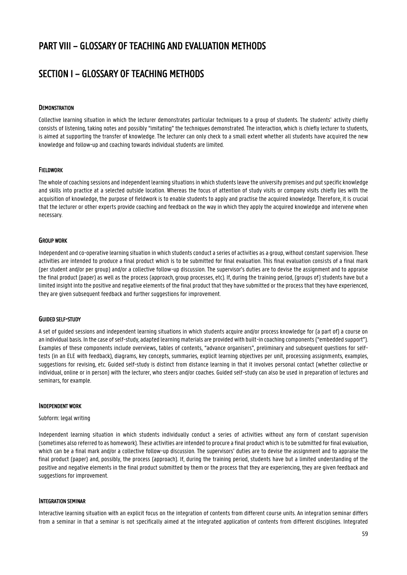## <span id="page-58-0"></span>PART VIII – GLOSSARY OF TEACHING AND EVALUATION METHODS

## <span id="page-58-1"></span>SECTION I – GLOSSARY OF TEACHING METHODS

#### **DEMONSTRATION**

Collective learning situation in which the lecturer demonstrates particular techniques to a group of students. The students' activity chiefly consists of listening, taking notes and possibly "imitating" the techniques demonstrated. The interaction, which is chiefly lecturer to students, is aimed at supporting the transfer of knowledge. The lecturer can only check to a small extent whether all students have acquired the new knowledge and follow-up and coaching towards individual students are limited.

#### FIELDWORK

The whole of coaching sessions and independent learning situations in which students leave the university premises and put specific knowledge and skills into practice at a selected outside location. Whereas the focus of attention of study visits or company visits chiefly lies with the acquisition of knowledge, the purpose of fieldwork is to enable students to apply and practise the acquired knowledge. Therefore, it is crucial that the lecturer or other experts provide coaching and feedback on the way in which they apply the acquired knowledge and intervene when necessary.

#### GROUP WORK

Independent and co-operative learning situation in which students conduct a series of activities as a group, without constant supervision. These activities are intended to produce a final product which is to be submitted for final evaluation. This final evaluation consists of a final mark (per student and/or per group) and/or a collective follow-up discussion. The supervisor's duties are to devise the assignment and to appraise the final product (paper) as well as the process (approach, group processes, etc). If, during the training period, (groups of) students have but a limited insight into the positive and negative elements of the final product that they have submitted or the process that they have experienced, they are given subsequent feedback and further suggestions for improvement.

#### GUIDED SELF-STUDY

A set of guided sessions and independent learning situations in which students acquire and/or process knowledge for (a part of) a course on an individual basis. In the case of self-study, adapted learning materials are provided with built-in coaching components ("embedded support"). Examples of these components include overviews, tables of contents, "advance organisers", preliminary and subsequent questions for selftests (in an ELE with feedback), diagrams, key concepts, summaries, explicit learning objectives per unit, processing assignments, examples, suggestions for revising, etc. Guided self-study is distinct from distance learning in that it involves personal contact (whether collective or individual, online or in person) with the lecturer, who steers and/or coaches. Guided self-study can also be used in preparation of lectures and seminars, for example.

#### INDEPENDENT WORK

#### Subform: legal writing

Independent learning situation in which students individually conduct a series of activities without any form of constant supervision (sometimes also referred to as homework). These activities are intended to procure a final product which is to be submitted for final evaluation, which can be a final mark and/or a collective follow-up discussion. The supervisors' duties are to devise the assignment and to appraise the final product (paper) and, possibly, the process (approach). If, during the training period, students have but a limited understanding of the positive and negative elements in the final product submitted by them or the process that they are experiencing, they are given feedback and suggestions for improvement.

#### INTEGRATION SEMINAR

Interactive learning situation with an explicit focus on the integration of contents from different course units. An integration seminar differs from a seminar in that a seminar is not specifically aimed at the integrated application of contents from different disciplines. Integrated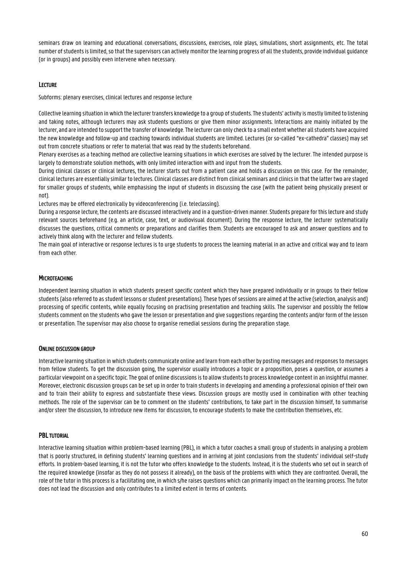seminars draw on learning and educational conversations, discussions, exercises, role plays, simulations, short assignments, etc. The total number of students is limited, so that the supervisors can actively monitor the learning progress of all the students, provide individual guidance (or in groups) and possibly even intervene when necessary.

### LECTURE

Subforms: plenary exercises, clinical lectures and response lecture

Collective learning situation in which the lecturer transfers knowledge to a group of students. The students' activity is mostly limited to listening and taking notes, although lecturers may ask students questions or give them minor assignments. Interactions are mainly initiated by the lecturer, and are intended to support the transfer of knowledge. The lecturer can only check to a small extent whether all students have acquired the new knowledge and follow-up and coaching towards individual students are limited. Lectures (or so-called "ex-cathedra" classes) may set out from concrete situations or refer to material that was read by the students beforehand.

Plenary exercises as a teaching method are collective learning situations in which exercises are solved by the lecturer. The intended purpose is largely to demonstrate solution methods, with only limited interaction with and input from the students.

During clinical classes or clinical lectures, the lecturer starts out from a patient case and holds a discussion on this case. For the remainder, clinical lectures are essentially similar to lectures. Clinical classes are distinct from clinical seminars and clinics in that the latter two are staged for smaller groups of students, while emphasising the input of students in discussing the case (with the patient being physically present or not).

Lectures may be offered electronically by videoconferencing (i.e. teleclassing).

During a response lecture, the contents are discussed interactively and in a question-driven manner. Students prepare for this lecture and study relevant sources beforehand (e.g. an article, case, text, or audiovisual document). During the response lecture, the lecturer systematically discusses the questions, critical comments or preparations and clarifies them. Students are encouraged to ask and answer questions and to actively think along with the lecturer and fellow students.

The main goal of interactive or response lectures is to urge students to process the learning material in an active and critical way and to learn from each other.

### **MICROTEACHING**

Independent learning situation in which students present specific content which they have prepared individually or in groups to their fellow students (also referred to as student lessons or student presentations). These types of sessions are aimed at the active (selection, analysis and) processing of specific contents, while equally focusing on practising presentation and teaching skills. The supervisor and possibly the fellow students comment on the students who gave the lesson or presentation and give suggestions regarding the contents and/or form of the lesson or presentation. The supervisor may also choose to organise remedial sessions during the preparation stage.

#### ONLINE DISCUSSION GROUP

Interactive learning situation in which students communicate online and learn from each other by posting messages and responses to messages from fellow students. To get the discussion going, the supervisor usually introduces a topic or a proposition, poses a question, or assumes a particular viewpoint on a specific topic. The goal of online discussions is to allow students to process knowledge content in an insightful manner. Moreover, electronic discussion groups can be set up in order to train students in developing and amending a professional opinion of their own and to train their ability to express and substantiate these views. Discussion groups are mostly used in combination with other teaching methods. The role of the supervisor can be to comment on the students' contributions, to take part in the discussion himself, to summarise and/or steer the discussion, to introduce new items for discussion, to encourage students to make the contribution themselves, etc.

#### PBL TUTORIAL

Interactive learning situation within problem-based learning (PBL), in which a tutor coaches a small group of students in analysing a problem that is poorly structured, in defining students' learning questions and in arriving at joint conclusions from the students' individual self-study efforts. In problem-based learning, it is not the tutor who offers knowledge to the students. Instead, it is the students who set out in search of the required knowledge (insofar as they do not possess it already), on the basis of the problems with which they are confronted. Overall, the role of the tutor in this process is a facilitating one, in which s/he raises questions which can primarily impact on the learning process. The tutor does not lead the discussion and only contributes to a limited extent in terms of contents.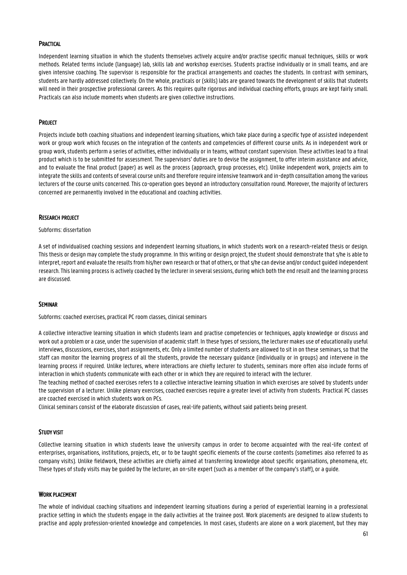#### **PRACTICAL**

Independent learning situation in which the students themselves actively acquire and/or practise specific manual techniques, skills or work methods. Related terms include (language) lab, skills lab and workshop exercises. Students practise individually or in small teams, and are given intensive coaching. The supervisor is responsible for the practical arrangements and coaches the students. In contrast with seminars, students are hardly addressed collectively. On the whole, practicals or (skills) labs are geared towards the development of skills that students will need in their prospective professional careers. As this requires quite rigorous and individual coaching efforts, groups are kept fairly small. Practicals can also include moments when students are given collective instructions.

#### **PROJECT**

Projects include both coaching situations and independent learning situations, which take place during a specific type of assisted independent work or group work which focuses on the integration of the contents and competencies of different course units. As in independent work or group work, students perform a series of activities, either individually or in teams, without constant supervision. These activities lead to a final product which is to be submitted for assessment. The supervisors' duties are to devise the assignment, to offer interim assistance and advice, and to evaluate the final product (paper) as well as the process (approach, group processes, etc). Unlike independent work, projects aim to integrate the skills and contents of several course units and therefore require intensive teamwork and in-depth consultation among the various lecturers of the course units concerned. This co-operation goes beyond an introductory consultation round. Moreover, the majority of lecturers concerned are permanently involved in the educational and coaching activities.

#### RESEARCH PROJECT

#### Subforms: dissertation

A set of individualised coaching sessions and independent learning situations, in which students work on a research-related thesis or design. This thesis or design may complete the study programme. In this writing or design project, the student should demonstrate that s/he is able to interpret, report and evaluate the results from his/her own research or that of others, or that s/he can devise and/or conduct guided independent research. This learning process is actively coached by the lecturer in several sessions, during which both the end result and the learning process are discussed.

#### SEMINAR

Subforms: coached exercises, practical PC room classes, clinical seminars

A collective interactive learning situation in which students learn and practise competencies or techniques, apply knowledge or discuss and work out a problem or a case, under the supervision of academic staff. In these types of sessions, the lecturer makes use of educationally useful interviews, discussions, exercises, short assignments, etc. Only a limited number of students are allowed to sit in on these seminars, so that the staff can monitor the learning progress of all the students, provide the necessary guidance (individually or in groups) and intervene in the learning process if required. Unlike lectures, where interactions are chiefly lecturer to students, seminars more often also include forms of interaction in which students communicate with each other or in which they are required to interact with the lecturer.

The teaching method of coached exercises refers to a collective interactive learning situation in which exercises are solved by students under the supervision of a lecturer. Unlike plenary exercises, coached exercises require a greater level of activity from students. Practical PC classes are coached exercised in which students work on PCs.

Clinical seminars consist of the elaborate discussion of cases, real-life patients, without said patients being present.

#### STUDY VISIT

Collective learning situation in which students leave the university campus in order to become acquainted with the real-life context of enterprises, organisations, institutions, projects, etc, or to be taught specific elements of the course contents (sometimes also referred to as company visits). Unlike fieldwork, these activities are chiefly aimed at transferring knowledge about specific organisations, phenomena, etc. These types of study visits may be guided by the lecturer, an on-site expert (such as a member of the company's staff), or a guide.

#### WORK PLACEMENT

The whole of individual coaching situations and independent learning situations during a period of experiential learning in a professional practice setting in which the students engage in the daily activities at the trainee post. Work placements are designed to allow students to practise and apply profession-oriented knowledge and competencies. In most cases, students are alone on a work placement, but they may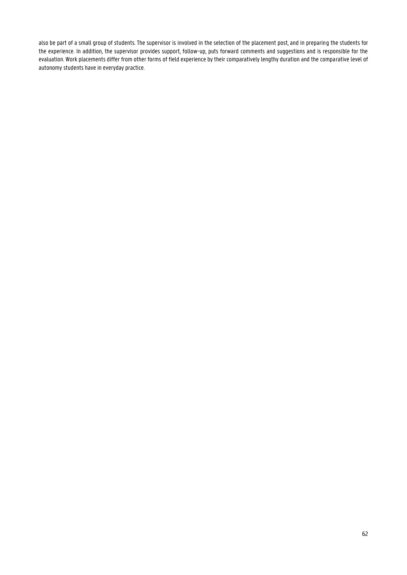also be part of a small group of students. The supervisor is involved in the selection of the placement post, and in preparing the students for the experience. In addition, the supervisor provides support, follow-up, puts forward comments and suggestions and is responsible for the evaluation. Work placements differ from other forms of field experience by their comparatively lengthy duration and the comparative level of autonomy students have in everyday practice.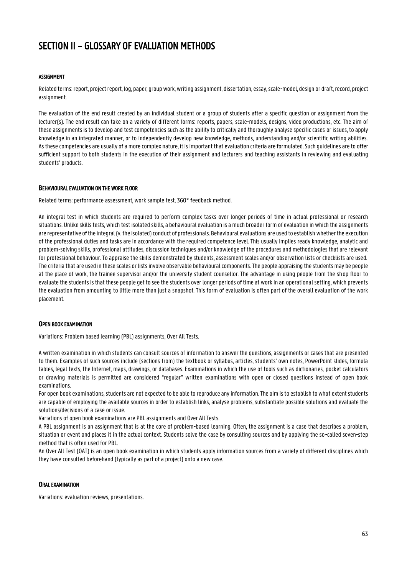## <span id="page-62-0"></span>SECTION II – GLOSSARY OF EVALUATION METHODS

#### ASSIGNMENT

Related terms: report, project report, log, paper, group work, writing assignment, dissertation, essay, scale-model, design or draft, record, project assignment.

The evaluation of the end result created by an individual student or a group of students after a specific question or assignment from the lecturer(s). The end result can take on a variety of different forms: reports, papers, scale-models, designs, video productions, etc. The aim of these assignments is to develop and test competencies such as the ability to critically and thoroughly analyse specific cases or issues, to apply knowledge in an integrated manner, or to independently develop new knowledge, methods, understanding and/or scientific writing abilities. As these competencies are usually of a more complex nature, it is important that evaluation criteria are formulated. Such guidelines are to offer sufficient support to both students in the execution of their assignment and lecturers and teaching assistants in reviewing and evaluating students' products.

#### BEHAVIOURAL EVALUATION ON THE WORK FLOOR

Related terms: performance assessment, work sample test, 360° feedback method.

An integral test in which students are required to perform complex tasks over longer periods of time in actual professional or research situations. Unlike skills tests, which test isolated skills, a behavioural evaluation is a much broader form of evaluation in which the assignments are representative of the integral (v. the isolated) conduct of professionals. Behavioural evaluations are used to establish whether the execution of the professional duties and tasks are in accordance with the required competence level. This usually implies ready knowledge, analytic and problem-solving skills, professional attitudes, discussion techniques and/or knowledge of the procedures and methodologies that are relevant for professional behaviour. To appraise the skills demonstrated by students, assessment scales and/or observation lists or checklists are used. The criteria that are used in these scales or lists involve observable behavioural components. The people appraising the students may be people at the place of work, the trainee supervisor and/or the university student counsellor. The advantage in using people from the shop floor to evaluate the students is that these people get to see the students over longer periods of time at work in an operational setting, which prevents the evaluation from amounting to little more than just a snapshot. This form of evaluation is often part of the overall evaluation of the work placement.

#### OPEN BOOK EXAMINATION

Variations: Problem based learning (PBL) assignments, Over All Tests.

A written examination in which students can consult sources of information to answer the questions, assignments or cases that are presented to them. Examples of such sources include (sections from) the textbook or syllabus, articles, students' own notes, PowerPoint slides, formula tables, legal texts, the Internet, maps, drawings, or databases. Examinations in which the use of tools such as dictionaries, pocket calculators or drawing materials is permitted are considered "regular" written examinations with open or closed questions instead of open book examinations.

For open book examinations, students are not expected to be able to reproduce any information. The aim is to establish to what extent students are capable of employing the available sources in order to establish links, analyse problems, substantiate possible solutions and evaluate the solutions/decisions of a case or issue.

Variations of open book examinations are PBL assignments and Over All Tests.

A PBL assignment is an assignment that is at the core of problem-based learning. Often, the assignment is a case that describes a problem, situation or event and places it in the actual context. Students solve the case by consulting sources and by applying the so-called seven-step method that is often used for PBL.

An Over All Test (OAT) is an open book examination in which students apply information sources from a variety of different disciplines which they have consulted beforehand (typically as part of a project) onto a new case.

#### ORAL EXAMINATION

Variations: evaluation reviews, presentations.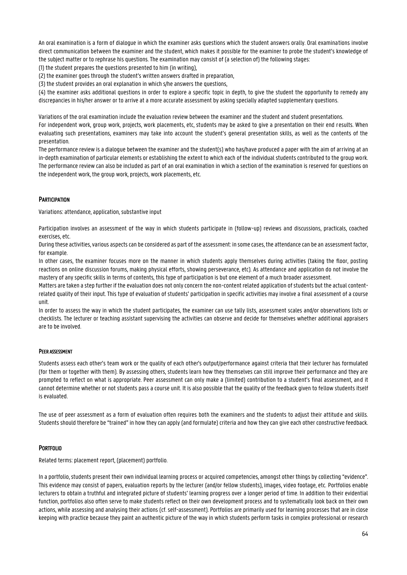An oral examination is a form of dialogue in which the examiner asks questions which the student answers orally. Oral examinations involve direct communication between the examiner and the student, which makes it possible for the examiner to probe the student's knowledge of the subject matter or to rephrase his questions. The examination may consist of (a selection of) the following stages:

(1) the student prepares the questions presented to him (in writing),

(2) the examiner goes through the student's written answers drafted in preparation,

(3) the student provides an oral explanation in which s/he answers the questions,

(4) the examiner asks additional questions in order to explore a specific topic in depth, to give the student the opportunity to remedy any discrepancies in his/her answer or to arrive at a more accurate assessment by asking specially adapted supplementary questions.

Variations of the oral examination include the evaluation review between the examiner and the student and student presentations.

For independent work, group work, projects, work placements, etc, students may be asked to give a presentation on their end results. When evaluating such presentations, examiners may take into account the student's general presentation skills, as well as the contents of the presentation.

The performance review is a dialogue between the examiner and the student(s) who has/have produced a paper with the aim of arriving at an in-depth examination of particular elements or establishing the extent to which each of the individual students contributed to the group work. The performance review can also be included as part of an oral examination in which a section of the examination is reserved for questions on the independent work, the group work, projects, work placements, etc.

### **PARTICIPATION**

Variations: attendance, application, substantive input

Participation involves an assessment of the way in which students participate in (follow-up) reviews and discussions, practicals, coached exercises, etc.

During these activities, various aspects can be considered as part of the assessment: in some cases, the attendance can be an assessment factor, for example.

In other cases, the examiner focuses more on the manner in which students apply themselves during activities (taking the floor, posting reactions on online discussion forums, making physical efforts, showing perseverance, etc). As attendance and application do not involve the mastery of any specific skills in terms of contents, this type of participation is but one element of a much broader assessment.

Matters are taken a step further if the evaluation does not only concern the non-content related application of students but the actual contentrelated quality of their input. This type of evaluation of students' participation in specific activities may involve a final assessment of a course unit.

In order to assess the way in which the student participates, the examiner can use tally lists, assessment scales and/or observations lists or checklists. The lecturer or teaching assistant supervising the activities can observe and decide for themselves whether additional appraisers are to be involved.

#### PEER ASSESSMENT

Students assess each other's team work or the quality of each other's output/performance against criteria that their lecturer has formulated (for them or together with them). By assessing others, students learn how they themselves can still improve their performance and they are prompted to reflect on what is appropriate. Peer assessment can only make a (limited) contribution to a student's final assessment, and it cannot determine whether or not students pass a course unit. It is also possible that the quality of the feedback given to fellow students itself is evaluated.

The use of peer assessment as a form of evaluation often requires both the examiners and the students to adjust their attitude and skills. Students should therefore be "trained" in how they can apply (and formulate) criteria and how they can give each other constructive feedback.

#### **PORTFOLIO**

Related terms: placement report, (placement) portfolio.

In a portfolio, students present their own individual learning process or acquired competencies, amongst other things by collecting "evidence". This evidence may consist of papers, evaluation reports by the lecturer (and/or fellow students), images, video footage, etc. Portfolios enable lecturers to obtain a truthful and integrated picture of students' learning progress over a longer period of time. In addition to their evidential function, portfolios also often serve to make students reflect on their own development process and to systematically look back on their own actions, while assessing and analysing their actions (cf. self-assessment). Portfolios are primarily used for learning processes that are in close keeping with practice because they paint an authentic picture of the way in which students perform tasks in complex professional or research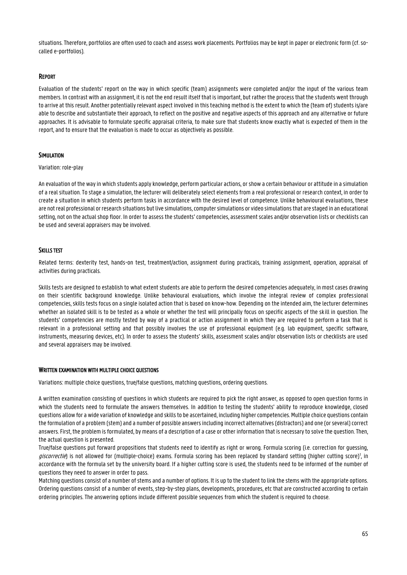situations. Therefore, portfolios are often used to coach and assess work placements. Portfolios may be kept in paper or electronic form (cf. socalled e-portfolios).

#### REPORT

Evaluation of the students' report on the way in which specific (team) assignments were completed and/or the input of the various team members. In contrast with an assignment, it is not the end result itself that is important, but rather the process that the students went through to arrive at this result. Another potentially relevant aspect involved in this teaching method is the extent to which the (team of) students is/are able to describe and substantiate their approach, to reflect on the positive and negative aspects of this approach and any alternative or future approaches. It is advisable to formulate specific appraisal criteria, to make sure that students know exactly what is expected of them in the report, and to ensure that the evaluation is made to occur as objectively as possible.

#### SIMULATION

#### Variation: role-play

An evaluation of the way in which students apply knowledge, perform particular actions, or show a certain behaviour or attitude in a simulation of a real situation. To stage a simulation, the lecturer will deliberately select elements from a real professional or research context, in order to create a situation in which students perform tasks in accordance with the desired level of competence. Unlike behavioural evaluations, these are not real professional or research situations but live simulations, computer simulations or video simulations that are staged in an educational setting, not on the actual shop floor. In order to assess the students' competencies, assessment scales and/or observation lists or checklists can be used and several appraisers may be involved.

#### SKILLS TEST

Related terms: dexterity test, hands-on test, treatment/action, assignment during practicals, training assignment, operation, appraisal of activities during practicals.

Skills tests are designed to establish to what extent students are able to perform the desired competencies adequately, in most cases drawing on their scientific background knowledge. Unlike behavioural evaluations, which involve the integral review of complex professional competencies, skills tests focus on a single isolated action that is based on know-how. Depending on the intended aim, the lecturer determines whether an isolated skill is to be tested as a whole or whether the test will principally focus on specific aspects of the skill in question. The students' competencies are mostly tested by way of a practical or action assignment in which they are required to perform a task that is relevant in a professional setting and that possibly involves the use of professional equipment (e.g. lab equipment, specific software, instruments, measuring devices, etc). In order to assess the students' skills, assessment scales and/or observation lists or checklists are used and several appraisers may be involved.

#### WRITTEN EXAMINATION WITH MULTIPLE CHOICE QUESTIONS

Variations: multiple choice questions, true/false questions, matching questions, ordering questions.

A written examination consisting of questions in which students are required to pick the right answer, as opposed to open question forms in which the students need to formulate the answers themselves. In addition to testing the students' ability to reproduce knowledge, closed questions allow for a wide variation of knowledge and skills to be ascertained, including higher competencies. Multiple choice questions contain the formulation of a problem (stem) and a number of possible answers including incorrect alternatives (distractors) and one (or several) correct answers. First, the problem is formulated, by means of a description of a case or other information that is necessary to solve the question. Then, the actual question is presented.

True/false questions put forward propositions that students need to identify as right or wrong. Formula scoring (i.e. correction for guessing, giscorrectie) is not allowed for (multiple-choice) exams. Formula scoring has been replaced by standard setting (higher cutting score)<sup>1</sup>, in accordance with the formula set by the university board. If a higher cutting score is used, the students need to be informed of the number of questions they need to answer in order to pass.

Matching questions consist of a number of stems and a number of options. It is up to the student to link the stems with the appropriate options. Ordering questions consist of a number of events, step-by-step plans, developments, procedures, etc that are constructed according to certain ordering principles. The answering options include different possible sequences from which the student is required to choose.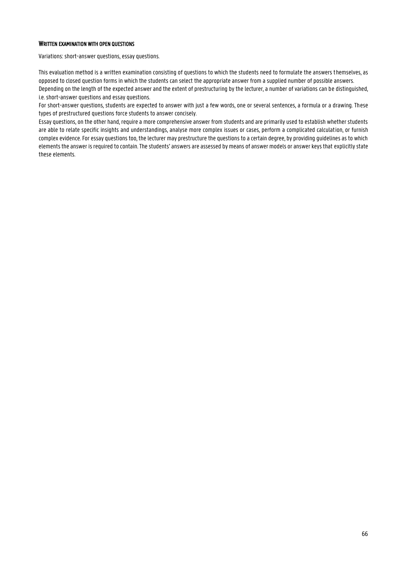#### WRITTEN EXAMINATION WITH OPEN QUESTIONS

Variations: short-answer questions, essay questions.

This evaluation method is a written examination consisting of questions to which the students need to formulate the answers themselves, as opposed to closed question forms in which the students can select the appropriate answer from a supplied number of possible answers. Depending on the length of the expected answer and the extent of prestructuring by the lecturer, a number of variations can be distinguished, i.e. short-answer questions and essay questions.

For short-answer questions, students are expected to answer with just a few words, one or several sentences, a formula or a drawing. These types of prestructured questions force students to answer concisely.

Essay questions, on the other hand, require a more comprehensive answer from students and are primarily used to establish whether students are able to relate specific insights and understandings, analyse more complex issues or cases, perform a complicated calculation, or furnish complex evidence. For essay questions too, the lecturer may prestructure the questions to a certain degree, by providing guidelines as to which elements the answer is required to contain. The students' answers are assessed by means of answer models or answer keys that explicitly state these elements.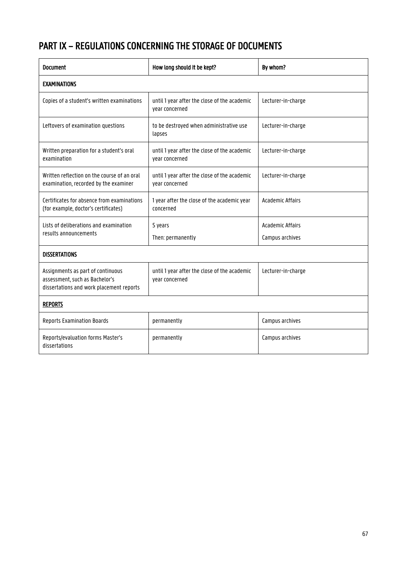## <span id="page-66-0"></span>PART IX – REGULATIONS CONCERNING THE STORAGE OF DOCUMENTS

| <b>Document</b>                                                                                                 | How long should it be kept?                                    | By whom?                                   |
|-----------------------------------------------------------------------------------------------------------------|----------------------------------------------------------------|--------------------------------------------|
| <b>EXAMINATIONS</b>                                                                                             |                                                                |                                            |
| Copies of a student's written examinations                                                                      | until 1 year after the close of the academic<br>year concerned | Lecturer-in-charge                         |
| Leftovers of examination questions                                                                              | to be destroyed when administrative use<br>lapses              | Lecturer-in-charge                         |
| Written preparation for a student's oral<br>examination                                                         | until 1 year after the close of the academic<br>year concerned | Lecturer-in-charge                         |
| Written reflection on the course of an oral<br>examination, recorded by the examiner                            | until 1 year after the close of the academic<br>year concerned | Lecturer-in-charge                         |
| Certificates for absence from examinations<br>(for example, doctor's certificates)                              | 1 year after the close of the academic year<br>concerned       | <b>Academic Affairs</b>                    |
| Lists of deliberations and examination<br>results announcements                                                 | 5 years<br>Then: permanently                                   | <b>Academic Affairs</b><br>Campus archives |
| <b>DISSERTATIONS</b>                                                                                            |                                                                |                                            |
| Assignments as part of continuous<br>assessment, such as Bachelor's<br>dissertations and work placement reports | until 1 year after the close of the academic<br>year concerned | Lecturer-in-charge                         |
| <b>REPORTS</b>                                                                                                  |                                                                |                                            |
| <b>Reports Examination Boards</b>                                                                               | permanently                                                    | Campus archives                            |
| Reports/evaluation forms Master's<br>dissertations                                                              | permanently                                                    | Campus archives                            |